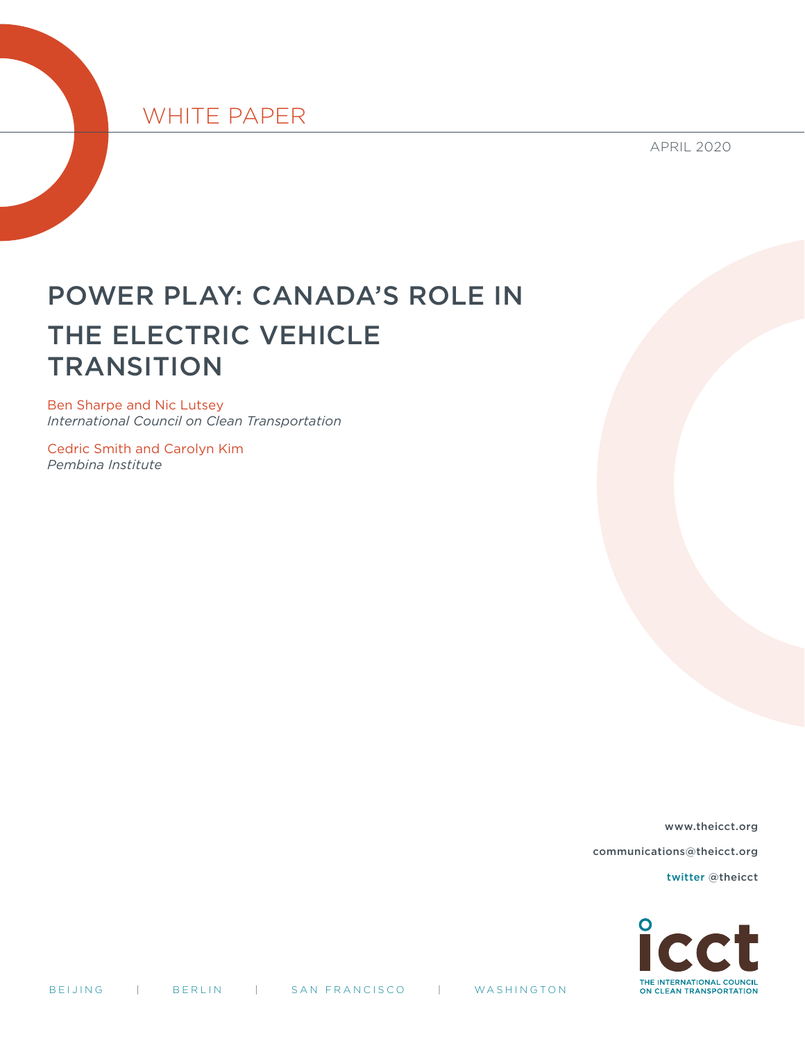# WHITE PAPER

APRIL 2020

# POWER PLAY: CANADA'S ROLE IN THE ELECTRIC VEHICLE **TRANSITION**

Ben Sharpe and Nic Lutsey *International Council on Clean Transportation*

Cedric Smith and Carolyn Kim *Pembina Institute*

www.theicct.org

communications@theicct.org

[twitter @theicct](https://twitter.com/TheICCT)

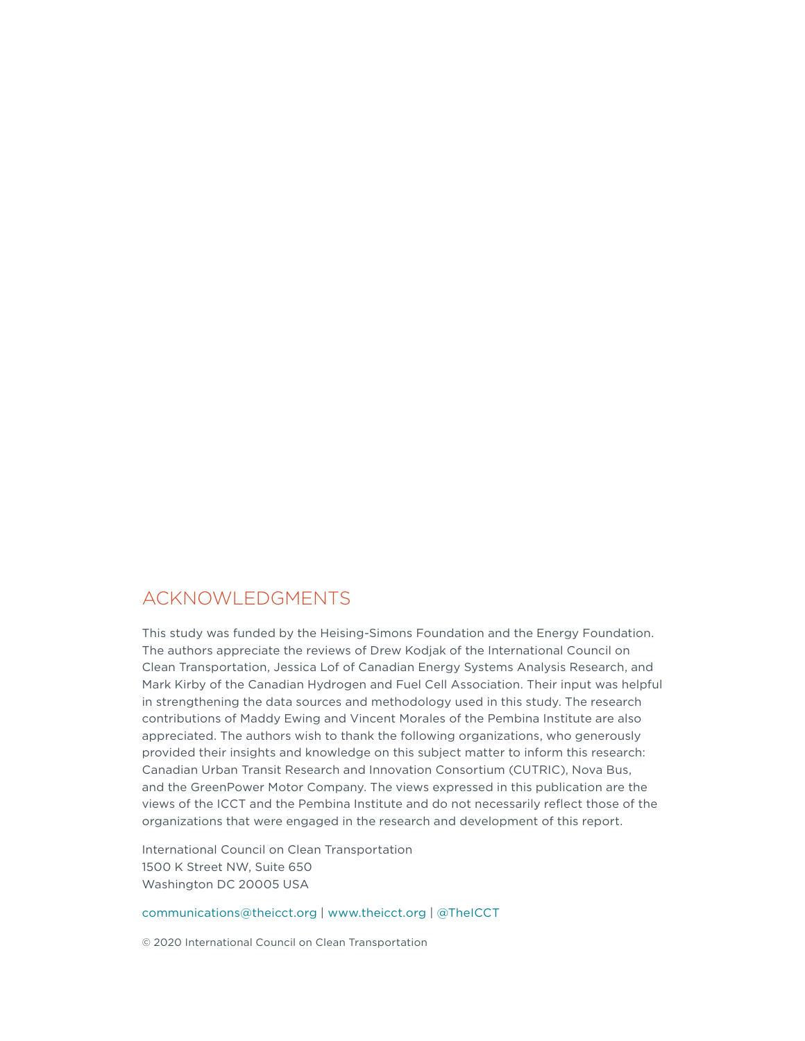## ACKNOWLEDGMENTS

This study was funded by the Heising-Simons Foundation and the Energy Foundation. The authors appreciate the reviews of Drew Kodjak of the International Council on Clean Transportation, Jessica Lof of Canadian Energy Systems Analysis Research, and Mark Kirby of the Canadian Hydrogen and Fuel Cell Association. Their input was helpful in strengthening the data sources and methodology used in this study. The research contributions of Maddy Ewing and Vincent Morales of the Pembina Institute are also appreciated. The authors wish to thank the following organizations, who generously provided their insights and knowledge on this subject matter to inform this research: Canadian Urban Transit Research and Innovation Consortium (CUTRIC), Nova Bus, and the GreenPower Motor Company. The views expressed in this publication are the views of the ICCT and the Pembina Institute and do not necessarily reflect those of the organizations that were engaged in the research and development of this report.

International Council on Clean Transportation 1500 K Street NW, Suite 650 Washington DC 20005 USA

[communications@theicct.org](mailto:communications%40theicct.org?subject=) |<www.theicct.org> | [@TheICCT](https://twitter.com/TheICCT)

© 2020 International Council on Clean Transportation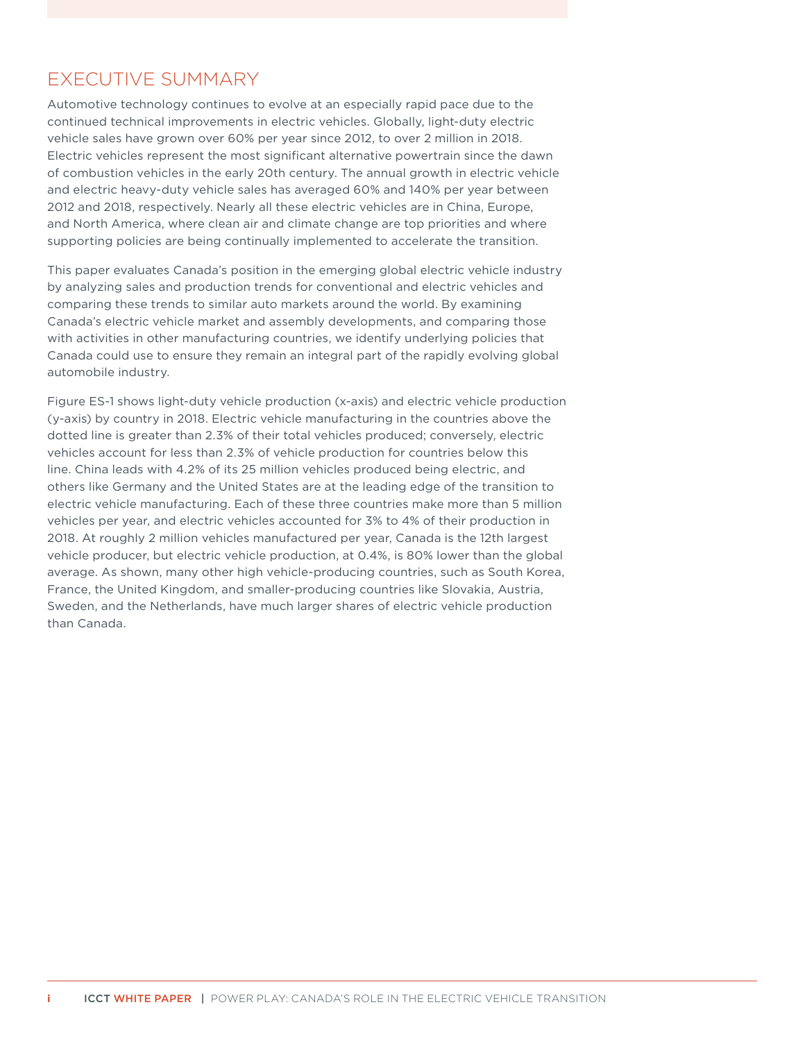# <span id="page-2-0"></span>EXECUTIVE SUMMARY

Automotive technology continues to evolve at an especially rapid pace due to the continued technical improvements in electric vehicles. Globally, light-duty electric vehicle sales have grown over 60% per year since 2012, to over 2 million in 2018. Electric vehicles represent the most significant alternative powertrain since the dawn of combustion vehicles in the early 20th century. The annual growth in electric vehicle and electric heavy-duty vehicle sales has averaged 60% and 140% per year between 2012 and 2018, respectively. Nearly all these electric vehicles are in China, Europe, and North America, where clean air and climate change are top priorities and where supporting policies are being continually implemented to accelerate the transition.

This paper evaluates Canada's position in the emerging global electric vehicle industry by analyzing sales and production trends for conventional and electric vehicles and comparing these trends to similar auto markets around the world. By examining Canada's electric vehicle market and assembly developments, and comparing those with activities in other manufacturing countries, we identify underlying policies that Canada could use to ensure they remain an integral part of the rapidly evolving global automobile industry.

Figure ES-1 shows light-duty vehicle production (x-axis) and electric vehicle production (y-axis) by country in 2018. Electric vehicle manufacturing in the countries above the dotted line is greater than 2.3% of their total vehicles produced; conversely, electric vehicles account for less than 2.3% of vehicle production for countries below this line. China leads with 4.2% of its 25 million vehicles produced being electric, and others like Germany and the United States are at the leading edge of the transition to electric vehicle manufacturing. Each of these three countries make more than 5 million vehicles per year, and electric vehicles accounted for 3% to 4% of their production in 2018. At roughly 2 million vehicles manufactured per year, Canada is the 12th largest vehicle producer, but electric vehicle production, at 0.4%, is 80% lower than the global average. As shown, many other high vehicle-producing countries, such as South Korea, France, the United Kingdom, and smaller-producing countries like Slovakia, Austria, Sweden, and the Netherlands, have much larger shares of electric vehicle production than Canada.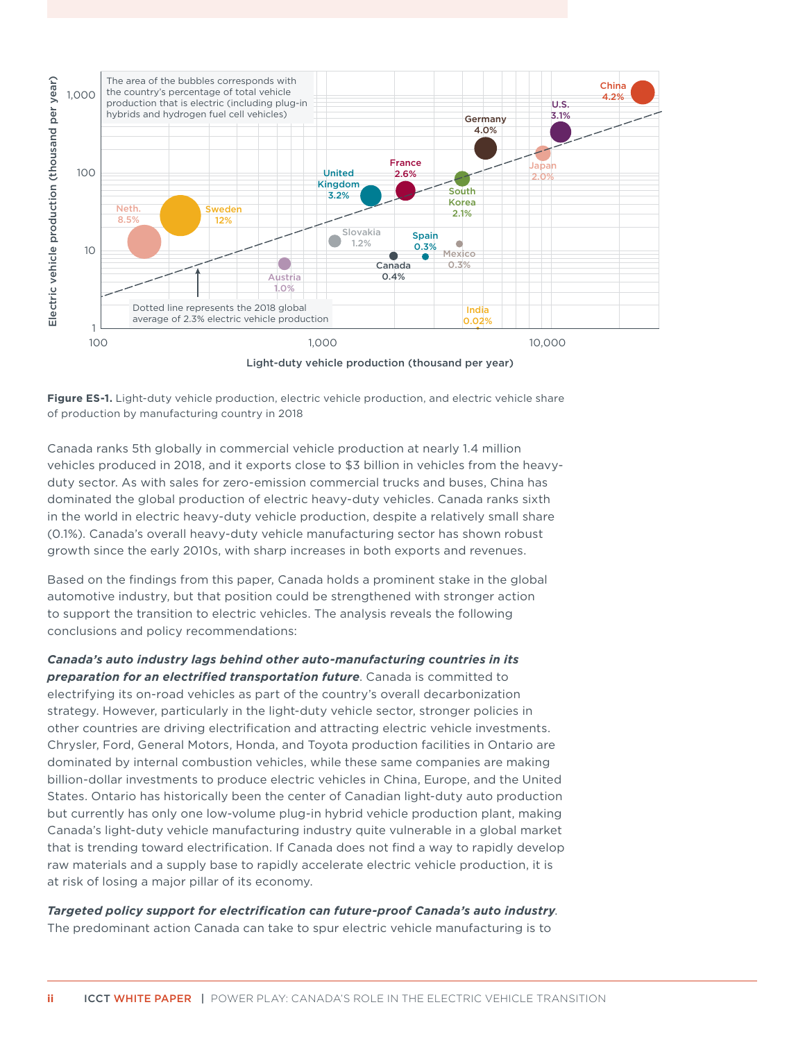

Light-duty vehicle production (thousand per year)

**Figure ES-1.** Light-duty vehicle production, electric vehicle production, and electric vehicle share of production by manufacturing country in 2018

Canada ranks 5th globally in commercial vehicle production at nearly 1.4 million vehicles produced in 2018, and it exports close to \$3 billion in vehicles from the heavyduty sector. As with sales for zero-emission commercial trucks and buses, China has dominated the global production of electric heavy-duty vehicles. Canada ranks sixth in the world in electric heavy-duty vehicle production, despite a relatively small share (0.1%). Canada's overall heavy-duty vehicle manufacturing sector has shown robust growth since the early 2010s, with sharp increases in both exports and revenues.

Based on the findings from this paper, Canada holds a prominent stake in the global automotive industry, but that position could be strengthened with stronger action to support the transition to electric vehicles. The analysis reveals the following conclusions and policy recommendations:

*Canada's auto industry lags behind other auto-manufacturing countries in its preparation for an electrified transportation future*. Canada is committed to electrifying its on-road vehicles as part of the country's overall decarbonization strategy. However, particularly in the light-duty vehicle sector, stronger policies in other countries are driving electrification and attracting electric vehicle investments. Chrysler, Ford, General Motors, Honda, and Toyota production facilities in Ontario are dominated by internal combustion vehicles, while these same companies are making billion-dollar investments to produce electric vehicles in China, Europe, and the United States. Ontario has historically been the center of Canadian light-duty auto production but currently has only one low-volume plug-in hybrid vehicle production plant, making Canada's light-duty vehicle manufacturing industry quite vulnerable in a global market that is trending toward electrification. If Canada does not find a way to rapidly develop raw materials and a supply base to rapidly accelerate electric vehicle production, it is at risk of losing a major pillar of its economy.

*Targeted policy support for electrification can future-proof Canada's auto industry*. The predominant action Canada can take to spur electric vehicle manufacturing is to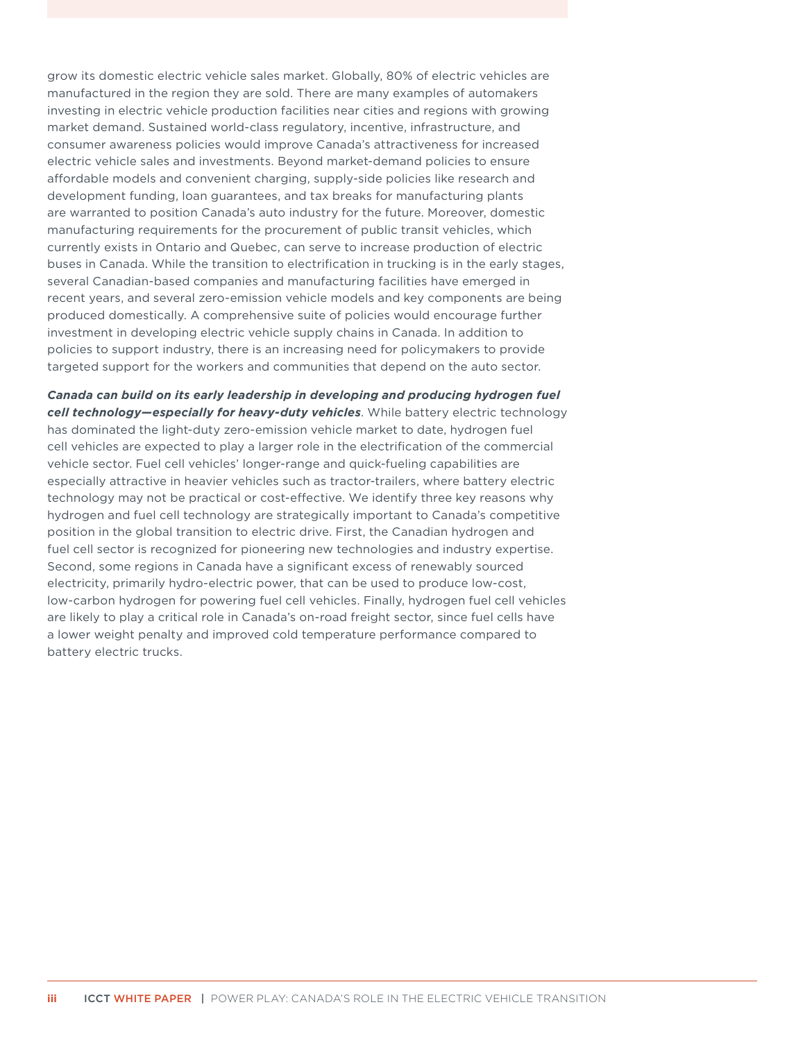grow its domestic electric vehicle sales market. Globally, 80% of electric vehicles are manufactured in the region they are sold. There are many examples of automakers investing in electric vehicle production facilities near cities and regions with growing market demand. Sustained world-class regulatory, incentive, infrastructure, and consumer awareness policies would improve Canada's attractiveness for increased electric vehicle sales and investments. Beyond market-demand policies to ensure affordable models and convenient charging, supply-side policies like research and development funding, loan guarantees, and tax breaks for manufacturing plants are warranted to position Canada's auto industry for the future. Moreover, domestic manufacturing requirements for the procurement of public transit vehicles, which currently exists in Ontario and Quebec, can serve to increase production of electric buses in Canada. While the transition to electrification in trucking is in the early stages, several Canadian-based companies and manufacturing facilities have emerged in recent years, and several zero-emission vehicle models and key components are being produced domestically. A comprehensive suite of policies would encourage further investment in developing electric vehicle supply chains in Canada. In addition to policies to support industry, there is an increasing need for policymakers to provide targeted support for the workers and communities that depend on the auto sector.

*Canada can build on its early leadership in developing and producing hydrogen fuel cell technology—especially for heavy-duty vehicles*. While battery electric technology has dominated the light-duty zero-emission vehicle market to date, hydrogen fuel cell vehicles are expected to play a larger role in the electrification of the commercial vehicle sector. Fuel cell vehicles' longer-range and quick-fueling capabilities are especially attractive in heavier vehicles such as tractor-trailers, where battery electric technology may not be practical or cost-effective. We identify three key reasons why hydrogen and fuel cell technology are strategically important to Canada's competitive position in the global transition to electric drive. First, the Canadian hydrogen and fuel cell sector is recognized for pioneering new technologies and industry expertise. Second, some regions in Canada have a significant excess of renewably sourced electricity, primarily hydro-electric power, that can be used to produce low-cost, low-carbon hydrogen for powering fuel cell vehicles. Finally, hydrogen fuel cell vehicles are likely to play a critical role in Canada's on-road freight sector, since fuel cells have a lower weight penalty and improved cold temperature performance compared to battery electric trucks.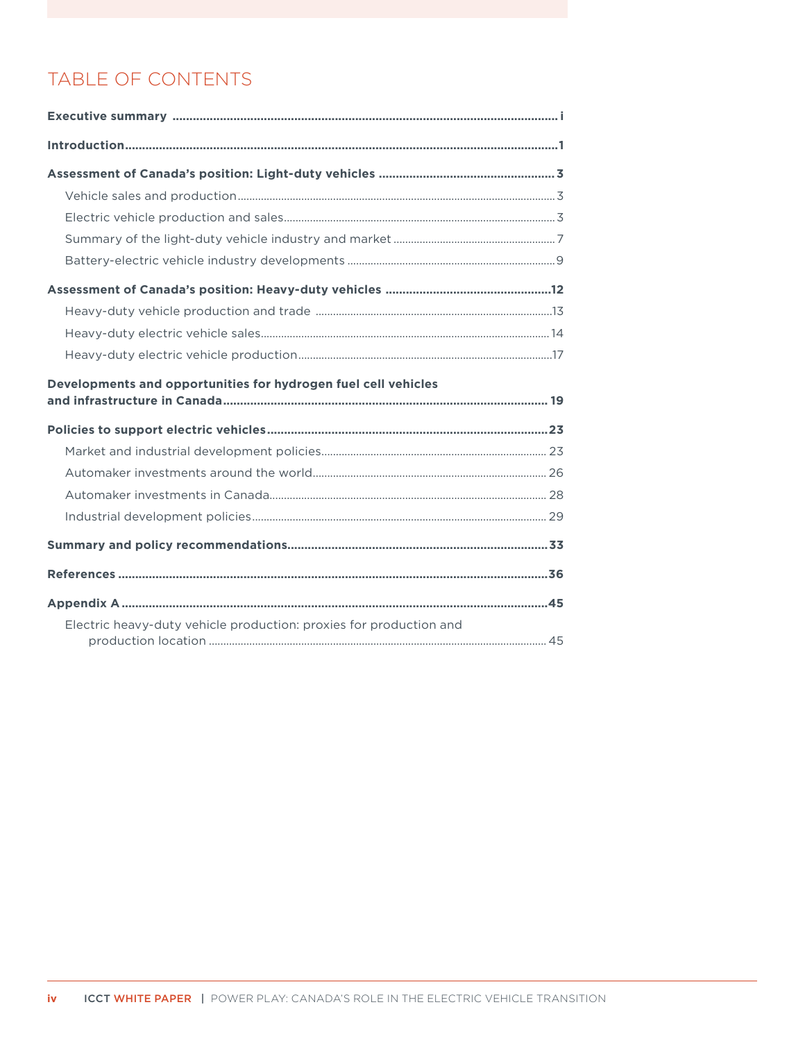# TABLE OF CONTENTS

| Developments and opportunities for hydrogen fuel cell vehicles |  |
|----------------------------------------------------------------|--|
|                                                                |  |
|                                                                |  |
|                                                                |  |
|                                                                |  |
|                                                                |  |
|                                                                |  |
|                                                                |  |
|                                                                |  |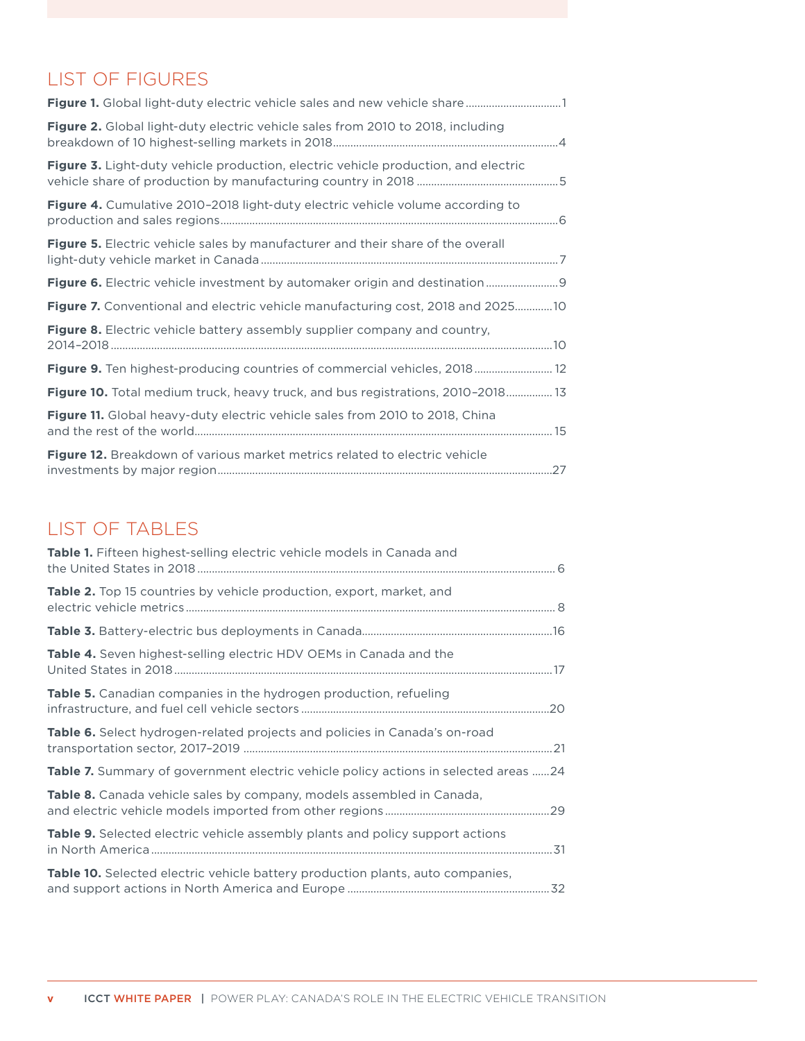# LIST OF FIGURES

| Figure 2. Global light-duty electric vehicle sales from 2010 to 2018, including        |
|----------------------------------------------------------------------------------------|
| Figure 3. Light-duty vehicle production, electric vehicle production, and electric     |
| Figure 4. Cumulative 2010-2018 light-duty electric vehicle volume according to         |
| Figure 5. Electric vehicle sales by manufacturer and their share of the overall        |
| Figure 6. Electric vehicle investment by automaker origin and destination 9            |
| <b>Figure 7.</b> Conventional and electric vehicle manufacturing cost, 2018 and 202510 |
| Figure 8. Electric vehicle battery assembly supplier company and country,              |
| Figure 9. Ten highest-producing countries of commercial vehicles, 2018 12              |
| Figure 10. Total medium truck, heavy truck, and bus registrations, 2010-2018 13        |
| Figure 11. Global heavy-duty electric vehicle sales from 2010 to 2018, China           |
| Figure 12. Breakdown of various market metrics related to electric vehicle             |

# LIST OF TABLES

| <b>Table 1.</b> Fifteen highest-selling electric vehicle models in Canada and              |
|--------------------------------------------------------------------------------------------|
| <b>Table 2.</b> Top 15 countries by vehicle production, export, market, and                |
|                                                                                            |
| <b>Table 4.</b> Seven highest-selling electric HDV OEMs in Canada and the                  |
| <b>Table 5.</b> Canadian companies in the hydrogen production, refueling                   |
| Table 6. Select hydrogen-related projects and policies in Canada's on-road                 |
| <b>Table 7.</b> Summary of government electric vehicle policy actions in selected areas 24 |
| <b>Table 8.</b> Canada vehicle sales by company, models assembled in Canada,               |
| <b>Table 9.</b> Selected electric vehicle assembly plants and policy support actions       |
| <b>Table 10.</b> Selected electric vehicle battery production plants, auto companies,      |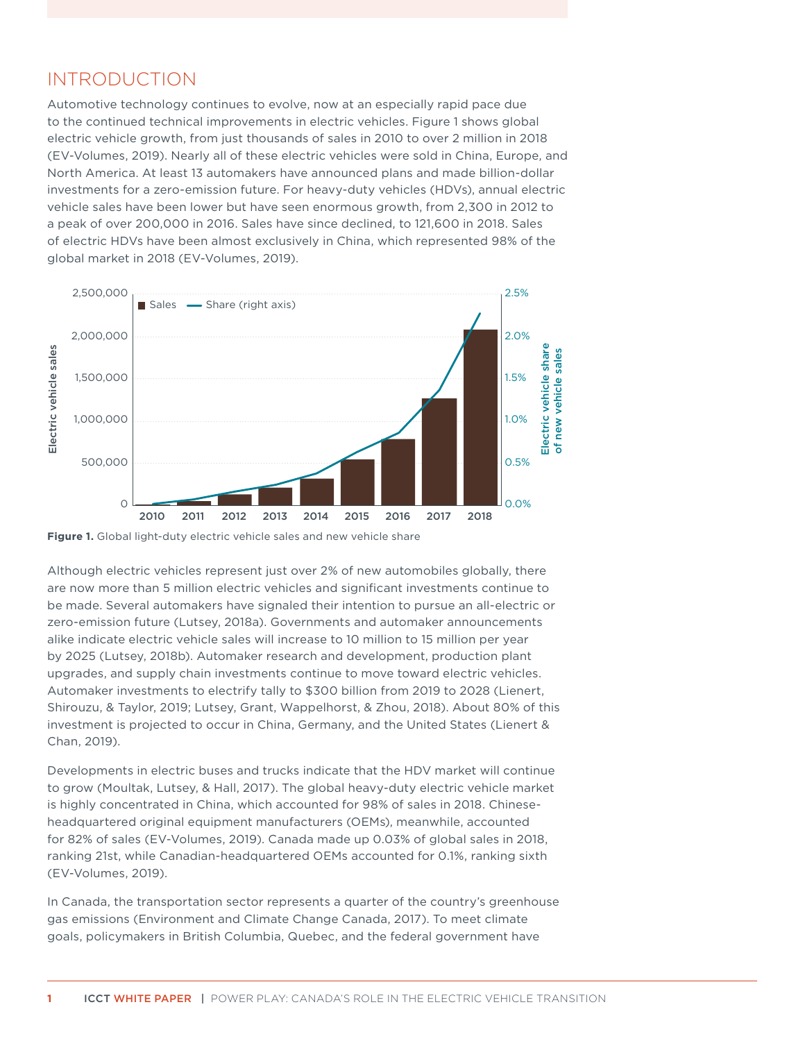# <span id="page-7-0"></span>INTRODUCTION

Automotive technology continues to evolve, now at an especially rapid pace due to the continued technical improvements in electric vehicles. Figure 1 shows global electric vehicle growth, from just thousands of sales in 2010 to over 2 million in 2018 (EV-Volumes, 2019). Nearly all of these electric vehicles were sold in China, Europe, and North America. At least 13 automakers have announced plans and made billion-dollar investments for a zero-emission future. For heavy-duty vehicles (HDVs), annual electric vehicle sales have been lower but have seen enormous growth, from 2,300 in 2012 to a peak of over 200,000 in 2016. Sales have since declined, to 121,600 in 2018. Sales of electric HDVs have been almost exclusively in China, which represented 98% of the global market in 2018 (EV-Volumes, 2019).



**Figure 1.** Global light-duty electric vehicle sales and new vehicle share

Although electric vehicles represent just over 2% of new automobiles globally, there are now more than 5 million electric vehicles and significant investments continue to be made. Several automakers have signaled their intention to pursue an all-electric or zero-emission future (Lutsey, 2018a). Governments and automaker announcements alike indicate electric vehicle sales will increase to 10 million to 15 million per year by 2025 (Lutsey, 2018b). Automaker research and development, production plant upgrades, and supply chain investments continue to move toward electric vehicles. Automaker investments to electrify tally to \$300 billion from 2019 to 2028 (Lienert, Shirouzu, & Taylor, 2019; Lutsey, Grant, Wappelhorst, & Zhou, 2018). About 80% of this investment is projected to occur in China, Germany, and the United States (Lienert & Chan, 2019).

Developments in electric buses and trucks indicate that the HDV market will continue to grow (Moultak, Lutsey, & Hall, 2017). The global heavy-duty electric vehicle market is highly concentrated in China, which accounted for 98% of sales in 2018. Chineseheadquartered original equipment manufacturers (OEMs), meanwhile, accounted for 82% of sales (EV-Volumes, 2019). Canada made up 0.03% of global sales in 2018, ranking 21st, while Canadian-headquartered OEMs accounted for 0.1%, ranking sixth (EV-Volumes, 2019).

In Canada, the transportation sector represents a quarter of the country's greenhouse gas emissions (Environment and Climate Change Canada, 2017). To meet climate goals, policymakers in British Columbia, Quebec, and the federal government have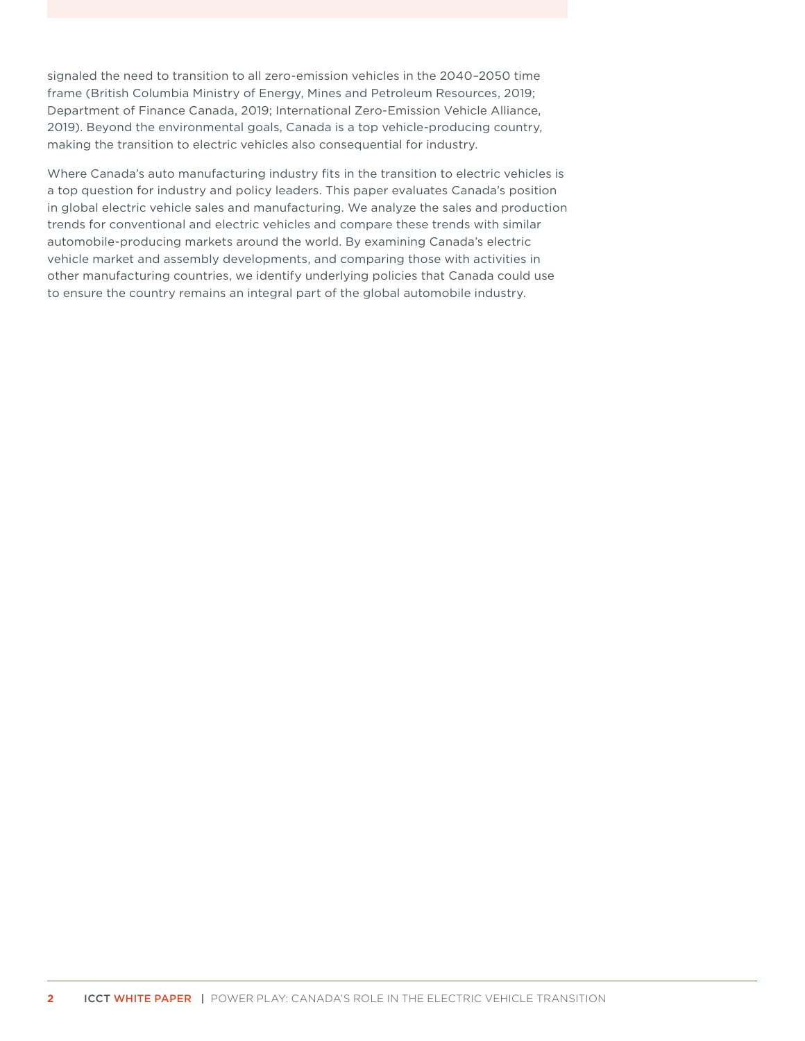signaled the need to transition to all zero-emission vehicles in the 2040–2050 time frame (British Columbia Ministry of Energy, Mines and Petroleum Resources, 2019; Department of Finance Canada, 2019; International Zero-Emission Vehicle Alliance, 2019). Beyond the environmental goals, Canada is a top vehicle-producing country, making the transition to electric vehicles also consequential for industry.

Where Canada's auto manufacturing industry fits in the transition to electric vehicles is a top question for industry and policy leaders. This paper evaluates Canada's position in global electric vehicle sales and manufacturing. We analyze the sales and production trends for conventional and electric vehicles and compare these trends with similar automobile-producing markets around the world. By examining Canada's electric vehicle market and assembly developments, and comparing those with activities in other manufacturing countries, we identify underlying policies that Canada could use to ensure the country remains an integral part of the global automobile industry.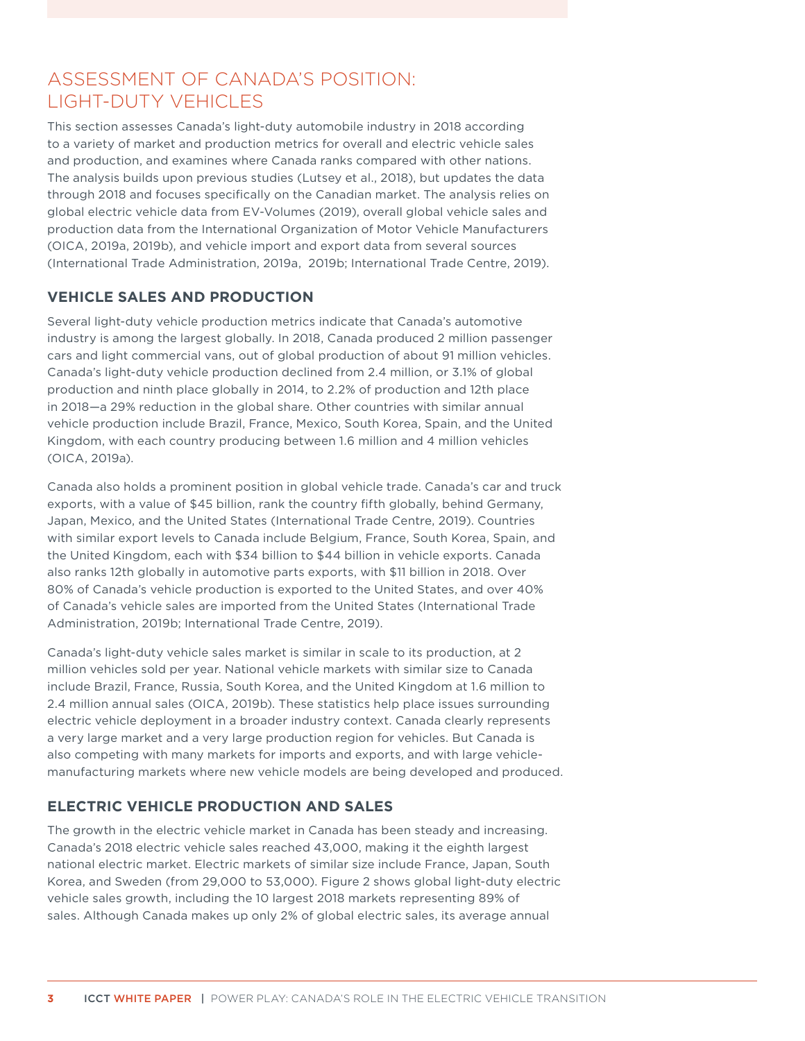# <span id="page-9-0"></span>ASSESSMENT OF CANADA'S POSITION: LIGHT-DUTY VEHICLES

This section assesses Canada's light-duty automobile industry in 2018 according to a variety of market and production metrics for overall and electric vehicle sales and production, and examines where Canada ranks compared with other nations. The analysis builds upon previous studies (Lutsey et al., 2018), but updates the data through 2018 and focuses specifically on the Canadian market. The analysis relies on global electric vehicle data from EV-Volumes (2019), overall global vehicle sales and production data from the International Organization of Motor Vehicle Manufacturers (OICA, 2019a, 2019b), and vehicle import and export data from several sources (International Trade Administration, 2019a, 2019b; International Trade Centre, 2019).

### **VEHICLE SALES AND PRODUCTION**

Several light-duty vehicle production metrics indicate that Canada's automotive industry is among the largest globally. In 2018, Canada produced 2 million passenger cars and light commercial vans, out of global production of about 91 million vehicles. Canada's light-duty vehicle production declined from 2.4 million, or 3.1% of global production and ninth place globally in 2014, to 2.2% of production and 12th place in 2018—a 29% reduction in the global share. Other countries with similar annual vehicle production include Brazil, France, Mexico, South Korea, Spain, and the United Kingdom, with each country producing between 1.6 million and 4 million vehicles (OICA, 2019a).

Canada also holds a prominent position in global vehicle trade. Canada's car and truck exports, with a value of \$45 billion, rank the country fifth globally, behind Germany, Japan, Mexico, and the United States (International Trade Centre, 2019). Countries with similar export levels to Canada include Belgium, France, South Korea, Spain, and the United Kingdom, each with \$34 billion to \$44 billion in vehicle exports. Canada also ranks 12th globally in automotive parts exports, with \$11 billion in 2018. Over 80% of Canada's vehicle production is exported to the United States, and over 40% of Canada's vehicle sales are imported from the United States (International Trade Administration, 2019b; International Trade Centre, 2019).

Canada's light-duty vehicle sales market is similar in scale to its production, at 2 million vehicles sold per year. National vehicle markets with similar size to Canada include Brazil, France, Russia, South Korea, and the United Kingdom at 1.6 million to 2.4 million annual sales (OICA, 2019b). These statistics help place issues surrounding electric vehicle deployment in a broader industry context. Canada clearly represents a very large market and a very large production region for vehicles. But Canada is also competing with many markets for imports and exports, and with large vehiclemanufacturing markets where new vehicle models are being developed and produced.

### **ELECTRIC VEHICLE PRODUCTION AND SALES**

The growth in the electric vehicle market in Canada has been steady and increasing. Canada's 2018 electric vehicle sales reached 43,000, making it the eighth largest national electric market. Electric markets of similar size include France, Japan, South Korea, and Sweden (from 29,000 to 53,000). [Figure](#page-10-1) 2 shows global light-duty electric vehicle sales growth, including the 10 largest 2018 markets representing 89% of sales. Although Canada makes up only 2% of global electric sales, its average annual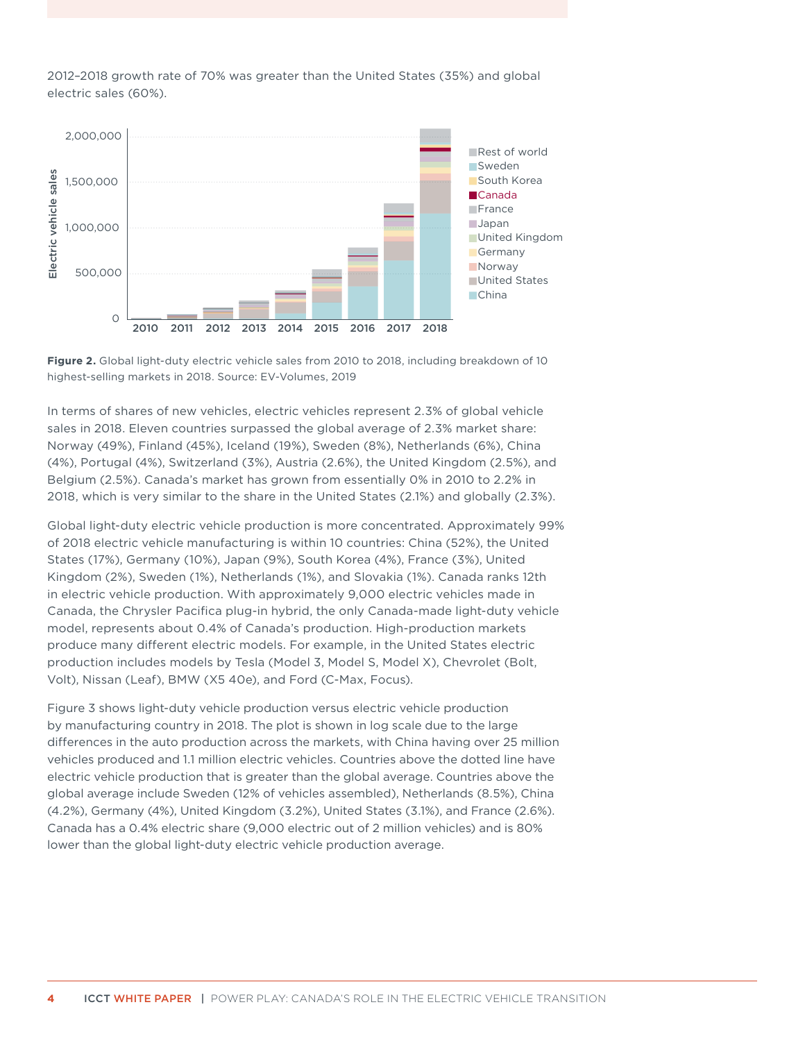<span id="page-10-0"></span>2012–2018 growth rate of 70% was greater than the United States (35%) and global electric sales (60%).



<span id="page-10-1"></span>

In terms of shares of new vehicles, electric vehicles represent 2.3% of global vehicle sales in 2018. Eleven countries surpassed the global average of 2.3% market share: Norway (49%), Finland (45%), Iceland (19%), Sweden (8%), Netherlands (6%), China (4%), Portugal (4%), Switzerland (3%), Austria (2.6%), the United Kingdom (2.5%), and Belgium (2.5%). Canada's market has grown from essentially 0% in 2010 to 2.2% in 2018, which is very similar to the share in the United States (2.1%) and globally (2.3%).

Global light-duty electric vehicle production is more concentrated. Approximately 99% of 2018 electric vehicle manufacturing is within 10 countries: China (52%), the United States (17%), Germany (10%), Japan (9%), South Korea (4%), France (3%), United Kingdom (2%), Sweden (1%), Netherlands (1%), and Slovakia (1%). Canada ranks 12th in electric vehicle production. With approximately 9,000 electric vehicles made in Canada, the Chrysler Pacifica plug-in hybrid, the only Canada-made light-duty vehicle model, represents about 0.4% of Canada's production. High-production markets produce many different electric models. For example, in the United States electric production includes models by Tesla (Model 3, Model S, Model X), Chevrolet (Bolt, Volt), Nissan (Leaf), BMW (X5 40e), and Ford (C-Max, Focus).

[Figure](#page-11-1) 3 shows light-duty vehicle production versus electric vehicle production by manufacturing country in 2018. The plot is shown in log scale due to the large differences in the auto production across the markets, with China having over 25 million vehicles produced and 1.1 million electric vehicles. Countries above the dotted line have electric vehicle production that is greater than the global average. Countries above the global average include Sweden (12% of vehicles assembled), Netherlands (8.5%), China (4.2%), Germany (4%), United Kingdom (3.2%), United States (3.1%), and France (2.6%). Canada has a 0.4% electric share (9,000 electric out of 2 million vehicles) and is 80% lower than the global light-duty electric vehicle production average.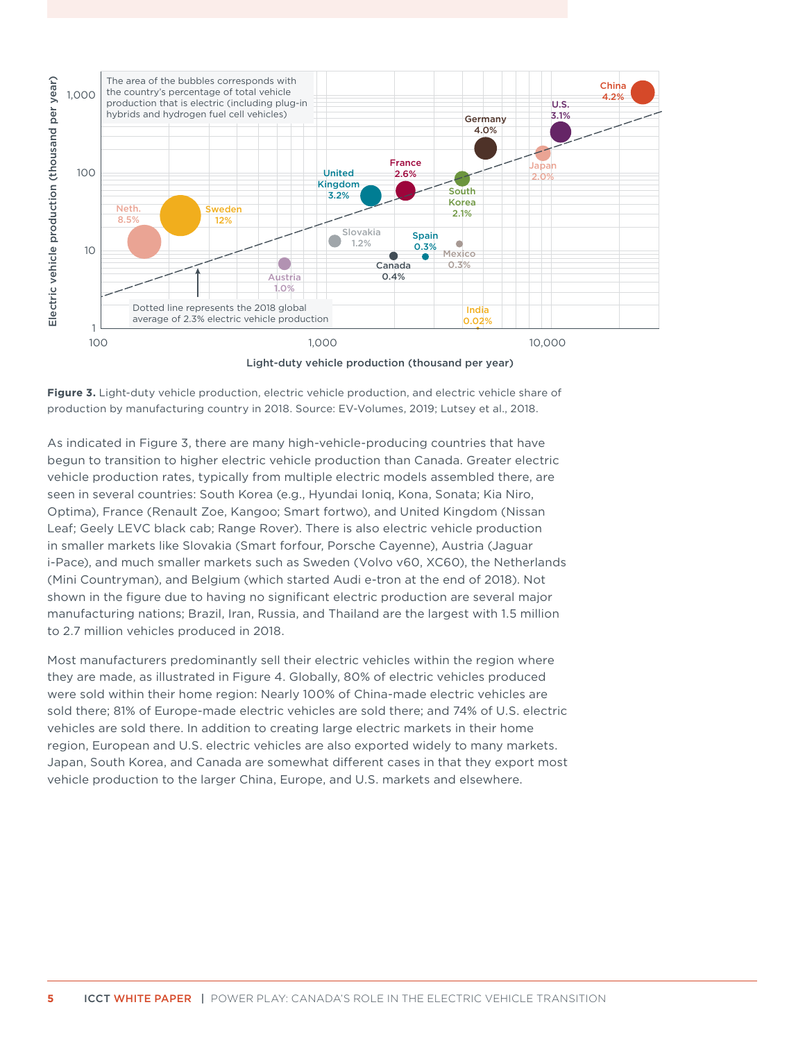<span id="page-11-0"></span>

Light-duty vehicle production (thousand per year)

<span id="page-11-1"></span>

As indicated in [Figure 3](#page-11-1), there are many high-vehicle-producing countries that have begun to transition to higher electric vehicle production than Canada. Greater electric vehicle production rates, typically from multiple electric models assembled there, are seen in several countries: South Korea (e.g., Hyundai Ioniq, Kona, Sonata; Kia Niro, Optima), France (Renault Zoe, Kangoo; Smart fortwo), and United Kingdom (Nissan Leaf; Geely LEVC black cab; Range Rover). There is also electric vehicle production in smaller markets like Slovakia (Smart forfour, Porsche Cayenne), Austria (Jaguar i-Pace), and much smaller markets such as Sweden (Volvo v60, XC60), the Netherlands (Mini Countryman), and Belgium (which started Audi e-tron at the end of 2018). Not shown in the figure due to having no significant electric production are several major manufacturing nations; Brazil, Iran, Russia, and Thailand are the largest with 1.5 million to 2.7 million vehicles produced in 2018.

Most manufacturers predominantly sell their electric vehicles within the region where they are made, as illustrated in [Figure 4](#page-12-1). Globally, 80% of electric vehicles produced were sold within their home region: Nearly 100% of China-made electric vehicles are sold there; 81% of Europe-made electric vehicles are sold there; and 74% of U.S. electric vehicles are sold there. In addition to creating large electric markets in their home region, European and U.S. electric vehicles are also exported widely to many markets. Japan, South Korea, and Canada are somewhat different cases in that they export most vehicle production to the larger China, Europe, and U.S. markets and elsewhere.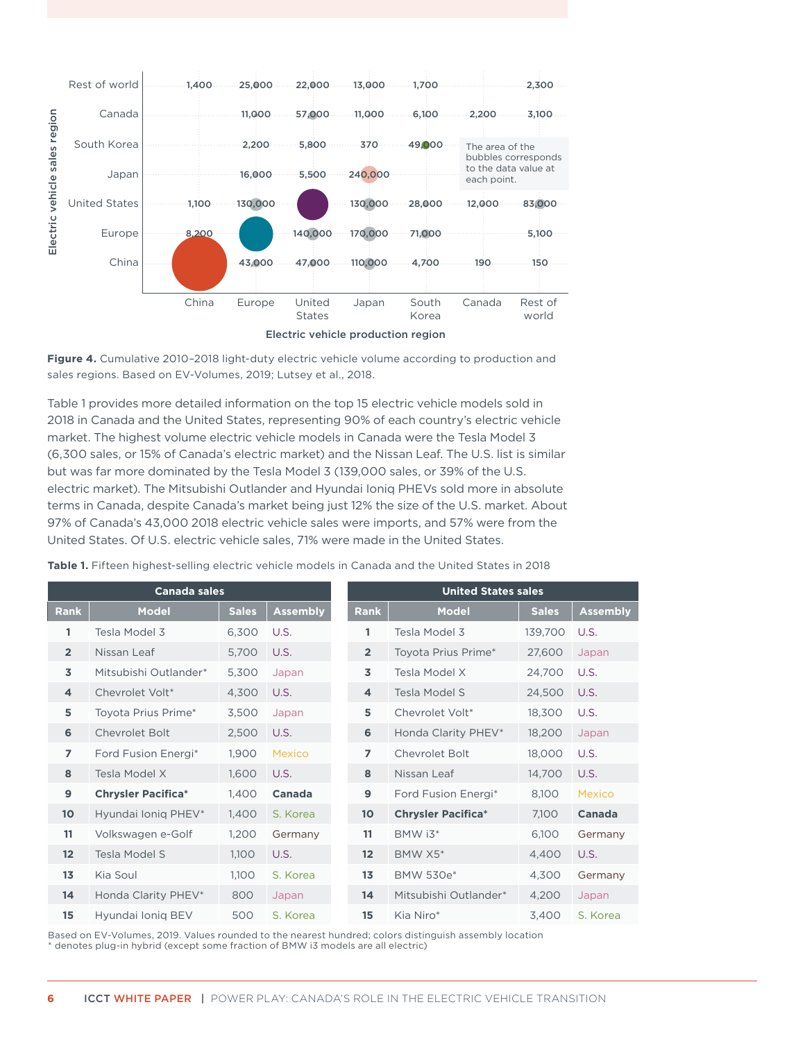<span id="page-12-0"></span>

<span id="page-12-1"></span>

Table 1 provides more detailed information on the top 15 electric vehicle models sold in 2018 in Canada and the United States, representing 90% of each country's electric vehicle market. The highest volume electric vehicle models in Canada were the Tesla Model 3 (6,300 sales, or 15% of Canada's electric market) and the Nissan Leaf. The U.S. list is similar but was far more dominated by the Tesla Model 3 (139,000 sales, or 39% of the U.S. electric market). The Mitsubishi Outlander and Hyundai Ioniq PHEVs sold more in absolute terms in Canada, despite Canada's market being just 12% the size of the U.S. market. About 97% of Canada's 43,000 2018 electric vehicle sales were imports, and 57% were from the United States. Of U.S. electric vehicle sales, 71% were made in the United States.

|                 | <b>Canada sales</b>       |              |                 |  |                 | <b>United States sales</b> |              |                 |
|-----------------|---------------------------|--------------|-----------------|--|-----------------|----------------------------|--------------|-----------------|
| <b>Rank</b>     | <b>Model</b>              | <b>Sales</b> | <b>Assembly</b> |  | <b>Rank</b>     | <b>Model</b>               | <b>Sales</b> | <b>Assembly</b> |
| 1               | Tesla Model 3             | 6,300        | U.S.            |  | 1               | Tesla Model 3              | 139,700      | U.S.            |
| $\overline{2}$  | Nissan Leaf               | 5,700        | U.S.            |  | $\overline{2}$  | Toyota Prius Prime*        | 27,600       | Japan           |
| 3               | Mitsubishi Outlander*     | 5,300        | Japan           |  | 3               | Tesla Model X              | 24,700       | U.S.            |
| 4               | Chevrolet Volt*           | 4,300        | U.S.            |  | $\overline{4}$  | Tesla Model S              | 24,500       | U.S.            |
| 5               | Toyota Prius Prime*       | 3,500        | Japan           |  | 5               | Chevrolet Volt*            | 18,300       | U.S.            |
| 6               | Chevrolet Bolt            | 2,500        | U.S.            |  | 6               | Honda Clarity PHEV*        | 18,200       | Japan           |
| $\overline{7}$  | Ford Fusion Energi*       | 1,900        | <b>Mexico</b>   |  | $\overline{ }$  | <b>Chevrolet Bolt</b>      | 18,000       | U.S.            |
| 8               | Tesla Model X             | 1,600        | U.S.            |  | 8               | Nissan Leaf                | 14,700       | U.S.            |
| 9               | <b>Chrysler Pacifica*</b> | 1,400        | Canada          |  | $\mathbf{9}$    | Ford Fusion Energi*        | 8,100        | Mexico          |
| 10              | Hyundai Ionig PHEV*       | 1,400        | S. Korea        |  | 10 <sup>°</sup> | <b>Chrysler Pacifica*</b>  | 7,100        | Canada          |
| 11              | Volkswagen e-Golf         | 1,200        | Germany         |  | 11              | BMW i3*                    | 6,100        | Germany         |
| 12 <sup>2</sup> | Tesla Model S             | 1,100        | U.S.            |  | 12 <sup>2</sup> | BMW X5*                    | 4,400        | U.S.            |
| 13              | Kia Soul                  | 1,100        | S. Korea        |  | 13              | BMW 530e*                  | 4,300        | Germany         |
| 14              | Honda Clarity PHEV*       | 800          | Japan           |  | 14              | Mitsubishi Outlander*      | 4,200        | Japan           |
| 15              | Hyundai Ionig BEV         | 500          | S. Korea        |  | 15              | Kia Niro*                  | 3,400        | S. Korea        |

**Table 1.** Fifteen highest-selling electric vehicle models in Canada and the United States in 2018

Based on EV-Volumes, 2019. Values rounded to the nearest hundred; colors distinguish assembly location \* denotes plug-in hybrid (except some fraction of BMW i3 models are all electric)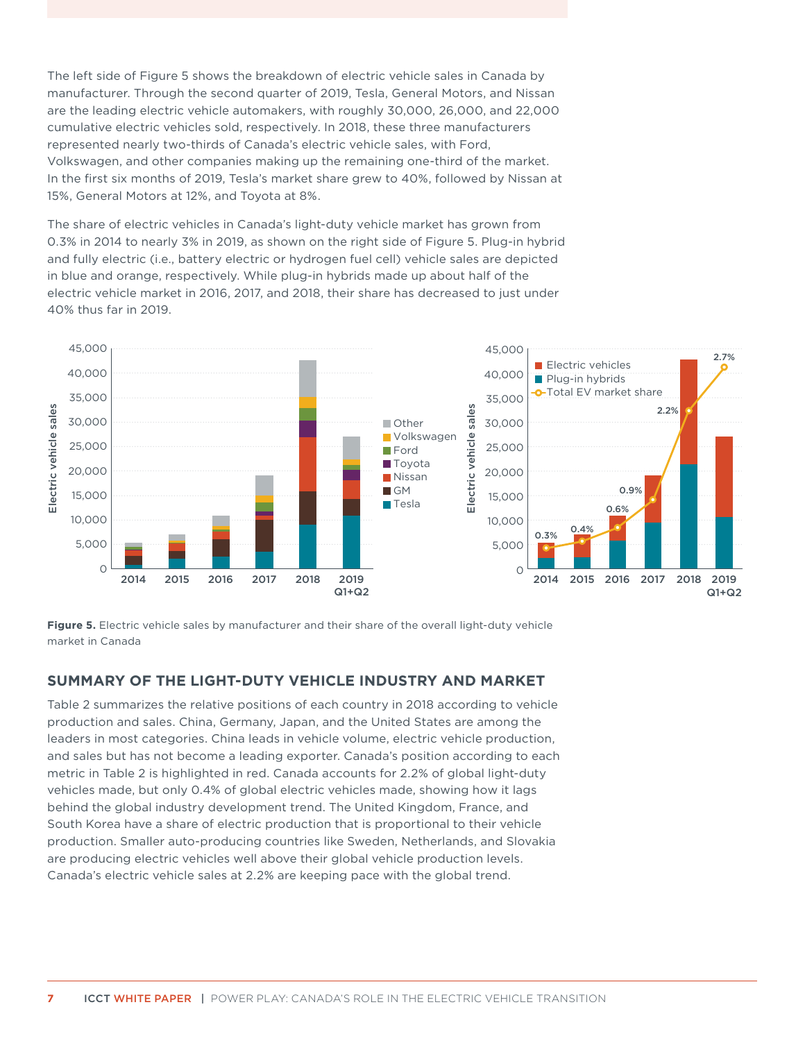<span id="page-13-0"></span>The left side of [Figure](#page-13-1) 5 shows the breakdown of electric vehicle sales in Canada by manufacturer. Through the second quarter of 2019, Tesla, General Motors, and Nissan are the leading electric vehicle automakers, with roughly 30,000, 26,000, and 22,000 cumulative electric vehicles sold, respectively. In 2018, these three manufacturers represented nearly two-thirds of Canada's electric vehicle sales, with Ford, Volkswagen, and other companies making up the remaining one-third of the market. In the first six months of 2019, Tesla's market share grew to 40%, followed by Nissan at 15%, General Motors at 12%, and Toyota at 8%.

The share of electric vehicles in Canada's light-duty vehicle market has grown from 0.3% in 2014 to nearly 3% in 2019, as shown on the right side of [Figure 5](#page-13-1). Plug-in hybrid and fully electric (i.e., battery electric or hydrogen fuel cell) vehicle sales are depicted in blue and orange, respectively. While plug-in hybrids made up about half of the electric vehicle market in 2016, 2017, and 2018, their share has decreased to just under 40% thus far in 2019.



<span id="page-13-1"></span>**Figure 5.** Electric vehicle sales by manufacturer and their share of the overall light-duty vehicle market in Canada

### **SUMMARY OF THE LIGHT-DUTY VEHICLE INDUSTRY AND MARKET**

Table 2 summarizes the relative positions of each country in 2018 according to vehicle production and sales. China, Germany, Japan, and the United States are among the leaders in most categories. China leads in vehicle volume, electric vehicle production, and sales but has not become a leading exporter. Canada's position according to each metric in Table 2 is highlighted in red. Canada accounts for 2.2% of global light-duty vehicles made, but only 0.4% of global electric vehicles made, showing how it lags behind the global industry development trend. The United Kingdom, France, and South Korea have a share of electric production that is proportional to their vehicle production. Smaller auto-producing countries like Sweden, Netherlands, and Slovakia are producing electric vehicles well above their global vehicle production levels. Canada's electric vehicle sales at 2.2% are keeping pace with the global trend.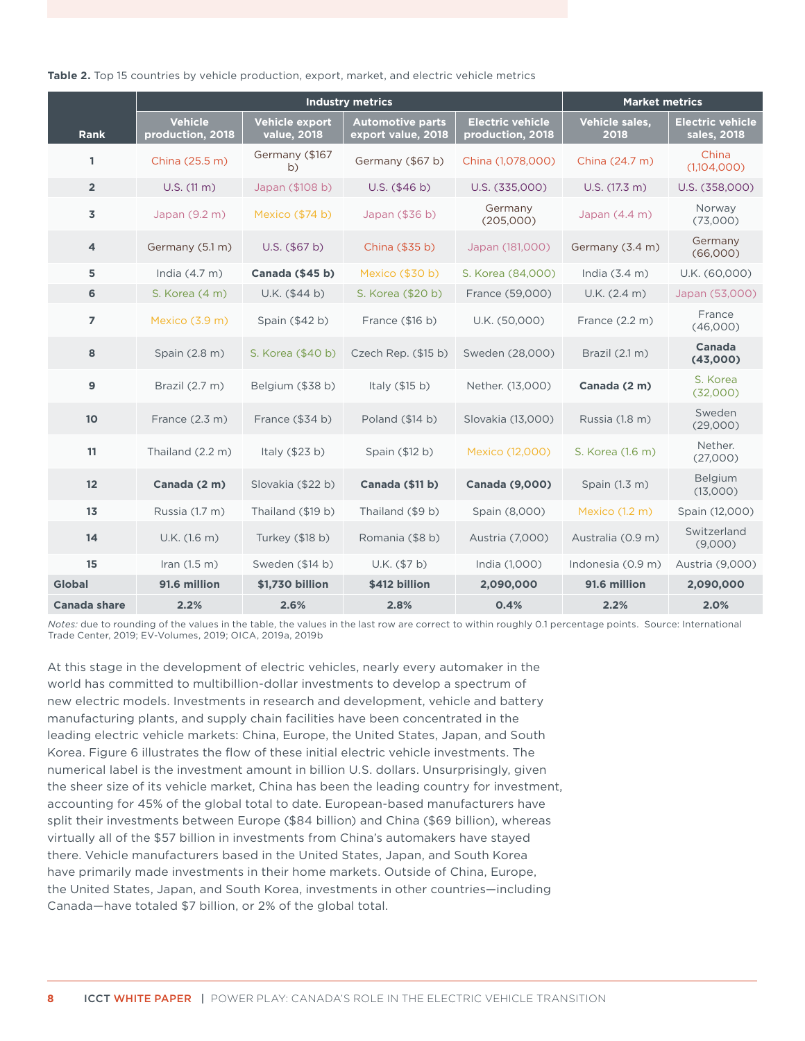|                         |                                    | <b>Industry metrics</b>       | <b>Market metrics</b>                         |                                             |                                      |                                        |
|-------------------------|------------------------------------|-------------------------------|-----------------------------------------------|---------------------------------------------|--------------------------------------|----------------------------------------|
| <b>Rank</b>             | <b>Vehicle</b><br>production, 2018 | Vehicle export<br>value, 2018 | <b>Automotive parts</b><br>export value, 2018 | <b>Electric vehicle</b><br>production, 2018 | Vehicle sales,<br>$\overline{2}$ 018 | <b>Electric vehicle</b><br>sales, 2018 |
| 1                       | China (25.5 m)                     | Germany (\$167<br>b)          | Germany (\$67 b)                              | China (1,078,000)                           | China (24.7 m)                       | China<br>(1,104,000)                   |
| $\overline{2}$          | $U.S.$ (11 m)                      | Japan (\$108 b)               | U.S. (\$46 b)                                 | U.S. (335,000)                              | U.S. (17.3 m)                        | U.S. (358,000)                         |
| 3                       | Japan (9.2 m)                      | Mexico (\$74 b)               | Japan (\$36 b)                                | Germany<br>(205,000)                        | Japan $(4.4 m)$                      | Norway<br>(73,000)                     |
| $\overline{\mathbf{4}}$ | Germany (5.1 m)                    | $U.S.$ (\$67 b)               | China (\$35 b)                                | Japan (181,000)                             | Germany (3.4 m)                      | Germany<br>(66,000)                    |
| 5                       | India (4.7 m)                      | Canada (\$45 b)               | Mexico (\$30 b)                               | S. Korea (84,000)                           | India $(3.4 m)$                      | U.K. (60,000)                          |
| 6                       | S. Korea (4 m)                     | $U.K.$ (\$44 b)               | S. Korea (\$20 b)                             | France (59,000)                             | U.K. (2.4 m)                         | Japan (53,000)                         |
| $\overline{7}$          | Mexico (3.9 m)                     | Spain (\$42 b)                | France $(\$16 b)$                             | U.K. (50,000)                               | France $(2.2 m)$                     | France<br>(46,000)                     |
| 8                       | Spain (2.8 m)                      | S. Korea (\$40 b)             | Czech Rep. (\$15 b)                           | Sweden (28,000)                             | Brazil (2.1 m)                       | Canada<br>(43,000)                     |
| 9                       | Brazil (2.7 m)                     | Belgium (\$38 b)              | Italy $( $15 b)$                              | Nether. (13,000)                            | Canada (2 m)                         | S. Korea<br>(32,000)                   |
| 10                      | France $(2.3 m)$                   | France (\$34 b)               | Poland (\$14 b)                               | Slovakia (13,000)                           | Russia (1.8 m)                       | Sweden<br>(29,000)                     |
| 11                      | Thailand (2.2 m)                   | Italy (\$23 b)                | Spain (\$12 b)                                | Mexico (12,000)                             | S. Korea (1.6 m)                     | Nether.<br>(27,000)                    |
| 12                      | Canada (2 m)                       | Slovakia (\$22 b)             | Canada (\$11 b)                               | <b>Canada (9,000)</b>                       | Spain (1.3 m)                        | Belgium<br>(13,000)                    |
| 13                      | Russia (1.7 m)                     | Thailand (\$19 b)             | Thailand (\$9 b)                              | Spain (8,000)                               | Mexico (1.2 m)                       | Spain (12,000)                         |
| 14                      | U.K. (1.6 m)                       | Turkey (\$18 b)               | Romania (\$8 b)                               | Austria (7,000)                             | Australia (0.9 m)                    | Switzerland<br>(9,000)                 |
| 15                      | Iran $(1.5 m)$                     | Sweden (\$14 b)               | U.K. (\$7 b)                                  | India (1,000)                               | Indonesia (0.9 m)                    | Austria (9,000)                        |
| Global                  | 91.6 million                       | \$1,730 billion               | \$412 billion                                 | 2,090,000                                   | 91.6 million                         | 2,090,000                              |
| Canada share            | 2.2%                               | 2.6%                          | 2.8%                                          | 0.4%                                        | 2.2%                                 | 2.0%                                   |

#### <span id="page-14-0"></span>**Table 2.** Top 15 countries by vehicle production, export, market, and electric vehicle metrics

*Notes:* due to rounding of the values in the table, the values in the last row are correct to within roughly 0.1 percentage points. Source: International Trade Center, 2019; EV-Volumes, 2019; OICA, 2019a, 2019b

At this stage in the development of electric vehicles, nearly every automaker in the world has committed to multibillion-dollar investments to develop a spectrum of new electric models. Investments in research and development, vehicle and battery manufacturing plants, and supply chain facilities have been concentrated in the leading electric vehicle markets: China, Europe, the United States, Japan, and South Korea. [Figure](#page-15-1) 6 illustrates the flow of these initial electric vehicle investments. The numerical label is the investment amount in billion U.S. dollars. Unsurprisingly, given the sheer size of its vehicle market, China has been the leading country for investment, accounting for 45% of the global total to date. European-based manufacturers have split their investments between Europe (\$84 billion) and China (\$69 billion), whereas virtually all of the \$57 billion in investments from China's automakers have stayed there. Vehicle manufacturers based in the United States, Japan, and South Korea have primarily made investments in their home markets. Outside of China, Europe, the United States, Japan, and South Korea, investments in other countries—including Canada—have totaled \$7 billion, or 2% of the global total.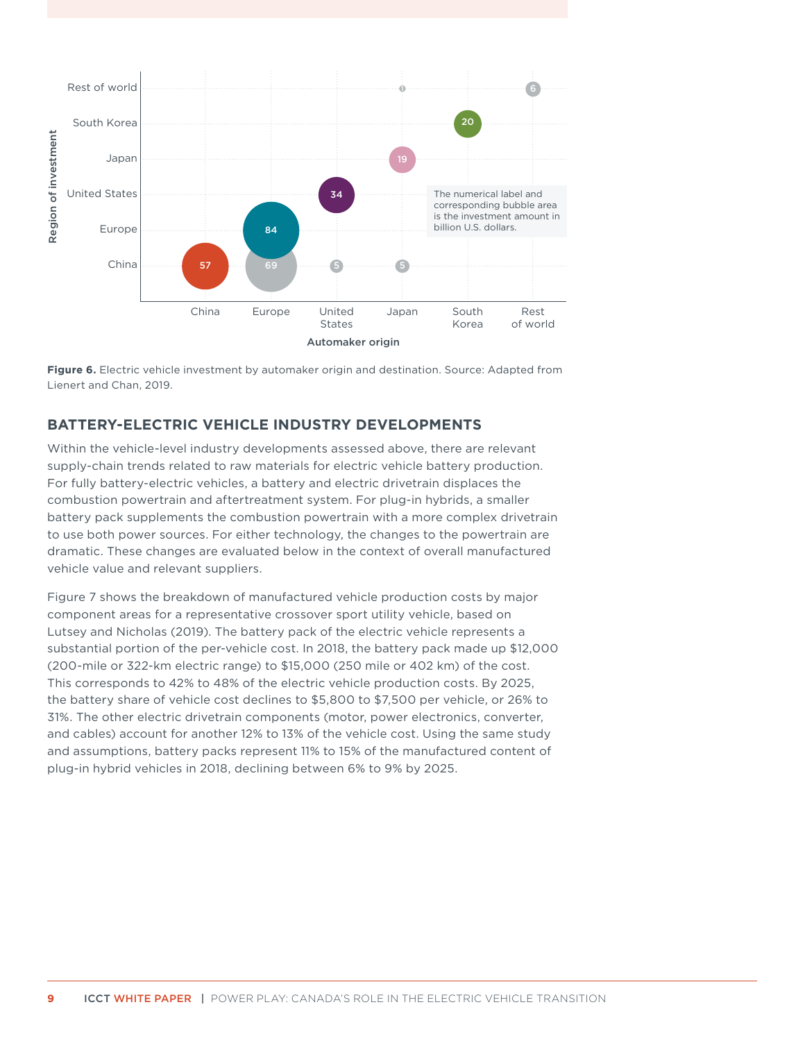<span id="page-15-0"></span>

<span id="page-15-1"></span>**Figure 6.** Electric vehicle investment by automaker origin and destination. Source: Adapted from Lienert and Chan, 2019.

### **BATTERY-ELECTRIC VEHICLE INDUSTRY DEVELOPMENTS**

Within the vehicle-level industry developments assessed above, there are relevant supply-chain trends related to raw materials for electric vehicle battery production. For fully battery-electric vehicles, a battery and electric drivetrain displaces the combustion powertrain and aftertreatment system. For plug-in hybrids, a smaller battery pack supplements the combustion powertrain with a more complex drivetrain to use both power sources. For either technology, the changes to the powertrain are dramatic. These changes are evaluated below in the context of overall manufactured vehicle value and relevant suppliers.

[Figure 7](#page-16-1) shows the breakdown of manufactured vehicle production costs by major component areas for a representative crossover sport utility vehicle, based on Lutsey and Nicholas (2019). The battery pack of the electric vehicle represents a substantial portion of the per-vehicle cost. In 2018, the battery pack made up \$12,000 (200-mile or 322-km electric range) to \$15,000 (250 mile or 402 km) of the cost. This corresponds to 42% to 48% of the electric vehicle production costs. By 2025, the battery share of vehicle cost declines to \$5,800 to \$7,500 per vehicle, or 26% to 31%. The other electric drivetrain components (motor, power electronics, converter, and cables) account for another 12% to 13% of the vehicle cost. Using the same study and assumptions, battery packs represent 11% to 15% of the manufactured content of plug-in hybrid vehicles in 2018, declining between 6% to 9% by 2025.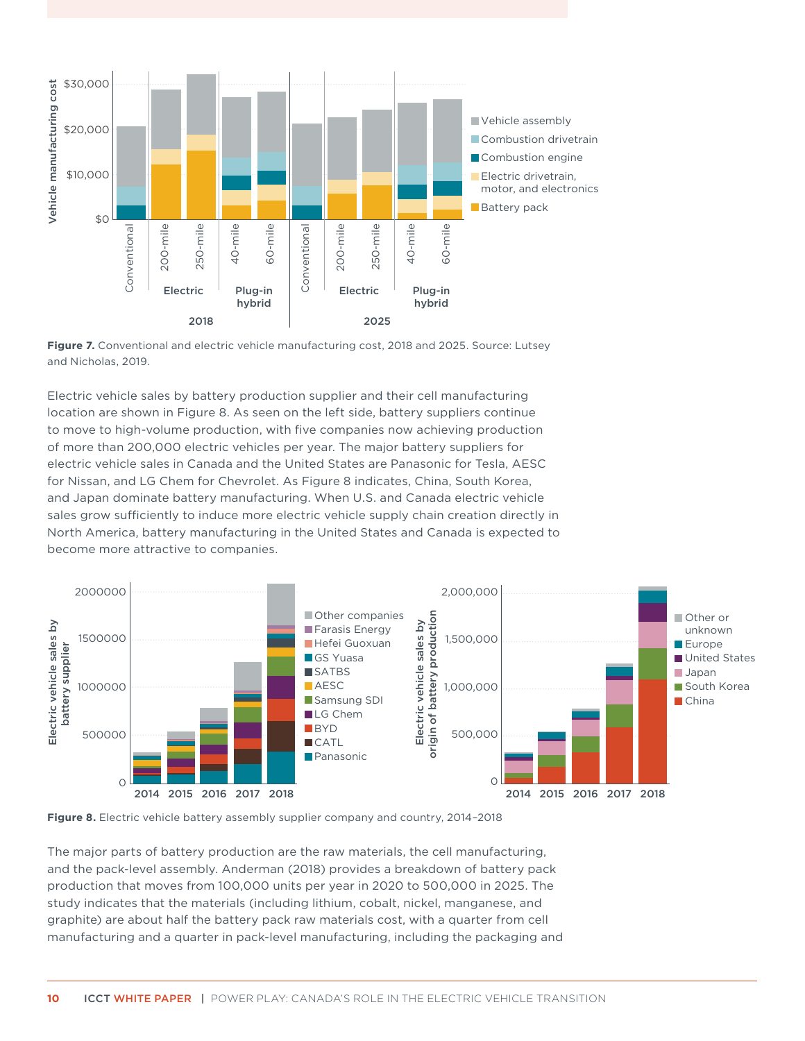<span id="page-16-0"></span>

<span id="page-16-1"></span>

Electric vehicle sales by battery production supplier and their cell manufacturing location are shown in Figure 8. As seen on the left side, battery suppliers continue to move to high-volume production, with five companies now achieving production of more than 200,000 electric vehicles per year. The major battery suppliers for electric vehicle sales in Canada and the United States are Panasonic for Tesla, AESC for Nissan, and LG Chem for Chevrolet. As Figure 8 indicates, China, South Korea, and Japan dominate battery manufacturing. When U.S. and Canada electric vehicle sales grow sufficiently to induce more electric vehicle supply chain creation directly in North America, battery manufacturing in the United States and Canada is expected to become more attractive to companies.





The major parts of battery production are the raw materials, the cell manufacturing, and the pack-level assembly. Anderman (2018) provides a breakdown of battery pack production that moves from 100,000 units per year in 2020 to 500,000 in 2025. The study indicates that the materials (including lithium, cobalt, nickel, manganese, and graphite) are about half the battery pack raw materials cost, with a quarter from cell manufacturing and a quarter in pack-level manufacturing, including the packaging and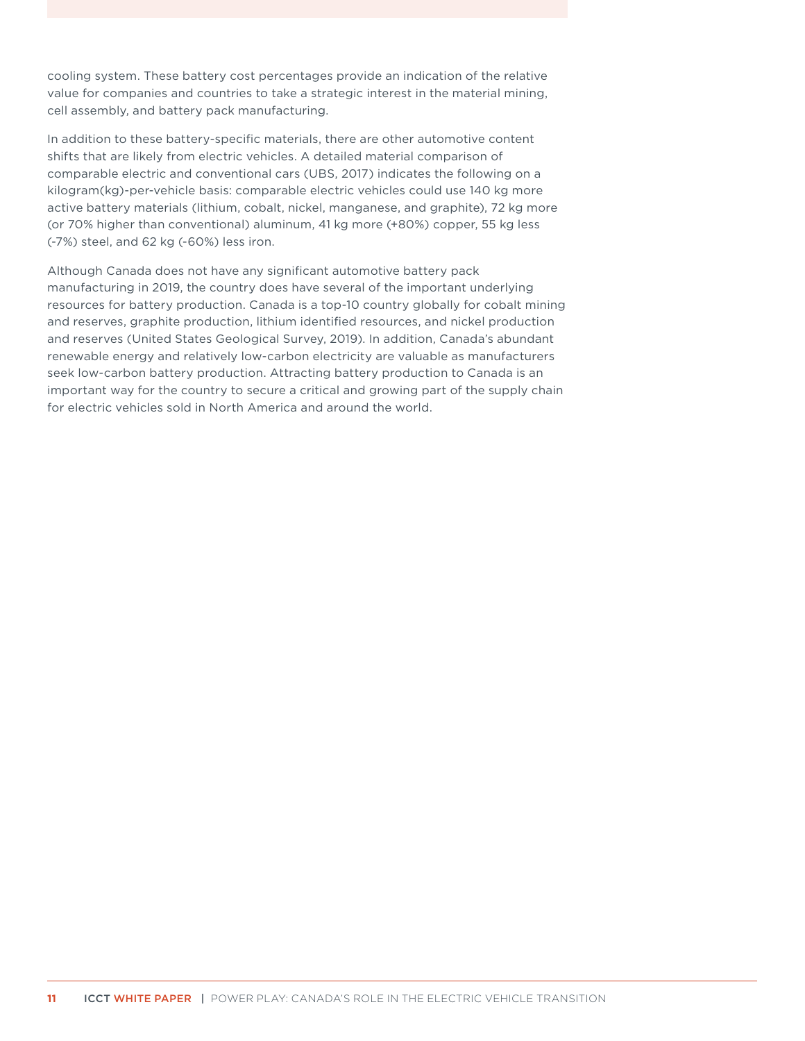cooling system. These battery cost percentages provide an indication of the relative value for companies and countries to take a strategic interest in the material mining, cell assembly, and battery pack manufacturing.

In addition to these battery-specific materials, there are other automotive content shifts that are likely from electric vehicles. A detailed material comparison of comparable electric and conventional cars (UBS, 2017) indicates the following on a kilogram(kg)-per-vehicle basis: comparable electric vehicles could use 140 kg more active battery materials (lithium, cobalt, nickel, manganese, and graphite), 72 kg more (or 70% higher than conventional) aluminum, 41 kg more (+80%) copper, 55 kg less (-7%) steel, and 62 kg (-60%) less iron.

Although Canada does not have any significant automotive battery pack manufacturing in 2019, the country does have several of the important underlying resources for battery production. Canada is a top-10 country globally for cobalt mining and reserves, graphite production, lithium identified resources, and nickel production and reserves (United States Geological Survey, 2019). In addition, Canada's abundant renewable energy and relatively low-carbon electricity are valuable as manufacturers seek low-carbon battery production. Attracting battery production to Canada is an important way for the country to secure a critical and growing part of the supply chain for electric vehicles sold in North America and around the world.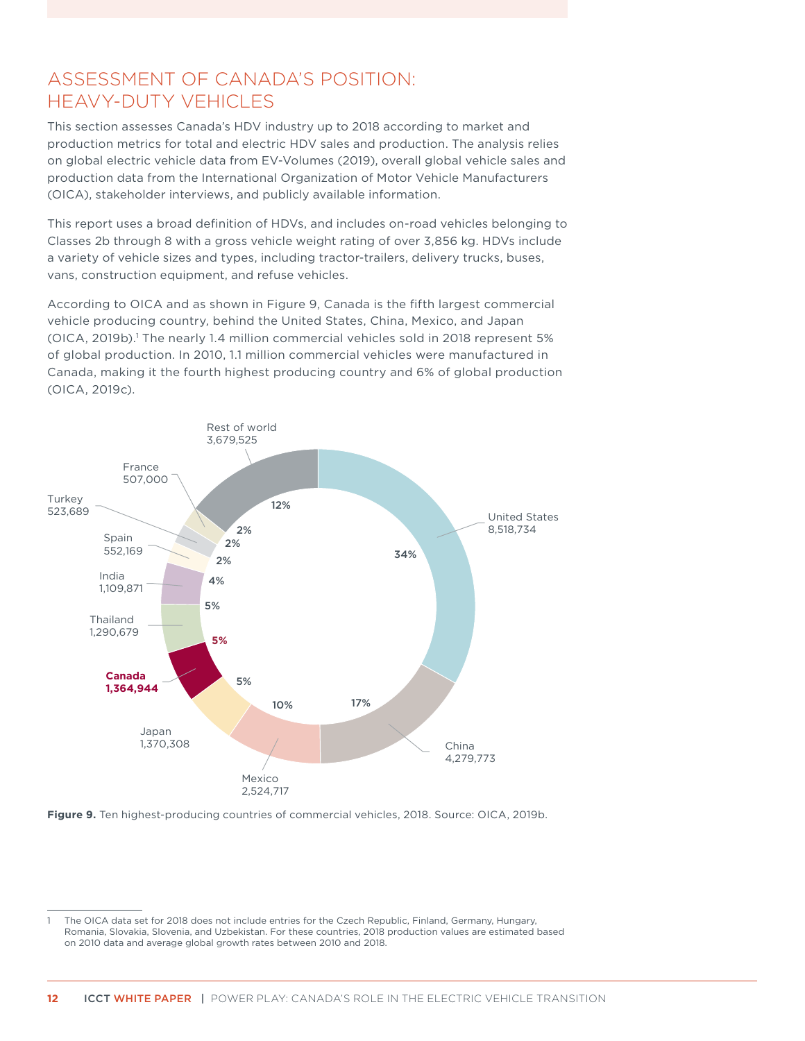# <span id="page-18-0"></span>ASSESSMENT OF CANADA'S POSITION: HEAVY-DUTY VEHICLES

This section assesses Canada's HDV industry up to 2018 according to market and production metrics for total and electric HDV sales and production. The analysis relies on global electric vehicle data from EV-Volumes (2019), overall global vehicle sales and production data from the International Organization of Motor Vehicle Manufacturers (OICA), stakeholder interviews, and publicly available information.

This report uses a broad definition of HDVs, and includes on-road vehicles belonging to Classes 2b through 8 with a gross vehicle weight rating of over 3,856 kg. HDVs include a variety of vehicle sizes and types, including tractor-trailers, delivery trucks, buses, vans, construction equipment, and refuse vehicles.

According to OICA and as shown in [Figure](#page-18-1) 9, Canada is the fifth largest commercial vehicle producing country, behind the United States, China, Mexico, and Japan (OICA, 2019b).<sup>1</sup> The nearly 1.4 million commercial vehicles sold in 2018 represent 5% of global production. In 2010, 1.1 million commercial vehicles were manufactured in Canada, making it the fourth highest producing country and 6% of global production (OICA, 2019c).



<span id="page-18-1"></span>**Figure 9.** Ten highest-producing countries of commercial vehicles, 2018. Source: OICA, 2019b.

<sup>1</sup> The OICA data set for 2018 does not include entries for the Czech Republic, Finland, Germany, Hungary, Romania, Slovakia, Slovenia, and Uzbekistan. For these countries, 2018 production values are estimated based on 2010 data and average global growth rates between 2010 and 2018.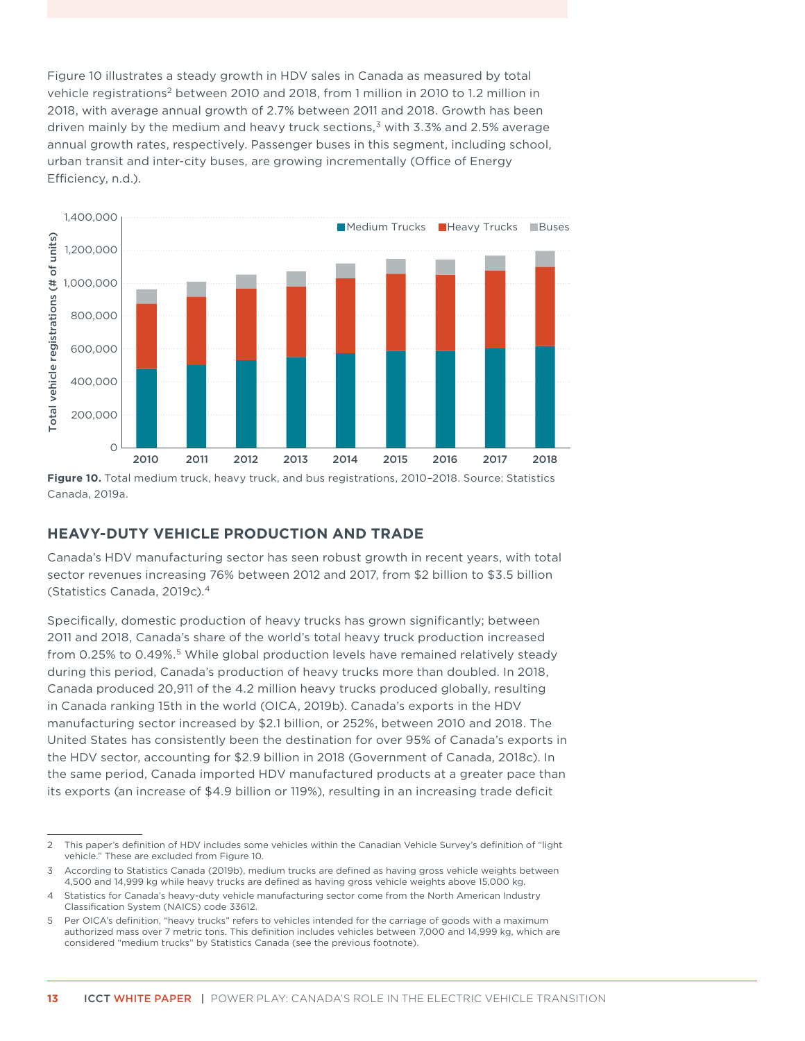<span id="page-19-0"></span>[Figure 1](#page-19-1)0 illustrates a steady growth in HDV sales in Canada as measured by total vehicle registrations<sup>2</sup> between 2010 and 2018, from 1 million in 2010 to 1.2 million in 2018, with average annual growth of 2.7% between 2011 and 2018. Growth has been driven mainly by the medium and heavy truck sections, $3$  with 3.3% and 2.5% average annual growth rates, respectively. Passenger buses in this segment, including school, urban transit and inter-city buses, are growing incrementally (Office of Energy Efficiency, n.d.).



<span id="page-19-1"></span>**Figure 10.** Total medium truck, heavy truck, and bus registrations, 2010–2018. Source: Statistics Canada, 2019a.

### **HEAVY-DUTY VEHICLE PRODUCTION AND TRADE**

Canada's HDV manufacturing sector has seen robust growth in recent years, with total sector revenues increasing 76% between 2012 and 2017, from \$2 billion to \$3.5 billion (Statistics Canada, 2019c).4

Specifically, domestic production of heavy trucks has grown significantly; between 2011 and 2018, Canada's share of the world's total heavy truck production increased from 0.25% to 0.49%.<sup>5</sup> While global production levels have remained relatively steady during this period, Canada's production of heavy trucks more than doubled. In 2018, Canada produced 20,911 of the 4.2 million heavy trucks produced globally, resulting in Canada ranking 15th in the world (OICA, 2019b). Canada's exports in the HDV manufacturing sector increased by \$2.1 billion, or 252%, between 2010 and 2018. The United States has consistently been the destination for over 95% of Canada's exports in the HDV sector, accounting for \$2.9 billion in 2018 (Government of Canada, 2018c). In the same period, Canada imported HDV manufactured products at a greater pace than its exports (an increase of \$4.9 billion or 119%), resulting in an increasing trade deficit

<sup>2</sup> This paper's definition of HDV includes some vehicles within the Canadian Vehicle Survey's definition of "light vehicle." These are excluded from Figure 10.

<sup>3</sup> According to Statistics Canada (2019b), medium trucks are defined as having gross vehicle weights between 4,500 and 14,999 kg while heavy trucks are defined as having gross vehicle weights above 15,000 kg.

<sup>4</sup> Statistics for Canada's heavy-duty vehicle manufacturing sector come from the North American Industry Classification System (NAICS) code 33612.

<sup>5</sup> Per OICA's definition, "heavy trucks" refers to vehicles intended for the carriage of goods with a maximum authorized mass over 7 metric tons. This definition includes vehicles between 7,000 and 14,999 kg, which are considered "medium trucks" by Statistics Canada (see the previous footnote).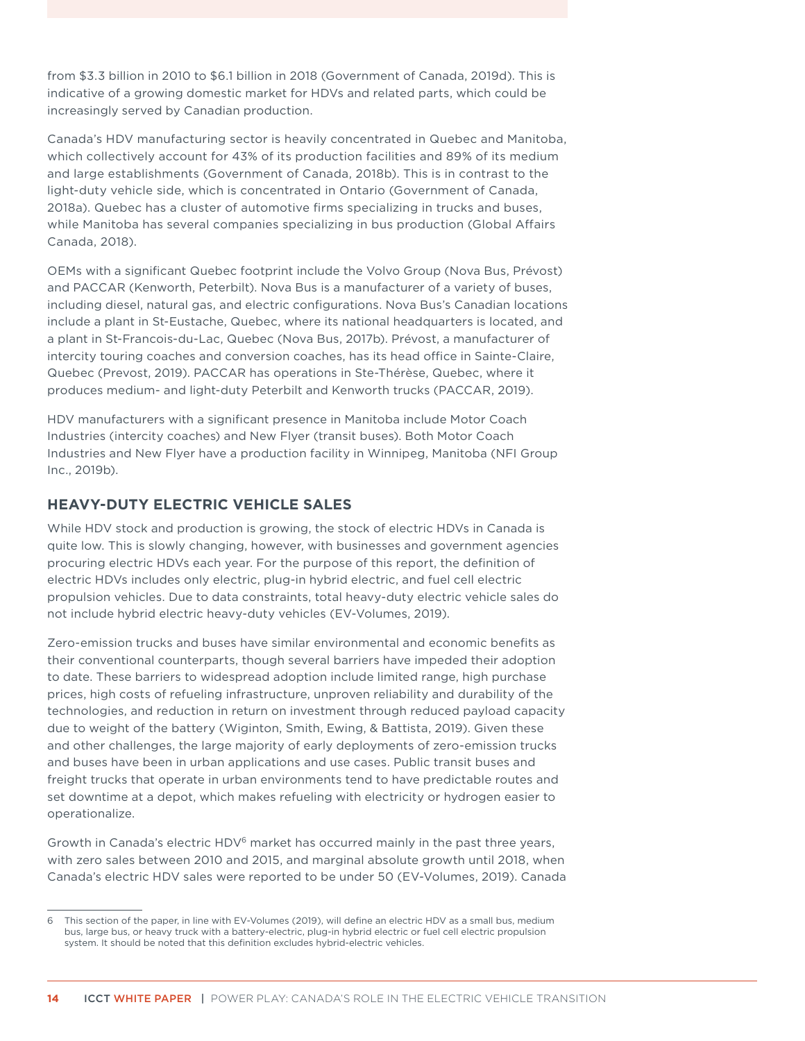<span id="page-20-0"></span>from \$3.3 billion in 2010 to \$6.1 billion in 2018 (Government of Canada, 2019d). This is indicative of a growing domestic market for HDVs and related parts, which could be increasingly served by Canadian production.

Canada's HDV manufacturing sector is heavily concentrated in Quebec and Manitoba, which collectively account for 43% of its production facilities and 89% of its medium and large establishments (Government of Canada, 2018b). This is in contrast to the light-duty vehicle side, which is concentrated in Ontario (Government of Canada, 2018a). Quebec has a cluster of automotive firms specializing in trucks and buses, while Manitoba has several companies specializing in bus production (Global Affairs Canada, 2018).

OEMs with a significant Quebec footprint include the Volvo Group (Nova Bus, Prévost) and PACCAR (Kenworth, Peterbilt). Nova Bus is a manufacturer of a variety of buses, including diesel, natural gas, and electric configurations. Nova Bus's Canadian locations include a plant in St-Eustache, Quebec, where its national headquarters is located, and a plant in St-Francois-du-Lac, Quebec (Nova Bus, 2017b). Prévost, a manufacturer of intercity touring coaches and conversion coaches, has its head office in Sainte-Claire, Quebec (Prevost, 2019). PACCAR has operations in Ste-Thérèse, Quebec, where it produces medium- and light-duty Peterbilt and Kenworth trucks (PACCAR, 2019).

HDV manufacturers with a significant presence in Manitoba include Motor Coach Industries (intercity coaches) and New Flyer (transit buses). Both Motor Coach Industries and New Flyer have a production facility in Winnipeg, Manitoba (NFI Group Inc., 2019b).

### **HEAVY-DUTY ELECTRIC VEHICLE SALES**

While HDV stock and production is growing, the stock of electric HDVs in Canada is quite low. This is slowly changing, however, with businesses and government agencies procuring electric HDVs each year. For the purpose of this report, the definition of electric HDVs includes only electric, plug-in hybrid electric, and fuel cell electric propulsion vehicles. Due to data constraints, total heavy-duty electric vehicle sales do not include hybrid electric heavy-duty vehicles (EV-Volumes, 2019).

Zero-emission trucks and buses have similar environmental and economic benefits as their conventional counterparts, though several barriers have impeded their adoption to date. These barriers to widespread adoption include limited range, high purchase prices, high costs of refueling infrastructure, unproven reliability and durability of the technologies, and reduction in return on investment through reduced payload capacity due to weight of the battery (Wiginton, Smith, Ewing, & Battista, 2019). Given these and other challenges, the large majority of early deployments of zero-emission trucks and buses have been in urban applications and use cases. Public transit buses and freight trucks that operate in urban environments tend to have predictable routes and set downtime at a depot, which makes refueling with electricity or hydrogen easier to operationalize.

Growth in Canada's electric HDV<sup>6</sup> market has occurred mainly in the past three years, with zero sales between 2010 and 2015, and marginal absolute growth until 2018, when Canada's electric HDV sales were reported to be under 50 (EV-Volumes, 2019). Canada

<sup>6</sup> This section of the paper, in line with EV-Volumes (2019), will define an electric HDV as a small bus, medium bus, large bus, or heavy truck with a battery-electric, plug-in hybrid electric or fuel cell electric propulsion system. It should be noted that this definition excludes hybrid-electric vehicles.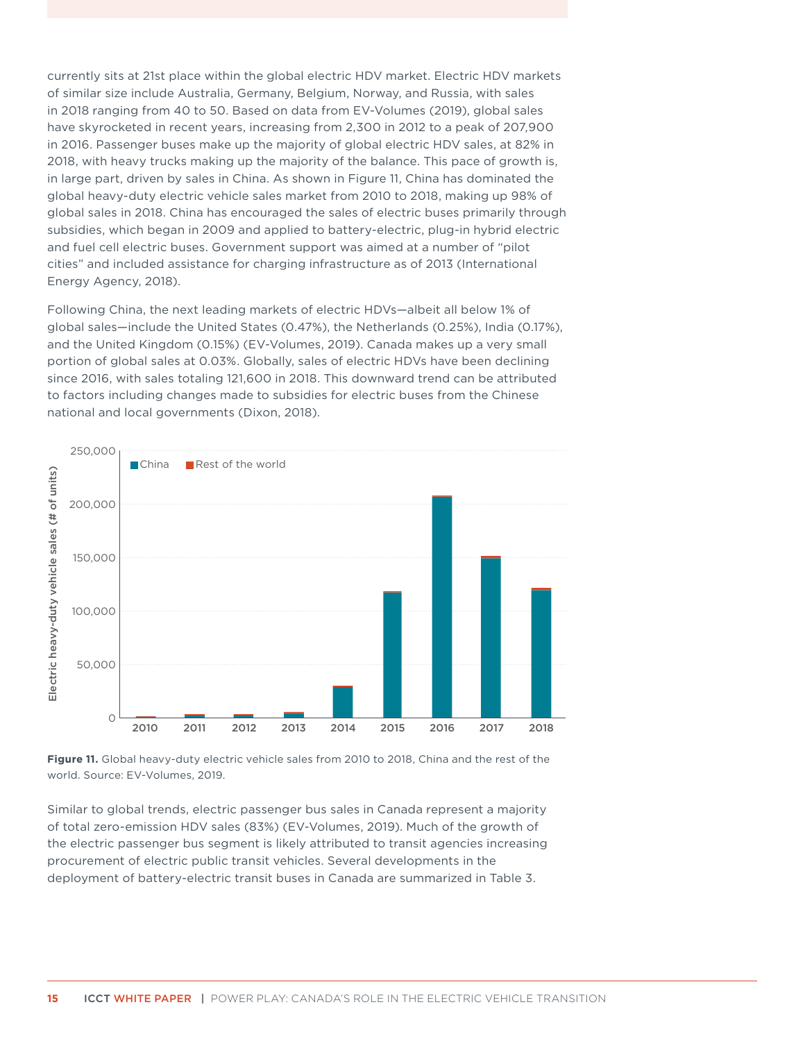<span id="page-21-0"></span>currently sits at 21st place within the global electric HDV market. Electric HDV markets of similar size include Australia, Germany, Belgium, Norway, and Russia, with sales in 2018 ranging from 40 to 50. Based on data from EV-Volumes (2019), global sales have skyrocketed in recent years, increasing from 2,300 in 2012 to a peak of 207,900 in 2016. Passenger buses make up the majority of global electric HDV sales, at 82% in 2018, with heavy trucks making up the majority of the balance. This pace of growth is, in large part, driven by sales in China. As shown in Figure 11, China has dominated the global heavy-duty electric vehicle sales market from 2010 to 2018, making up 98% of global sales in 2018. China has encouraged the sales of electric buses primarily through subsidies, which began in 2009 and applied to battery-electric, plug-in hybrid electric and fuel cell electric buses. Government support was aimed at a number of "pilot cities" and included assistance for charging infrastructure as of 2013 (International Energy Agency, 2018).

Following China, the next leading markets of electric HDVs—albeit all below 1% of global sales—include the United States (0.47%), the Netherlands (0.25%), India (0.17%), and the United Kingdom (0.15%) (EV-Volumes, 2019). Canada makes up a very small portion of global sales at 0.03%. Globally, sales of electric HDVs have been declining since 2016, with sales totaling 121,600 in 2018. This downward trend can be attributed to factors including changes made to subsidies for electric buses from the Chinese national and local governments (Dixon, 2018).



**Figure 11.** Global heavy-duty electric vehicle sales from 2010 to 2018, China and the rest of the world. Source: EV-Volumes, 2019.

Similar to global trends, electric passenger bus sales in Canada represent a majority of total zero-emission HDV sales (83%) (EV-Volumes, 2019). Much of the growth of the electric passenger bus segment is likely attributed to transit agencies increasing procurement of electric public transit vehicles. Several developments in the deployment of battery-electric transit buses in Canada are summarized in Table 3.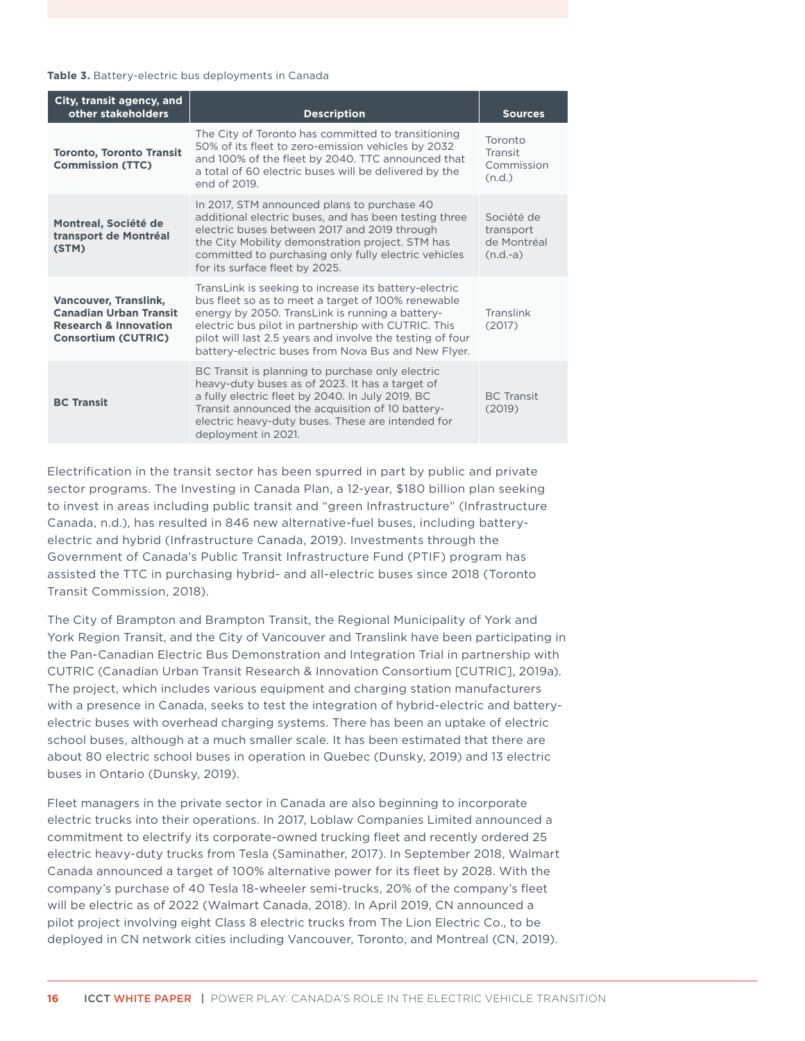#### <span id="page-22-0"></span>**Table 3.** Battery-electric bus deployments in Canada

| City, transit agency, and<br>other stakeholders                                                                                 | <b>Description</b>                                                                                                                                                                                                                                                                                                                        | <b>Sources</b>                                       |
|---------------------------------------------------------------------------------------------------------------------------------|-------------------------------------------------------------------------------------------------------------------------------------------------------------------------------------------------------------------------------------------------------------------------------------------------------------------------------------------|------------------------------------------------------|
| <b>Toronto, Toronto Transit</b><br><b>Commission (TTC)</b>                                                                      | The City of Toronto has committed to transitioning<br>50% of its fleet to zero-emission vehicles by 2032<br>and 100% of the fleet by 2040. TTC announced that<br>a total of 60 electric buses will be delivered by the<br>end of 2019.                                                                                                    | Toronto<br>Transit<br>Commission<br>(n.d.)           |
| Montreal, Société de<br>transport de Montréal<br>(STM)                                                                          | In 2017, STM announced plans to purchase 40<br>additional electric buses, and has been testing three<br>electric buses between 2017 and 2019 through<br>the City Mobility demonstration project. STM has<br>committed to purchasing only fully electric vehicles<br>for its surface fleet by 2025.                                        | Société de<br>transport<br>de Montréal<br>$(n.d.-a)$ |
| <b>Vancouver, Translink,</b><br><b>Canadian Urban Transit</b><br><b>Research &amp; Innovation</b><br><b>Consortium (CUTRIC)</b> | TransLink is seeking to increase its battery-electric<br>bus fleet so as to meet a target of 100% renewable<br>energy by 2050. TransLink is running a battery-<br>electric bus pilot in partnership with CUTRIC. This<br>pilot will last 2.5 years and involve the testing of four<br>battery-electric buses from Nova Bus and New Flyer. | Translink<br>(2017)                                  |
| <b>BC Transit</b>                                                                                                               | BC Transit is planning to purchase only electric<br>heavy-duty buses as of 2023. It has a target of<br>a fully electric fleet by 2040. In July 2019, BC<br>Transit announced the acquisition of 10 battery-<br>electric heavy-duty buses. These are intended for<br>deployment in 2021.                                                   | <b>BC</b> Transit<br>(2019)                          |

Electrification in the transit sector has been spurred in part by public and private sector programs. The Investing in Canada Plan, a 12-year, \$180 billion plan seeking to invest in areas including public transit and "green Infrastructure" (Infrastructure Canada, n.d.), has resulted in 846 new alternative-fuel buses, including batteryelectric and hybrid (Infrastructure Canada, 2019). Investments through the Government of Canada's Public Transit Infrastructure Fund (PTIF) program has assisted the TTC in purchasing hybrid- and all-electric buses since 2018 (Toronto Transit Commission, 2018).

The City of Brampton and Brampton Transit, the Regional Municipality of York and York Region Transit, and the City of Vancouver and Translink have been participating in the Pan-Canadian Electric Bus Demonstration and Integration Trial in partnership with CUTRIC (Canadian Urban Transit Research & Innovation Consortium [CUTRIC], 2019a). The project, which includes various equipment and charging station manufacturers with a presence in Canada, seeks to test the integration of hybrid-electric and batteryelectric buses with overhead charging systems. There has been an uptake of electric school buses, although at a much smaller scale. It has been estimated that there are about 80 electric school buses in operation in Quebec (Dunsky, 2019) and 13 electric buses in Ontario (Dunsky, 2019).

Fleet managers in the private sector in Canada are also beginning to incorporate electric trucks into their operations. In 2017, Loblaw Companies Limited announced a commitment to electrify its corporate-owned trucking fleet and recently ordered 25 electric heavy-duty trucks from Tesla (Saminather, 2017). In September 2018, Walmart Canada announced a target of 100% alternative power for its fleet by 2028. With the company's purchase of 40 Tesla 18-wheeler semi-trucks, 20% of the company's fleet will be electric as of 2022 (Walmart Canada, 2018). In April 2019, CN announced a pilot project involving eight Class 8 electric trucks from The Lion Electric Co., to be deployed in CN network cities including Vancouver, Toronto, and Montreal (CN, 2019).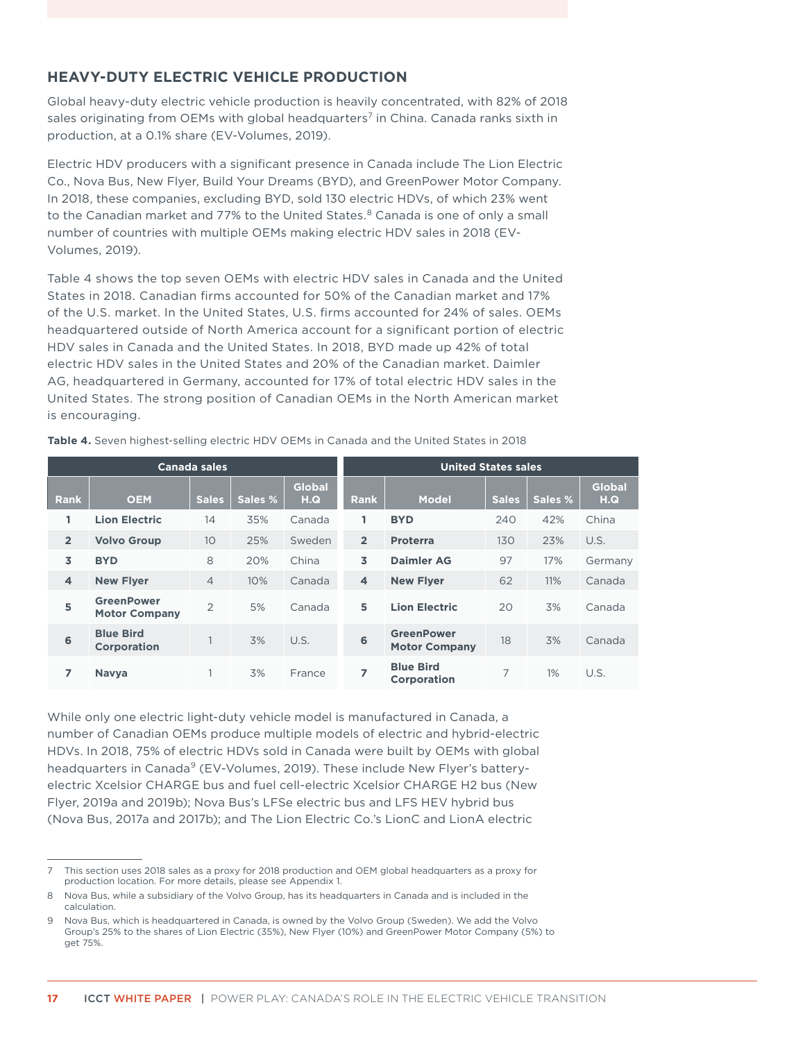### <span id="page-23-0"></span>**HEAVY-DUTY ELECTRIC VEHICLE PRODUCTION**

Global heavy-duty electric vehicle production is heavily concentrated, with 82% of 2018 sales originating from OEMs with global headquarters<sup>7</sup> in China. Canada ranks sixth in production, at a 0.1% share (EV-Volumes, 2019).

Electric HDV producers with a significant presence in Canada include The Lion Electric Co., Nova Bus, New Flyer, Build Your Dreams (BYD), and GreenPower Motor Company. In 2018, these companies, excluding BYD, sold 130 electric HDVs, of which 23% went to the Canadian market and 77% to the United States.<sup>8</sup> Canada is one of only a small number of countries with multiple OEMs making electric HDV sales in 2018 (EV-Volumes, 2019).

Table 4 shows the top seven OEMs with electric HDV sales in Canada and the United States in 2018. Canadian firms accounted for 50% of the Canadian market and 17% of the U.S. market. In the United States, U.S. firms accounted for 24% of sales. OEMs headquartered outside of North America account for a significant portion of electric HDV sales in Canada and the United States. In 2018, BYD made up 42% of total electric HDV sales in the United States and 20% of the Canadian market. Daimler AG, headquartered in Germany, accounted for 17% of total electric HDV sales in the United States. The strong position of Canadian OEMs in the North American market is encouraging.

**Table 4.** Seven highest-selling electric HDV OEMs in Canada and the United States in 2018

| Canada sales            |                                           |                |         |                      | <b>United States sales</b> |                                           |              |         |                      |  |
|-------------------------|-------------------------------------------|----------------|---------|----------------------|----------------------------|-------------------------------------------|--------------|---------|----------------------|--|
| <b>Rank</b>             | <b>OEM</b>                                | <b>Sales</b>   | Sales % | <b>Global</b><br>H.Q | <b>Rank</b>                | <b>Model</b>                              | <b>Sales</b> | Sales % | <b>Global</b><br>H.Q |  |
| 1                       | <b>Lion Electric</b>                      | 14             | 35%     | Canada               | 1                          | <b>BYD</b>                                | 240          | 42%     | China                |  |
| $\overline{2}$          | <b>Volvo Group</b>                        | 10             | 25%     | Sweden               | $\overline{2}$             | <b>Proterra</b>                           | 130          | 23%     | U.S.                 |  |
| 3                       | <b>BYD</b>                                | 8              | 20%     | China                | 3                          | Daimler AG                                | 97           | 17%     | Germany              |  |
| $\overline{\mathbf{4}}$ | <b>New Flyer</b>                          | $\overline{4}$ | 10%     | Canada               | $\overline{\mathbf{4}}$    | <b>New Flyer</b>                          | 62           | 11%     | Canada               |  |
| 5                       | <b>GreenPower</b><br><b>Motor Company</b> | $\overline{2}$ | 5%      | Canada               | 5                          | <b>Lion Electric</b>                      | 20           | 3%      | Canada               |  |
| 6                       | <b>Blue Bird</b><br><b>Corporation</b>    |                | 3%      | U.S.                 | 6                          | <b>GreenPower</b><br><b>Motor Company</b> | 18           | 3%      | Canada               |  |
| 7                       | <b>Navya</b>                              |                | 3%      | France               | 7                          | <b>Blue Bird</b><br>Corporation           | 7            | 1%      | U.S.                 |  |

While only one electric light-duty vehicle model is manufactured in Canada, a number of Canadian OEMs produce multiple models of electric and hybrid-electric HDVs. In 2018, 75% of electric HDVs sold in Canada were built by OEMs with global headquarters in Canada<sup>9</sup> (EV-Volumes, 2019). These include New Flyer's batteryelectric Xcelsior CHARGE bus and fuel cell-electric Xcelsior CHARGE H2 bus (New Flyer, 2019a and 2019b); Nova Bus's LFSe electric bus and LFS HEV hybrid bus (Nova Bus, 2017a and 2017b); and The Lion Electric Co.'s LionC and LionA electric

<sup>7</sup> This section uses 2018 sales as a proxy for 2018 production and OEM global headquarters as a proxy for production location. For more details, please see Appendix 1.

Nova Bus, while a subsidiary of the Volvo Group, has its headquarters in Canada and is included in the calculation.

<sup>9</sup> Nova Bus, which is headquartered in Canada, is owned by the Volvo Group (Sweden). We add the Volvo Group's 25% to the shares of Lion Electric (35%), New Flyer (10%) and GreenPower Motor Company (5%) to get 75%.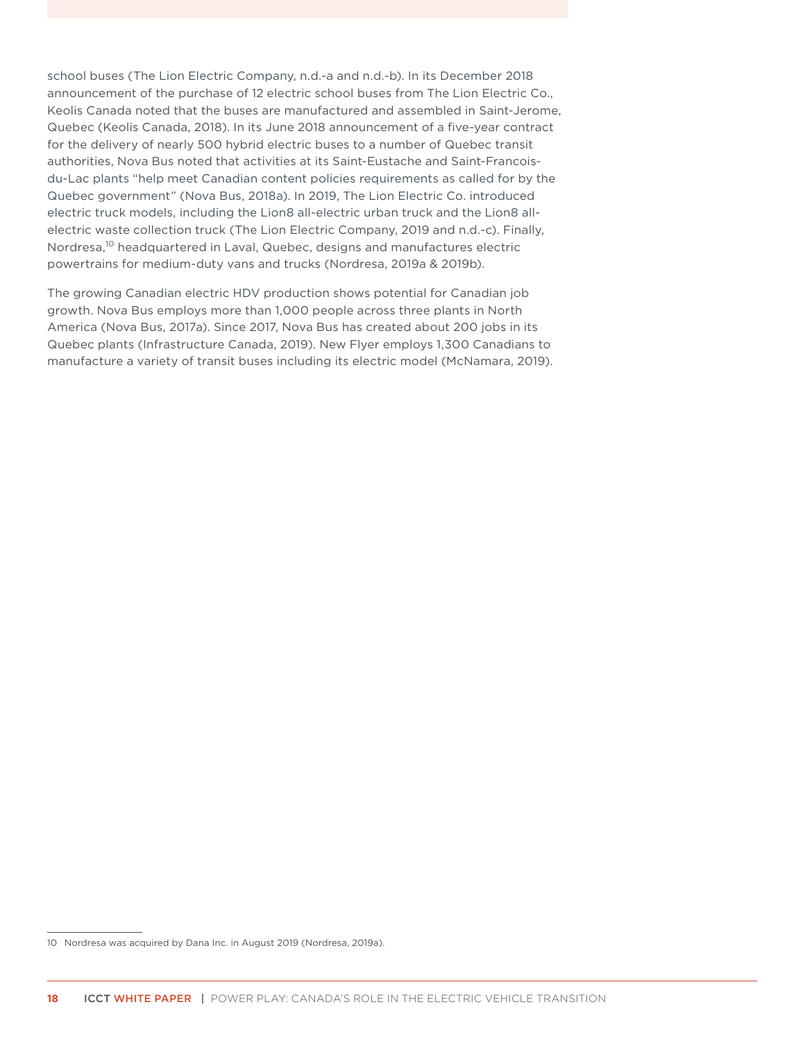school buses (The Lion Electric Company, n.d.-a and n.d.-b). In its December 2018 announcement of the purchase of 12 electric school buses from The Lion Electric Co., Keolis Canada noted that the buses are manufactured and assembled in Saint-Jerome, Quebec (Keolis Canada, 2018). In its June 2018 announcement of a five-year contract for the delivery of nearly 500 hybrid electric buses to a number of Quebec transit authorities, Nova Bus noted that activities at its Saint-Eustache and Saint-Francoisdu-Lac plants "help meet Canadian content policies requirements as called for by the Quebec government" (Nova Bus, 2018a). In 2019, The Lion Electric Co. introduced electric truck models, including the Lion8 all-electric urban truck and the Lion8 allelectric waste collection truck (The Lion Electric Company, 2019 and n.d.-c). Finally, Nordresa,<sup>10</sup> headquartered in Laval, Quebec, designs and manufactures electric powertrains for medium-duty vans and trucks (Nordresa, 2019a & 2019b).

The growing Canadian electric HDV production shows potential for Canadian job growth. Nova Bus employs more than 1,000 people across three plants in North America (Nova Bus, 2017a). Since 2017, Nova Bus has created about 200 jobs in its Quebec plants (Infrastructure Canada, 2019). New Flyer employs 1,300 Canadians to manufacture a variety of transit buses including its electric model (McNamara, 2019).

<sup>10</sup> Nordresa was acquired by Dana Inc. in August 2019 (Nordresa, 2019a).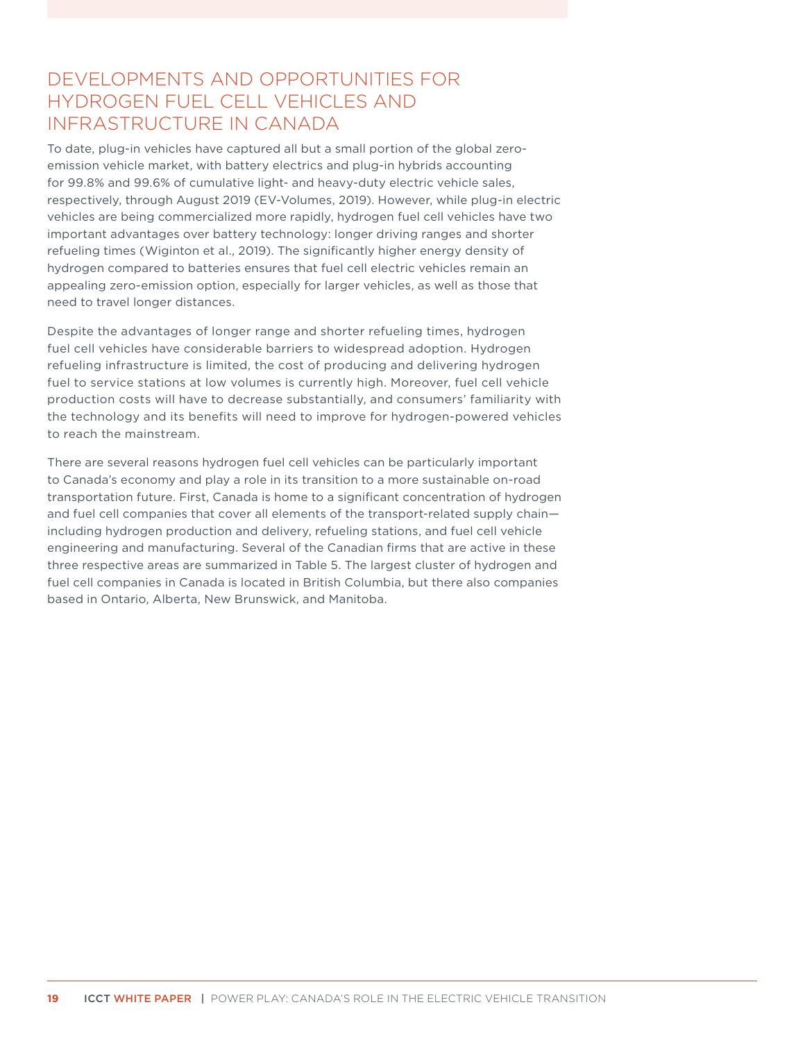# <span id="page-25-0"></span>DEVELOPMENTS AND OPPORTUNITIES FOR HYDROGEN FUEL CELL VEHICLES AND INFRASTRUCTURE IN CANADA

To date, plug-in vehicles have captured all but a small portion of the global zeroemission vehicle market, with battery electrics and plug-in hybrids accounting for 99.8% and 99.6% of cumulative light- and heavy-duty electric vehicle sales, respectively, through August 2019 (EV-Volumes, 2019). However, while plug-in electric vehicles are being commercialized more rapidly, hydrogen fuel cell vehicles have two important advantages over battery technology: longer driving ranges and shorter refueling times (Wiginton et al., 2019). The significantly higher energy density of hydrogen compared to batteries ensures that fuel cell electric vehicles remain an appealing zero-emission option, especially for larger vehicles, as well as those that need to travel longer distances.

Despite the advantages of longer range and shorter refueling times, hydrogen fuel cell vehicles have considerable barriers to widespread adoption. Hydrogen refueling infrastructure is limited, the cost of producing and delivering hydrogen fuel to service stations at low volumes is currently high. Moreover, fuel cell vehicle production costs will have to decrease substantially, and consumers' familiarity with the technology and its benefits will need to improve for hydrogen-powered vehicles to reach the mainstream.

There are several reasons hydrogen fuel cell vehicles can be particularly important to Canada's economy and play a role in its transition to a more sustainable on-road transportation future. First, Canada is home to a significant concentration of hydrogen and fuel cell companies that cover all elements of the transport-related supply chain including hydrogen production and delivery, refueling stations, and fuel cell vehicle engineering and manufacturing. Several of the Canadian firms that are active in these three respective areas are summarized in [Table](#page-26-1) 5. The largest cluster of hydrogen and fuel cell companies in Canada is located in British Columbia, but there also companies based in Ontario, Alberta, New Brunswick, and Manitoba.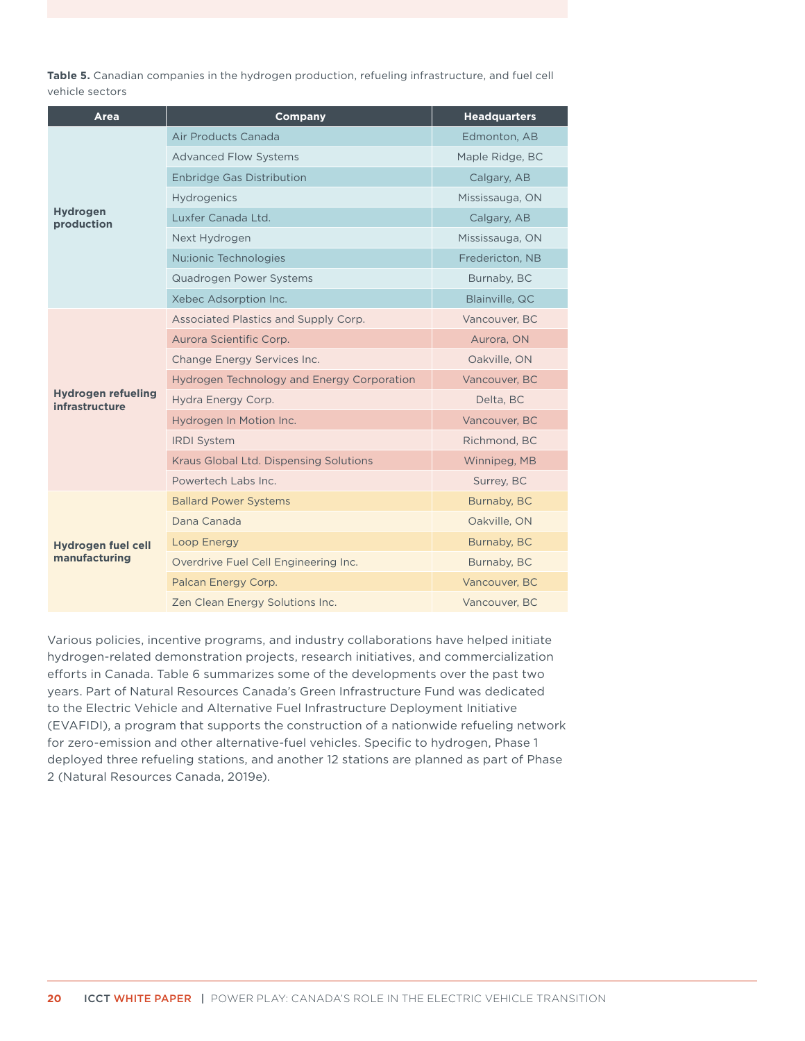<span id="page-26-1"></span><span id="page-26-0"></span>**Table 5.** Canadian companies in the hydrogen production, refueling infrastructure, and fuel cell vehicle sectors

| Area                                        | <b>Company</b>                             | <b>Headquarters</b> |
|---------------------------------------------|--------------------------------------------|---------------------|
|                                             | Air Products Canada                        | Edmonton, AB        |
|                                             | <b>Advanced Flow Systems</b>               | Maple Ridge, BC     |
|                                             | <b>Enbridge Gas Distribution</b>           | Calgary, AB         |
|                                             | Hydrogenics                                | Mississauga, ON     |
| <b>Hydrogen</b><br>production               | Luxfer Canada Ltd.                         | Calgary, AB         |
|                                             | Next Hydrogen                              | Mississauga, ON     |
|                                             | Nu:ionic Technologies                      | Fredericton, NB     |
|                                             | Quadrogen Power Systems                    | Burnaby, BC         |
|                                             | Xebec Adsorption Inc.                      | Blainville, QC      |
|                                             | Associated Plastics and Supply Corp.       | Vancouver, BC       |
|                                             | Aurora Scientific Corp.                    | Aurora, ON          |
|                                             | Change Energy Services Inc.                | Oakville, ON        |
|                                             | Hydrogen Technology and Energy Corporation | Vancouver, BC       |
| <b>Hydrogen refueling</b><br>infrastructure | Hydra Energy Corp.                         | Delta, BC           |
|                                             | Hydrogen In Motion Inc.                    | Vancouver, BC       |
|                                             | <b>IRDI</b> System                         | Richmond, BC        |
|                                             | Kraus Global Ltd. Dispensing Solutions     | Winnipeg, MB        |
|                                             | Powertech Labs Inc.                        | Surrey, BC          |
|                                             | <b>Ballard Power Systems</b>               | Burnaby, BC         |
|                                             | Dana Canada                                | Oakville, ON        |
| <b>Hydrogen fuel cell</b>                   | Loop Energy                                | Burnaby, BC         |
| manufacturing                               | Overdrive Fuel Cell Engineering Inc.       | Burnaby, BC         |
|                                             | Palcan Energy Corp.                        | Vancouver, BC       |
|                                             | Zen Clean Energy Solutions Inc.            | Vancouver, BC       |

Various policies, incentive programs, and industry collaborations have helped initiate hydrogen-related demonstration projects, research initiatives, and commercialization efforts in Canada. [Table](#page-27-1) 6 summarizes some of the developments over the past two years. Part of Natural Resources Canada's Green Infrastructure Fund was dedicated to the Electric Vehicle and Alternative Fuel Infrastructure Deployment Initiative (EVAFIDI), a program that supports the construction of a nationwide refueling network for zero-emission and other alternative-fuel vehicles. Specific to hydrogen, Phase 1 deployed three refueling stations, and another 12 stations are planned as part of Phase 2 (Natural Resources Canada, 2019e).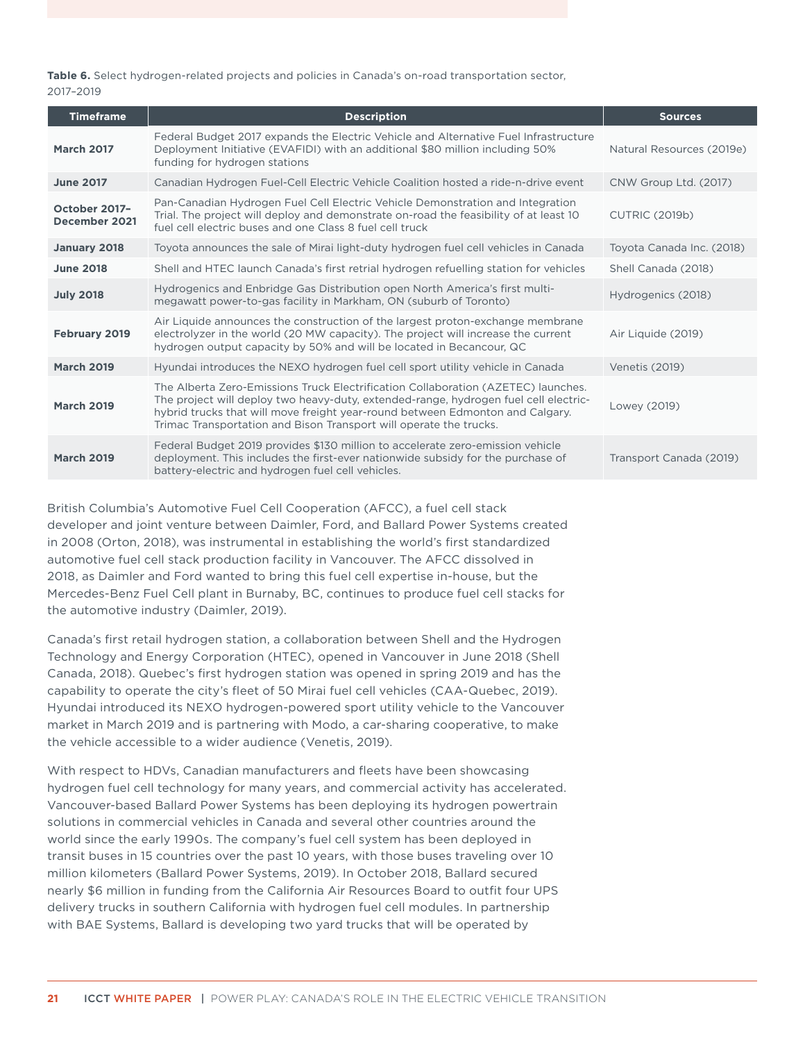<span id="page-27-1"></span><span id="page-27-0"></span>**Table 6.** Select hydrogen-related projects and policies in Canada's on-road transportation sector, 2017–2019

| <b>Timeframe</b>               | <b>Description</b>                                                                                                                                                                                                                                                                                                               | <b>Sources</b>            |
|--------------------------------|----------------------------------------------------------------------------------------------------------------------------------------------------------------------------------------------------------------------------------------------------------------------------------------------------------------------------------|---------------------------|
| <b>March 2017</b>              | Federal Budget 2017 expands the Electric Vehicle and Alternative Fuel Infrastructure<br>Deployment Initiative (EVAFIDI) with an additional \$80 million including 50%<br>funding for hydrogen stations                                                                                                                           | Natural Resources (2019e) |
| <b>June 2017</b>               | Canadian Hydrogen Fuel-Cell Electric Vehicle Coalition hosted a ride-n-drive event                                                                                                                                                                                                                                               | CNW Group Ltd. (2017)     |
| October 2017-<br>December 2021 | Pan-Canadian Hydrogen Fuel Cell Electric Vehicle Demonstration and Integration<br>Trial. The project will deploy and demonstrate on-road the feasibility of at least 10<br>fuel cell electric buses and one Class 8 fuel cell truck                                                                                              | <b>CUTRIC (2019b)</b>     |
| January 2018                   | Toyota announces the sale of Mirai light-duty hydrogen fuel cell vehicles in Canada                                                                                                                                                                                                                                              | Toyota Canada Inc. (2018) |
| <b>June 2018</b>               | Shell and HTEC launch Canada's first retrial hydrogen refuelling station for vehicles                                                                                                                                                                                                                                            | Shell Canada (2018)       |
| <b>July 2018</b>               | Hydrogenics and Enbridge Gas Distribution open North America's first multi-<br>megawatt power-to-gas facility in Markham, ON (suburb of Toronto)                                                                                                                                                                                 | Hydrogenics (2018)        |
| <b>February 2019</b>           | Air Liquide announces the construction of the largest proton-exchange membrane<br>electrolyzer in the world (20 MW capacity). The project will increase the current<br>hydrogen output capacity by 50% and will be located in Becancour, QC                                                                                      | Air Liquide (2019)        |
| <b>March 2019</b>              | Hyundai introduces the NEXO hydrogen fuel cell sport utility vehicle in Canada                                                                                                                                                                                                                                                   | <b>Venetis (2019)</b>     |
| <b>March 2019</b>              | The Alberta Zero-Emissions Truck Electrification Collaboration (AZETEC) launches.<br>The project will deploy two heavy-duty, extended-range, hydrogen fuel cell electric-<br>hybrid trucks that will move freight year-round between Edmonton and Calgary.<br>Trimac Transportation and Bison Transport will operate the trucks. | Lowey (2019)              |
| <b>March 2019</b>              | Federal Budget 2019 provides \$130 million to accelerate zero-emission vehicle<br>deployment. This includes the first-ever nationwide subsidy for the purchase of<br>battery-electric and hydrogen fuel cell vehicles.                                                                                                           | Transport Canada (2019)   |

British Columbia's Automotive Fuel Cell Cooperation (AFCC), a fuel cell stack developer and joint venture between Daimler, Ford, and Ballard Power Systems created in 2008 (Orton, 2018), was instrumental in establishing the world's first standardized automotive fuel cell stack production facility in Vancouver. The AFCC dissolved in 2018, as Daimler and Ford wanted to bring this fuel cell expertise in-house, but the Mercedes-Benz Fuel Cell plant in Burnaby, BC, continues to produce fuel cell stacks for the automotive industry (Daimler, 2019).

Canada's first retail hydrogen station, a collaboration between Shell and the Hydrogen Technology and Energy Corporation (HTEC), opened in Vancouver in June 2018 (Shell Canada, 2018). Quebec's first hydrogen station was opened in spring 2019 and has the capability to operate the city's fleet of 50 Mirai fuel cell vehicles (CAA-Quebec, 2019). Hyundai introduced its NEXO hydrogen-powered sport utility vehicle to the Vancouver market in March 2019 and is partnering with Modo, a car-sharing cooperative, to make the vehicle accessible to a wider audience (Venetis, 2019).

With respect to HDVs, Canadian manufacturers and fleets have been showcasing hydrogen fuel cell technology for many years, and commercial activity has accelerated. Vancouver-based Ballard Power Systems has been deploying its hydrogen powertrain solutions in commercial vehicles in Canada and several other countries around the world since the early 1990s. The company's fuel cell system has been deployed in transit buses in 15 countries over the past 10 years, with those buses traveling over 10 million kilometers (Ballard Power Systems, 2019). In October 2018, Ballard secured nearly \$6 million in funding from the California Air Resources Board to outfit four UPS delivery trucks in southern California with hydrogen fuel cell modules. In partnership with BAE Systems, Ballard is developing two yard trucks that will be operated by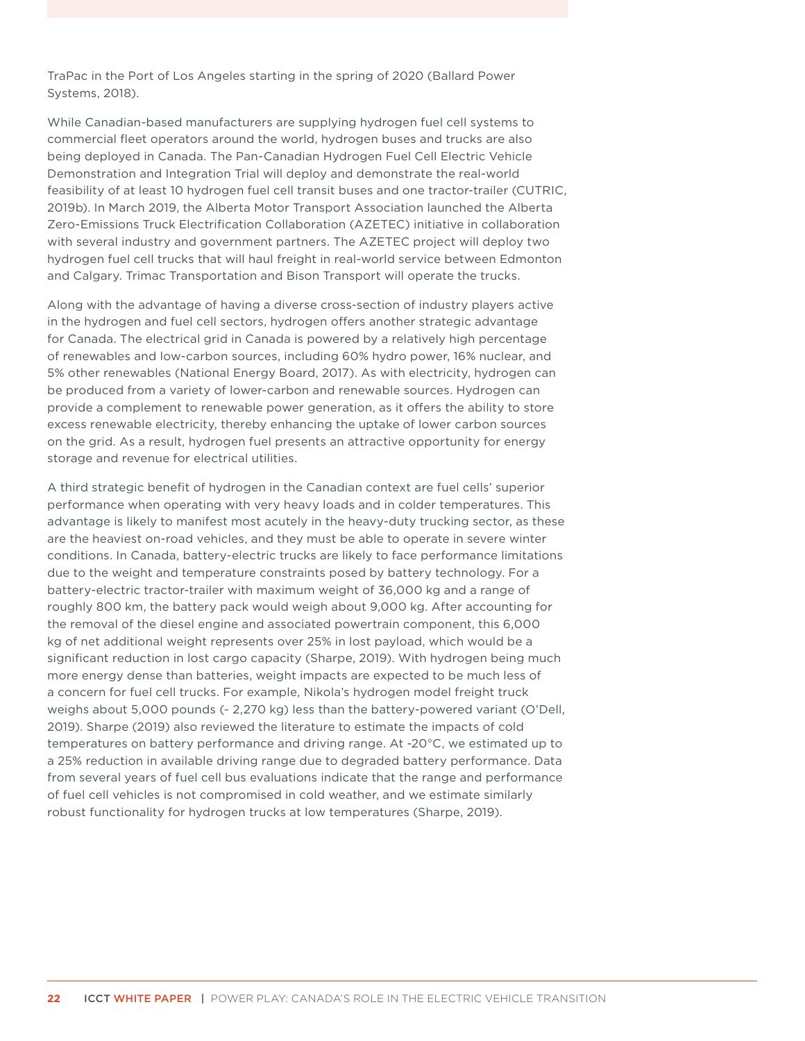TraPac in the Port of Los Angeles starting in the spring of 2020 (Ballard Power Systems, 2018).

While Canadian-based manufacturers are supplying hydrogen fuel cell systems to commercial fleet operators around the world, hydrogen buses and trucks are also being deployed in Canada. The Pan-Canadian Hydrogen Fuel Cell Electric Vehicle Demonstration and Integration Trial will deploy and demonstrate the real-world feasibility of at least 10 hydrogen fuel cell transit buses and one tractor-trailer (CUTRIC, 2019b). In March 2019, the Alberta Motor Transport Association launched the Alberta Zero-Emissions Truck Electrification Collaboration (AZETEC) initiative in collaboration with several industry and government partners. The AZETEC project will deploy two hydrogen fuel cell trucks that will haul freight in real-world service between Edmonton and Calgary. Trimac Transportation and Bison Transport will operate the trucks.

Along with the advantage of having a diverse cross-section of industry players active in the hydrogen and fuel cell sectors, hydrogen offers another strategic advantage for Canada. The electrical grid in Canada is powered by a relatively high percentage of renewables and low-carbon sources, including 60% hydro power, 16% nuclear, and 5% other renewables (National Energy Board, 2017). As with electricity, hydrogen can be produced from a variety of lower-carbon and renewable sources. Hydrogen can provide a complement to renewable power generation, as it offers the ability to store excess renewable electricity, thereby enhancing the uptake of lower carbon sources on the grid. As a result, hydrogen fuel presents an attractive opportunity for energy storage and revenue for electrical utilities.

A third strategic benefit of hydrogen in the Canadian context are fuel cells' superior performance when operating with very heavy loads and in colder temperatures. This advantage is likely to manifest most acutely in the heavy-duty trucking sector, as these are the heaviest on-road vehicles, and they must be able to operate in severe winter conditions. In Canada, battery-electric trucks are likely to face performance limitations due to the weight and temperature constraints posed by battery technology. For a battery-electric tractor-trailer with maximum weight of 36,000 kg and a range of roughly 800 km, the battery pack would weigh about 9,000 kg. After accounting for the removal of the diesel engine and associated powertrain component, this 6,000 kg of net additional weight represents over 25% in lost payload, which would be a significant reduction in lost cargo capacity (Sharpe, 2019). With hydrogen being much more energy dense than batteries, weight impacts are expected to be much less of a concern for fuel cell trucks. For example, Nikola's hydrogen model freight truck weighs about 5,000 pounds (~ 2,270 kg) less than the battery-powered variant (O'Dell, 2019). Sharpe (2019) also reviewed the literature to estimate the impacts of cold temperatures on battery performance and driving range. At -20°C, we estimated up to a 25% reduction in available driving range due to degraded battery performance. Data from several years of fuel cell bus evaluations indicate that the range and performance of fuel cell vehicles is not compromised in cold weather, and we estimate similarly robust functionality for hydrogen trucks at low temperatures (Sharpe, 2019).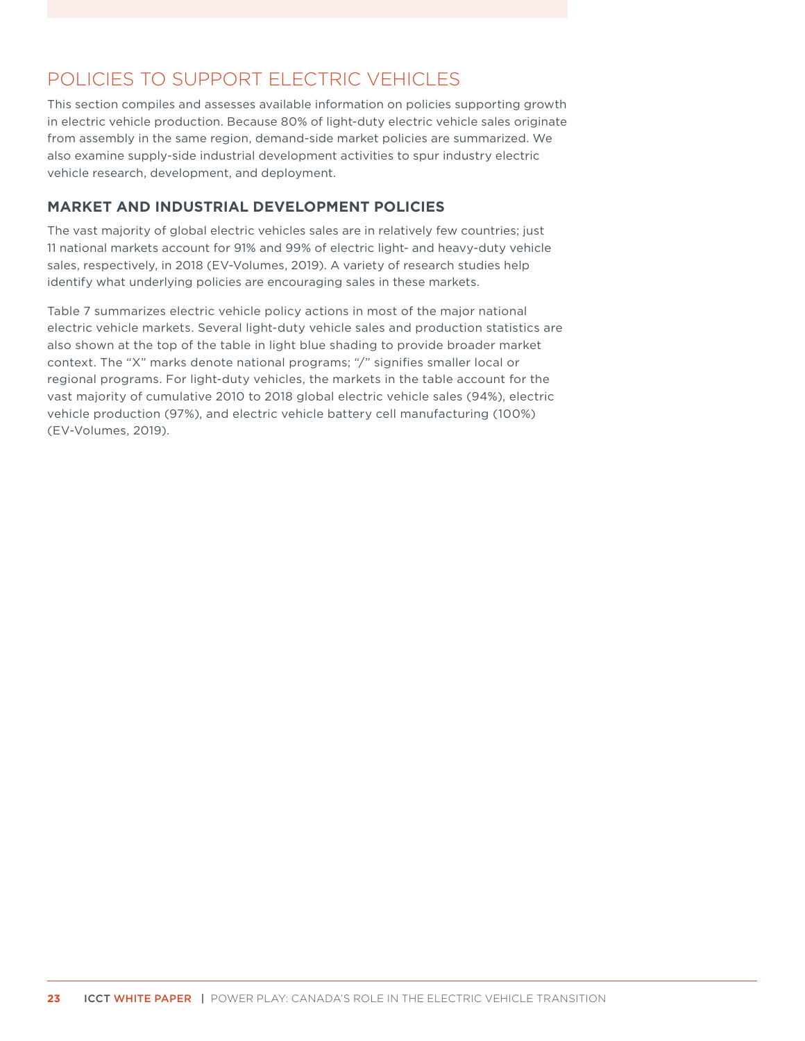# <span id="page-29-0"></span>POLICIES TO SUPPORT ELECTRIC VEHICLES

This section compiles and assesses available information on policies supporting growth in electric vehicle production. Because 80% of light-duty electric vehicle sales originate from assembly in the same region, demand-side market policies are summarized. We also examine supply-side industrial development activities to spur industry electric vehicle research, development, and deployment.

### **MARKET AND INDUSTRIAL DEVELOPMENT POLICIES**

The vast majority of global electric vehicles sales are in relatively few countries; just 11 national markets account for 91% and 99% of electric light- and heavy-duty vehicle sales, respectively, in 2018 (EV-Volumes, 2019). A variety of research studies help identify what underlying policies are encouraging sales in these markets.

Table 7 summarizes electric vehicle policy actions in most of the major national electric vehicle markets. Several light-duty vehicle sales and production statistics are also shown at the top of the table in light blue shading to provide broader market context. The "X" marks denote national programs; "/" signifies smaller local or regional programs. For light-duty vehicles, the markets in the table account for the vast majority of cumulative 2010 to 2018 global electric vehicle sales (94%), electric vehicle production (97%), and electric vehicle battery cell manufacturing (100%) (EV-Volumes, 2019).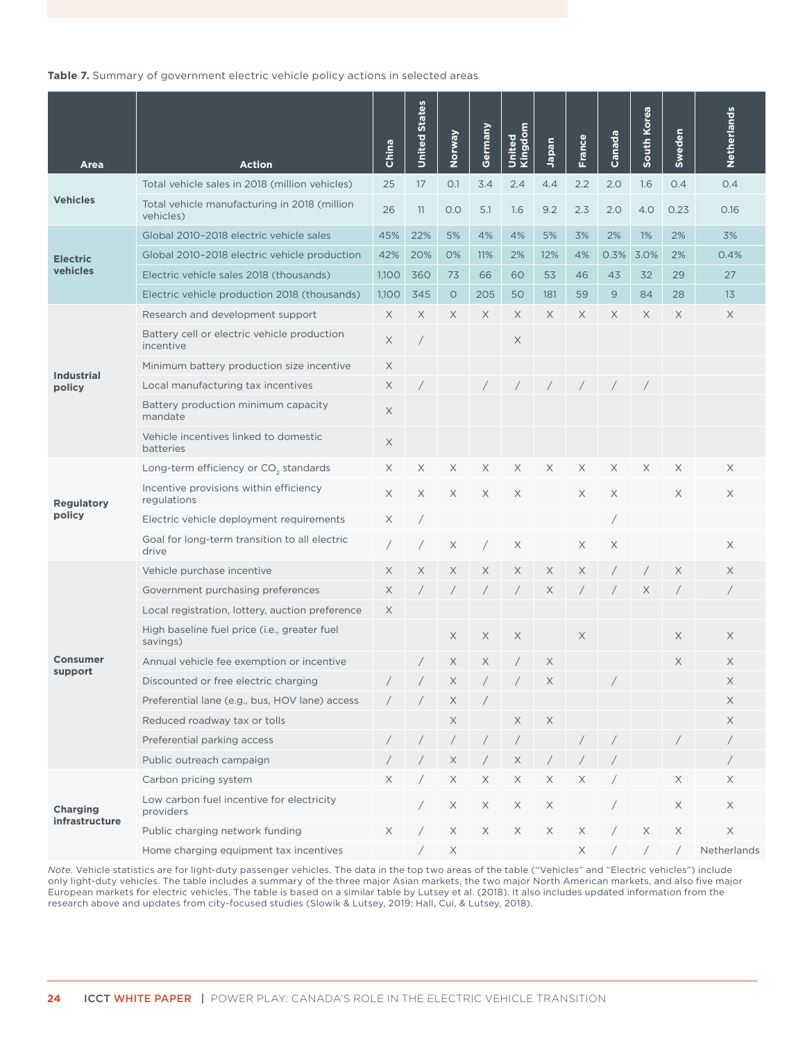#### <span id="page-30-0"></span>**Table 7.** Summary of government electric vehicle policy actions in selected areas

| Area                              | <b>Action</b>                                             | China    | <b>States</b><br>United | Norway                | Germany    | Kingdom<br>United | Japan       | <b>France</b> | Canada     | South Korea | Sweden     | Netherlands |
|-----------------------------------|-----------------------------------------------------------|----------|-------------------------|-----------------------|------------|-------------------|-------------|---------------|------------|-------------|------------|-------------|
|                                   | Total vehicle sales in 2018 (million vehicles)            | 25       | 17                      | 0.1                   | 3.4        | 2.4               | 4.4         | 2.2           | 2.0        | 1.6         | 0.4        | 0.4         |
| <b>Vehicles</b>                   | Total vehicle manufacturing in 2018 (million<br>vehicles) | 26       | 11                      | 0.0                   | 5.1        | 1.6               | 9.2         | 2.3           | 2.0        | 4.0         | 0.23       | 0.16        |
|                                   | Global 2010-2018 electric vehicle sales                   | 45%      | 22%                     | 5%                    | 4%         | 4%                | 5%          | 3%            | 2%         | 1%          | 2%         | 3%          |
| <b>Electric</b>                   | Global 2010-2018 electric vehicle production              | 42%      | 20%                     | 0%                    | 11%        | 2%                | 12%         | 4%            | 0.3%       | 3.0%        | 2%         | 0.4%        |
| vehicles                          | Electric vehicle sales 2018 (thousands)                   | 1,100    | 360                     | 73                    | 66         | 60                | 53          | 46            | 43         | 32          | 29         | 27          |
|                                   | Electric vehicle production 2018 (thousands)              | 1,100    | 345                     | $\circ$               | 205        | 50                | 181         | 59            | 9          | 84          | 28         | 13          |
|                                   | Research and development support                          | X        | X                       | X                     | X          | X                 | X           | X             | X          | X           | X          | X           |
|                                   | Battery cell or electric vehicle production<br>incentive  | $\times$ |                         |                       |            | X                 |             |               |            |             |            |             |
| <b>Industrial</b>                 | Minimum battery production size incentive                 | X        |                         |                       |            |                   |             |               |            |             |            |             |
| policy                            | Local manufacturing tax incentives                        | X        |                         |                       |            |                   | $\sqrt{2}$  | $\sqrt{2}$    | $\sqrt{2}$ | $\sqrt{2}$  |            |             |
|                                   | Battery production minimum capacity<br>mandate            | X        |                         |                       |            |                   |             |               |            |             |            |             |
|                                   | Vehicle incentives linked to domestic<br>batteries        | X        |                         |                       |            |                   |             |               |            |             |            |             |
|                                   | Long-term efficiency or CO <sub>2</sub> standards         | X        | X                       | Χ                     | X          | X                 | X           | X             | X          | X           | X          | X           |
| <b>Regulatory</b>                 | Incentive provisions within efficiency<br>regulations     |          | X                       | X                     | X          | X                 |             | X             | X          |             | X          | X           |
| policy                            | Electric vehicle deployment requirements                  | X        |                         |                       |            |                   |             |               |            |             |            |             |
|                                   | Goal for long-term transition to all electric<br>drive    |          |                         | X                     |            | X                 |             | X             | X          |             |            | X           |
|                                   | Vehicle purchase incentive                                | $\times$ | X                       | X                     | X          | Χ                 | X           | X             |            |             | X          | X           |
|                                   | Government purchasing preferences                         | X        |                         | $\sqrt{2}$            |            |                   | X           |               |            | X           |            |             |
|                                   | Local registration, lottery, auction preference           | X        |                         |                       |            |                   |             |               |            |             |            |             |
|                                   | High baseline fuel price (i.e., greater fuel<br>savings)  |          |                         | X                     | X          | X                 |             | X             |            |             | $\times$   | X           |
| <b>Consumer</b>                   | Annual vehicle fee exemption or incentive                 |          |                         | X                     | X          |                   | X           |               |            |             | X          | X           |
| support                           | Discounted or free electric charging                      |          | $\prime$                | $\times$              | $\sqrt{2}$ |                   | $\mathsf X$ |               |            |             |            | Χ           |
|                                   | Preferential lane (e.g., bus, HOV lane) access            |          |                         | X                     |            |                   |             |               |            |             |            | X           |
|                                   | Reduced roadway tax or tolls                              |          |                         | $\boldsymbol{\times}$ |            | X                 | $\mathsf X$ |               |            |             |            | X           |
|                                   | Preferential parking access                               |          |                         | $\sqrt{2}$            |            |                   |             |               |            |             |            |             |
|                                   | Public outreach campaign                                  |          |                         | X                     |            | X                 | $\sqrt{2}$  |               |            |             |            |             |
|                                   | Carbon pricing system                                     | X        |                         | X                     | X          | X                 | X           | X             |            |             | X          | X           |
| <b>Charging</b><br>infrastructure | Low carbon fuel incentive for electricity<br>providers    |          |                         | X                     | X          | X                 | X           |               |            |             | X          | X           |
|                                   | Public charging network funding                           | X        |                         | X                     | X          | X                 | X           | X             |            | $\mathsf X$ | $\times$   | $\times$    |
|                                   | Home charging equipment tax incentives                    |          |                         | X                     |            |                   |             | X             |            | $\sqrt{2}$  | $\sqrt{2}$ | Netherlands |

*Note.* Vehicle statistics are for light-duty passenger vehicles. The data in the top two areas of the table ("Vehicles" and "Electric vehicles") include only light-duty vehicles. The table includes a summary of the three major Asian markets, the two major North American markets, and also five major European markets for electric vehicles. The table is based on a similar table by Lutsey et al. (2018). It also includes updated information from the research above and updates from city-focused studies (Slowik & Lutsey, 2019; Hall, Cui, & Lutsey, 2018).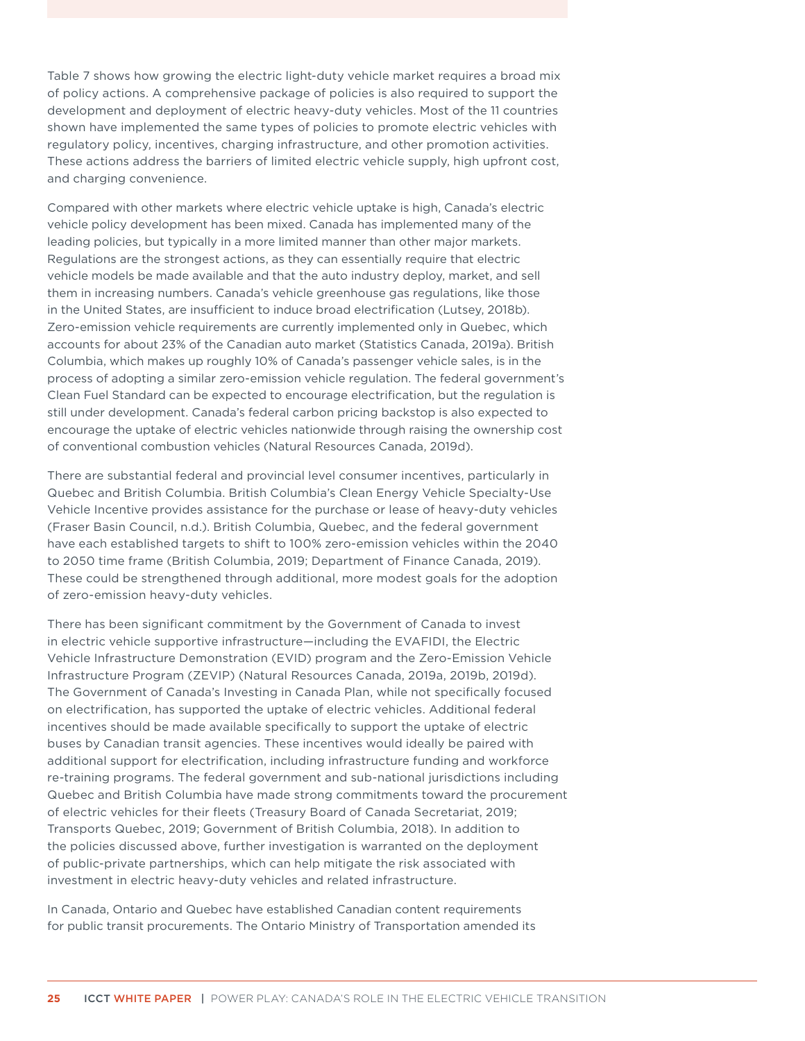Table 7 shows how growing the electric light-duty vehicle market requires a broad mix of policy actions. A comprehensive package of policies is also required to support the development and deployment of electric heavy-duty vehicles. Most of the 11 countries shown have implemented the same types of policies to promote electric vehicles with regulatory policy, incentives, charging infrastructure, and other promotion activities. These actions address the barriers of limited electric vehicle supply, high upfront cost, and charging convenience.

Compared with other markets where electric vehicle uptake is high, Canada's electric vehicle policy development has been mixed. Canada has implemented many of the leading policies, but typically in a more limited manner than other major markets. Regulations are the strongest actions, as they can essentially require that electric vehicle models be made available and that the auto industry deploy, market, and sell them in increasing numbers. Canada's vehicle greenhouse gas regulations, like those in the United States, are insufficient to induce broad electrification (Lutsey, 2018b). Zero-emission vehicle requirements are currently implemented only in Quebec, which accounts for about 23% of the Canadian auto market (Statistics Canada, 2019a). British Columbia, which makes up roughly 10% of Canada's passenger vehicle sales, is in the process of adopting a similar zero-emission vehicle regulation. The federal government's Clean Fuel Standard can be expected to encourage electrification, but the regulation is still under development. Canada's federal carbon pricing backstop is also expected to encourage the uptake of electric vehicles nationwide through raising the ownership cost of conventional combustion vehicles (Natural Resources Canada, 2019d).

There are substantial federal and provincial level consumer incentives, particularly in Quebec and British Columbia. British Columbia's Clean Energy Vehicle Specialty-Use Vehicle Incentive provides assistance for the purchase or lease of heavy-duty vehicles (Fraser Basin Council, n.d.). British Columbia, Quebec, and the federal government have each established targets to shift to 100% zero-emission vehicles within the 2040 to 2050 time frame (British Columbia, 2019; Department of Finance Canada, 2019). These could be strengthened through additional, more modest goals for the adoption of zero-emission heavy-duty vehicles.

There has been significant commitment by the Government of Canada to invest in electric vehicle supportive infrastructure—including the EVAFIDI, the Electric Vehicle Infrastructure Demonstration (EVID) program and the Zero-Emission Vehicle Infrastructure Program (ZEVIP) (Natural Resources Canada, 2019a, 2019b, 2019d). The Government of Canada's Investing in Canada Plan, while not specifically focused on electrification, has supported the uptake of electric vehicles. Additional federal incentives should be made available specifically to support the uptake of electric buses by Canadian transit agencies. These incentives would ideally be paired with additional support for electrification, including infrastructure funding and workforce re-training programs. The federal government and sub-national jurisdictions including Quebec and British Columbia have made strong commitments toward the procurement of electric vehicles for their fleets (Treasury Board of Canada Secretariat, 2019; Transports Quebec, 2019; Government of British Columbia, 2018). In addition to the policies discussed above, further investigation is warranted on the deployment of public-private partnerships, which can help mitigate the risk associated with investment in electric heavy-duty vehicles and related infrastructure.

In Canada, Ontario and Quebec have established Canadian content requirements for public transit procurements. The Ontario Ministry of Transportation amended its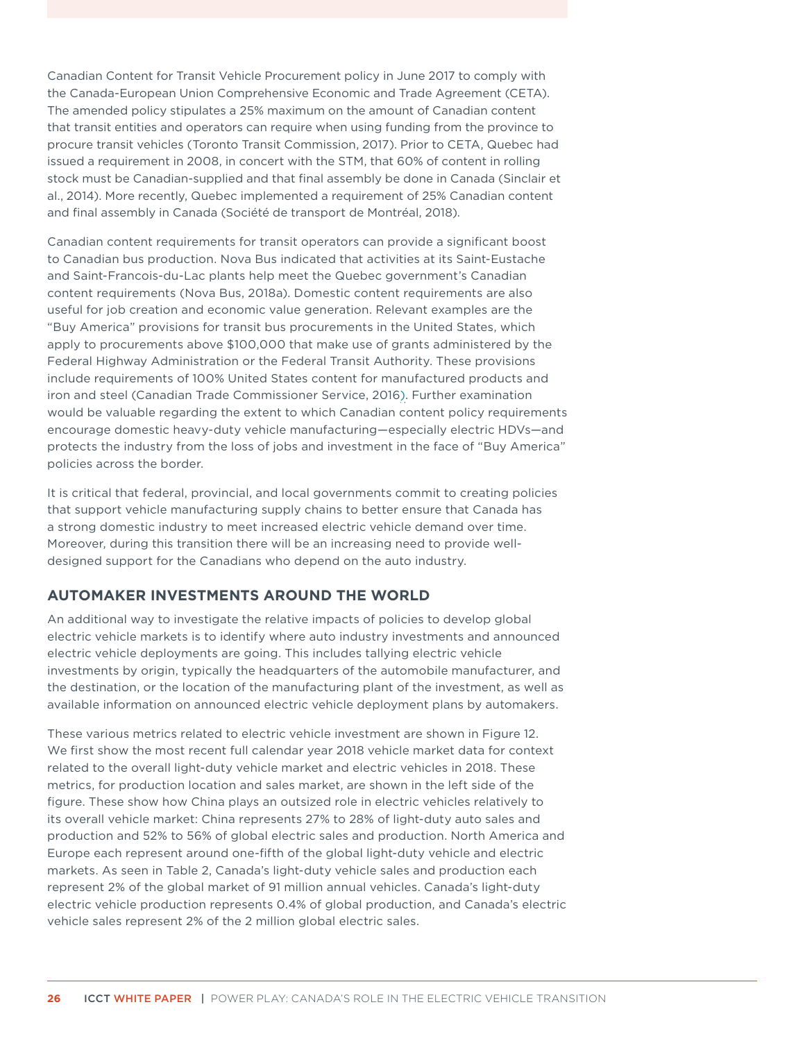<span id="page-32-0"></span>Canadian Content for Transit Vehicle Procurement policy in June 2017 to comply with the Canada-European Union Comprehensive Economic and Trade Agreement (CETA). The amended policy stipulates a 25% maximum on the amount of Canadian content that transit entities and operators can require when using funding from the province to procure transit vehicles (Toronto Transit Commission, 2017). Prior to CETA, Quebec had issued a requirement in 2008, in concert with the STM, that 60% of content in rolling stock must be Canadian-supplied and that final assembly be done in Canada (Sinclair et al., 2014). More recently, Quebec implemented a requirement of 25% Canadian content and final assembly in Canada (Société de transport de Montréal, 2018).

Canadian content requirements for transit operators can provide a significant boost to Canadian bus production. Nova Bus indicated that activities at its Saint-Eustache and Saint-Francois-du-Lac plants help meet the Quebec government's Canadian content requirements (Nova Bus, 2018a). Domestic content requirements are also useful for job creation and economic value generation. Relevant examples are the "Buy America" provisions for transit bus procurements in the United States, which apply to procurements above \$100,000 that make use of grants administered by the Federal Highway Administration or the Federal Transit Authority. These provisions include requirements of 100% United States content for manufactured products and iron and steel (Canadian Trade Commissioner Service, 2016). Further examination would be valuable regarding the extent to which Canadian content policy requirements encourage domestic heavy-duty vehicle manufacturing—especially electric HDVs—and protects the industry from the loss of jobs and investment in the face of "Buy America" policies across the border.

It is critical that federal, provincial, and local governments commit to creating policies that support vehicle manufacturing supply chains to better ensure that Canada has a strong domestic industry to meet increased electric vehicle demand over time. Moreover, during this transition there will be an increasing need to provide welldesigned support for the Canadians who depend on the auto industry.

### **AUTOMAKER INVESTMENTS AROUND THE WORLD**

An additional way to investigate the relative impacts of policies to develop global electric vehicle markets is to identify where auto industry investments and announced electric vehicle deployments are going. This includes tallying electric vehicle investments by origin, typically the headquarters of the automobile manufacturer, and the destination, or the location of the manufacturing plant of the investment, as well as available information on announced electric vehicle deployment plans by automakers.

These various metrics related to electric vehicle investment are shown in [Figure 1](#page-33-1)2. We first show the most recent full calendar year 2018 vehicle market data for context related to the overall light-duty vehicle market and electric vehicles in 2018. These metrics, for production location and sales market, are shown in the left side of the figure. These show how China plays an outsized role in electric vehicles relatively to its overall vehicle market: China represents 27% to 28% of light-duty auto sales and production and 52% to 56% of global electric sales and production. North America and Europe each represent around one-fifth of the global light-duty vehicle and electric markets. As seen in Table 2, Canada's light-duty vehicle sales and production each represent 2% of the global market of 91 million annual vehicles. Canada's light-duty electric vehicle production represents 0.4% of global production, and Canada's electric vehicle sales represent 2% of the 2 million global electric sales.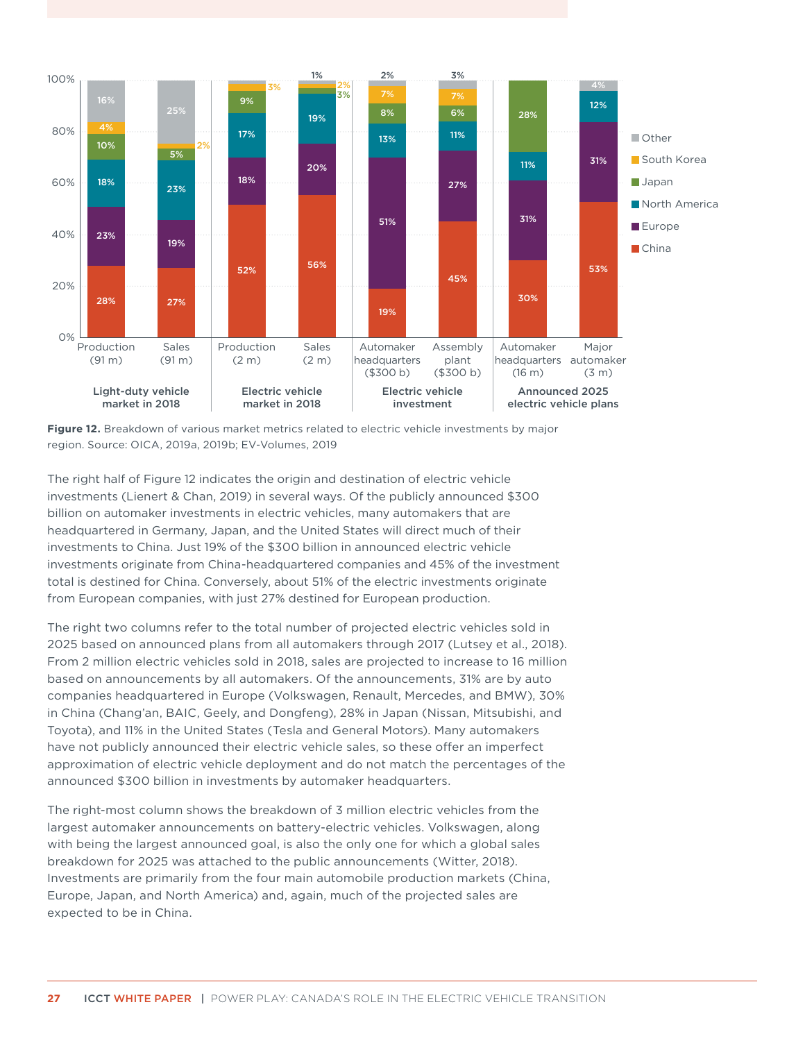<span id="page-33-0"></span>

<span id="page-33-1"></span>**Figure 12.** Breakdown of various market metrics related to electric vehicle investments by major region. Source: OICA, 2019a, 2019b; EV-Volumes, 2019

The right half of [Figure](#page-33-1) 12 indicates the origin and destination of electric vehicle investments (Lienert & Chan, 2019) in several ways. Of the publicly announced \$300 billion on automaker investments in electric vehicles, many automakers that are headquartered in Germany, Japan, and the United States will direct much of their investments to China. Just 19% of the \$300 billion in announced electric vehicle investments originate from China-headquartered companies and 45% of the investment total is destined for China. Conversely, about 51% of the electric investments originate from European companies, with just 27% destined for European production.

The right two columns refer to the total number of projected electric vehicles sold in 2025 based on announced plans from all automakers through 2017 (Lutsey et al., 2018). From 2 million electric vehicles sold in 2018, sales are projected to increase to 16 million based on announcements by all automakers. Of the announcements, 31% are by auto companies headquartered in Europe (Volkswagen, Renault, Mercedes, and BMW), 30% in China (Chang'an, BAIC, Geely, and Dongfeng), 28% in Japan (Nissan, Mitsubishi, and Toyota), and 11% in the United States (Tesla and General Motors). Many automakers have not publicly announced their electric vehicle sales, so these offer an imperfect approximation of electric vehicle deployment and do not match the percentages of the announced \$300 billion in investments by automaker headquarters.

The right-most column shows the breakdown of 3 million electric vehicles from the largest automaker announcements on battery-electric vehicles. Volkswagen, along with being the largest announced goal, is also the only one for which a global sales breakdown for 2025 was attached to the public announcements (Witter, 2018). Investments are primarily from the four main automobile production markets (China, Europe, Japan, and North America) and, again, much of the projected sales are expected to be in China.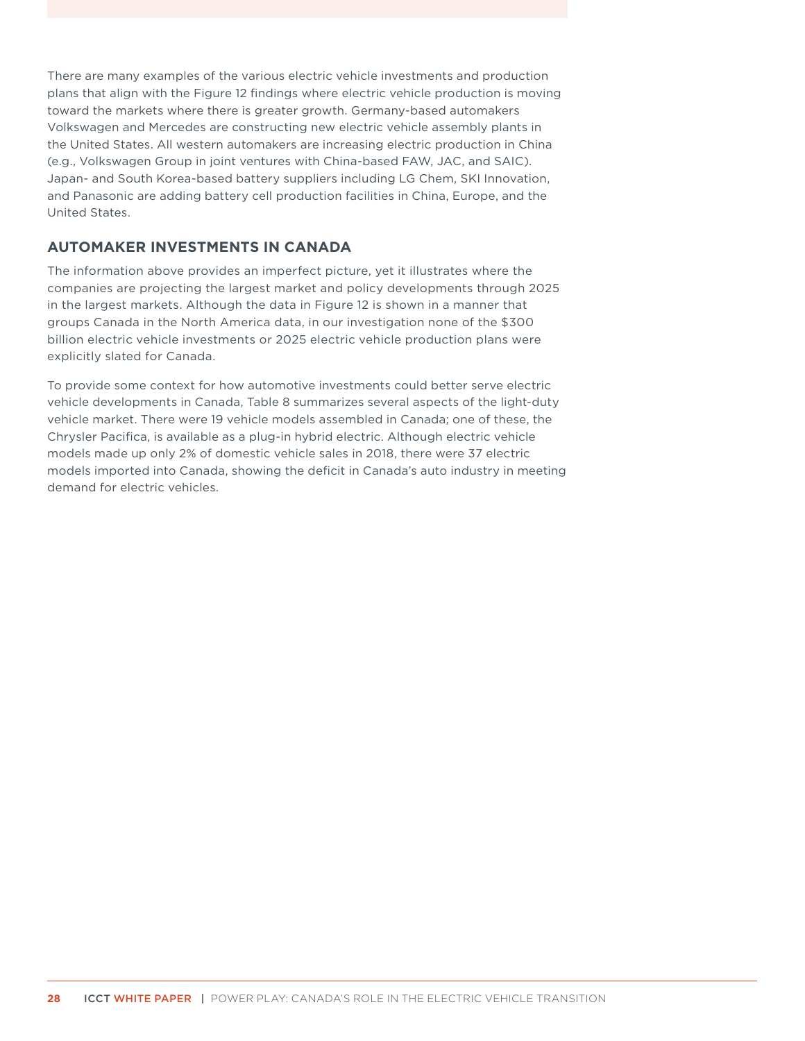<span id="page-34-0"></span>There are many examples of the various electric vehicle investments and production plans that align with the [Figure](#page-33-1) 12 findings where electric vehicle production is moving toward the markets where there is greater growth. Germany-based automakers Volkswagen and Mercedes are constructing new electric vehicle assembly plants in the United States. All western automakers are increasing electric production in China (e.g., Volkswagen Group in joint ventures with China-based FAW, JAC, and SAIC). Japan- and South Korea-based battery suppliers including LG Chem, SKI Innovation, and Panasonic are adding battery cell production facilities in China, Europe, and the United States.

### **AUTOMAKER INVESTMENTS IN CANADA**

The information above provides an imperfect picture, yet it illustrates where the companies are projecting the largest market and policy developments through 2025 in the largest markets. Although the data in [Figure 1](#page-33-1)2 is shown in a manner that groups Canada in the North America data, in our investigation none of the \$300 billion electric vehicle investments or 2025 electric vehicle production plans were explicitly slated for Canada.

To provide some context for how automotive investments could better serve electric vehicle developments in Canada, Table 8 summarizes several aspects of the light-duty vehicle market. There were 19 vehicle models assembled in Canada; one of these, the Chrysler Pacifica, is available as a plug-in hybrid electric. Although electric vehicle models made up only 2% of domestic vehicle sales in 2018, there were 37 electric models imported into Canada, showing the deficit in Canada's auto industry in meeting demand for electric vehicles.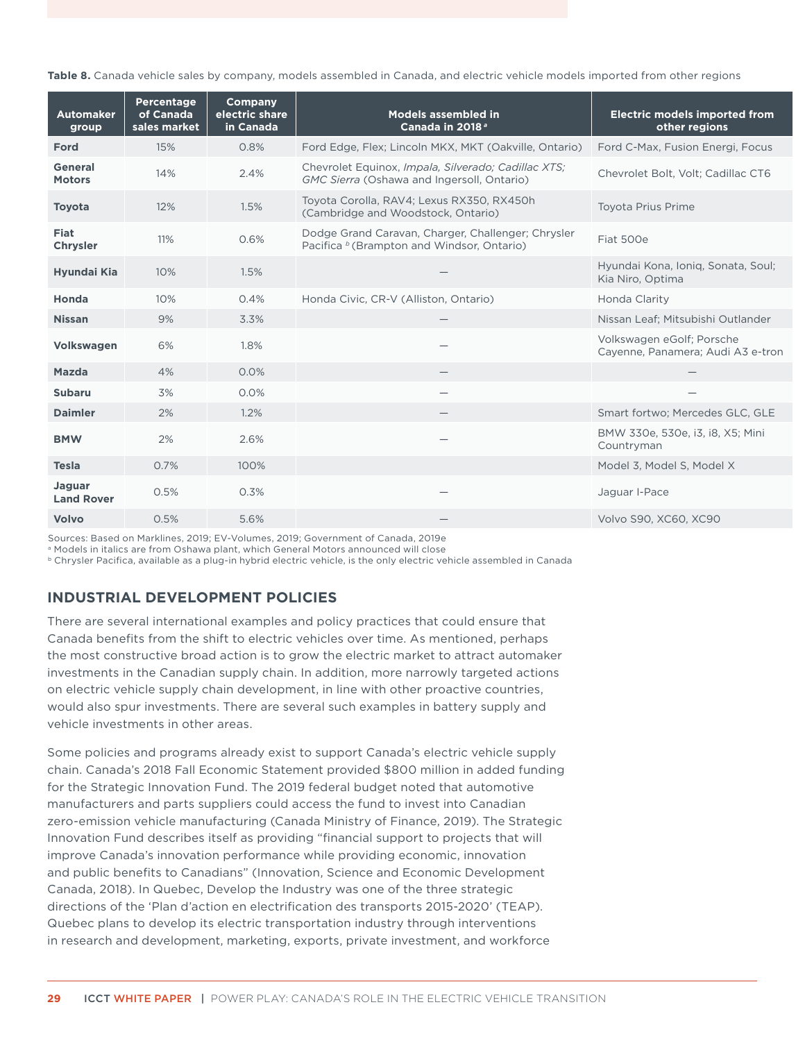<span id="page-35-0"></span>**Table 8.** Canada vehicle sales by company, models assembled in Canada, and electric vehicle models imported from other regions

| <b>Automaker</b><br>group       | <b>Percentage</b><br>of Canada<br>sales market | Company<br>electric share<br>in Canada | <b>Models assembled in</b><br>Canada in 2018 <sup>a</sup>                                                   | <b>Electric models imported from</b><br>other regions          |
|---------------------------------|------------------------------------------------|----------------------------------------|-------------------------------------------------------------------------------------------------------------|----------------------------------------------------------------|
| Ford                            | 15%                                            | 0.8%                                   | Ford Edge, Flex; Lincoln MKX, MKT (Oakville, Ontario)                                                       | Ford C-Max, Fusion Energi, Focus                               |
| <b>General</b><br><b>Motors</b> | 14%                                            | 2.4%                                   | Chevrolet Equinox, Impala, Silverado; Cadillac XTS;<br>GMC Sierra (Oshawa and Ingersoll, Ontario)           | Chevrolet Bolt, Volt; Cadillac CT6                             |
| <b>Toyota</b>                   | 12%                                            | 1.5%                                   | Toyota Corolla, RAV4; Lexus RX350, RX450h<br>(Cambridge and Woodstock, Ontario)                             | <b>Toyota Prius Prime</b>                                      |
| <b>Fiat</b><br><b>Chrysler</b>  | 11%                                            | 0.6%                                   | Dodge Grand Caravan, Charger, Challenger; Chrysler<br>Pacifica <sup>b</sup> (Brampton and Windsor, Ontario) | Fiat 500e                                                      |
| Hyundai Kia                     | 10%                                            | 1.5%                                   |                                                                                                             | Hyundai Kona, Ionig, Sonata, Soul;<br>Kia Niro, Optima         |
| Honda                           | 10%                                            | 0.4%                                   | Honda Civic, CR-V (Alliston, Ontario)                                                                       | Honda Clarity                                                  |
| <b>Nissan</b>                   | 9%                                             | 3.3%                                   |                                                                                                             | Nissan Leaf; Mitsubishi Outlander                              |
| <b>Volkswagen</b>               | 6%                                             | 1.8%                                   |                                                                                                             | Volkswagen eGolf; Porsche<br>Cayenne, Panamera; Audi A3 e-tron |
| <b>Mazda</b>                    | 4%                                             | 0.0%                                   |                                                                                                             |                                                                |
| <b>Subaru</b>                   | 3%                                             | 0.0%                                   |                                                                                                             |                                                                |
| <b>Daimler</b>                  | 2%                                             | 1.2%                                   |                                                                                                             | Smart fortwo; Mercedes GLC, GLE                                |
| <b>BMW</b>                      | 2%                                             | 2.6%                                   |                                                                                                             | BMW 330e, 530e, i3, i8, X5; Mini<br>Countryman                 |
| <b>Tesla</b>                    | 0.7%                                           | 100%                                   |                                                                                                             | Model 3, Model S, Model X                                      |
| Jaguar<br><b>Land Rover</b>     | 0.5%                                           | 0.3%                                   |                                                                                                             | Jaguar I-Pace                                                  |
| <b>Volvo</b>                    | 0.5%                                           | 5.6%                                   |                                                                                                             | Volvo S90, XC60, XC90                                          |

Sources: Based on Marklines, 2019; EV-Volumes, 2019; Government of Canada, 2019e

a Models in italics are from Oshawa plant, which General Motors announced will close

b Chrysler Pacifica, available as a plug-in hybrid electric vehicle, is the only electric vehicle assembled in Canada

### **INDUSTRIAL DEVELOPMENT POLICIES**

There are several international examples and policy practices that could ensure that Canada benefits from the shift to electric vehicles over time. As mentioned, perhaps the most constructive broad action is to grow the electric market to attract automaker investments in the Canadian supply chain. In addition, more narrowly targeted actions on electric vehicle supply chain development, in line with other proactive countries, would also spur investments. There are several such examples in battery supply and vehicle investments in other areas.

Some policies and programs already exist to support Canada's electric vehicle supply chain. Canada's 2018 Fall Economic Statement provided \$800 million in added funding for the Strategic Innovation Fund. The 2019 federal budget noted that automotive manufacturers and parts suppliers could access the fund to invest into Canadian zero-emission vehicle manufacturing (Canada Ministry of Finance, 2019). The Strategic Innovation Fund describes itself as providing "financial support to projects that will improve Canada's innovation performance while providing economic, innovation and public benefits to Canadians" (Innovation, Science and Economic Development Canada, 2018). In Quebec, Develop the Industry was one of the three strategic directions of the 'Plan d'action en electrification des transports 2015-2020' (TEAP). Quebec plans to develop its electric transportation industry through interventions in research and development, marketing, exports, private investment, and workforce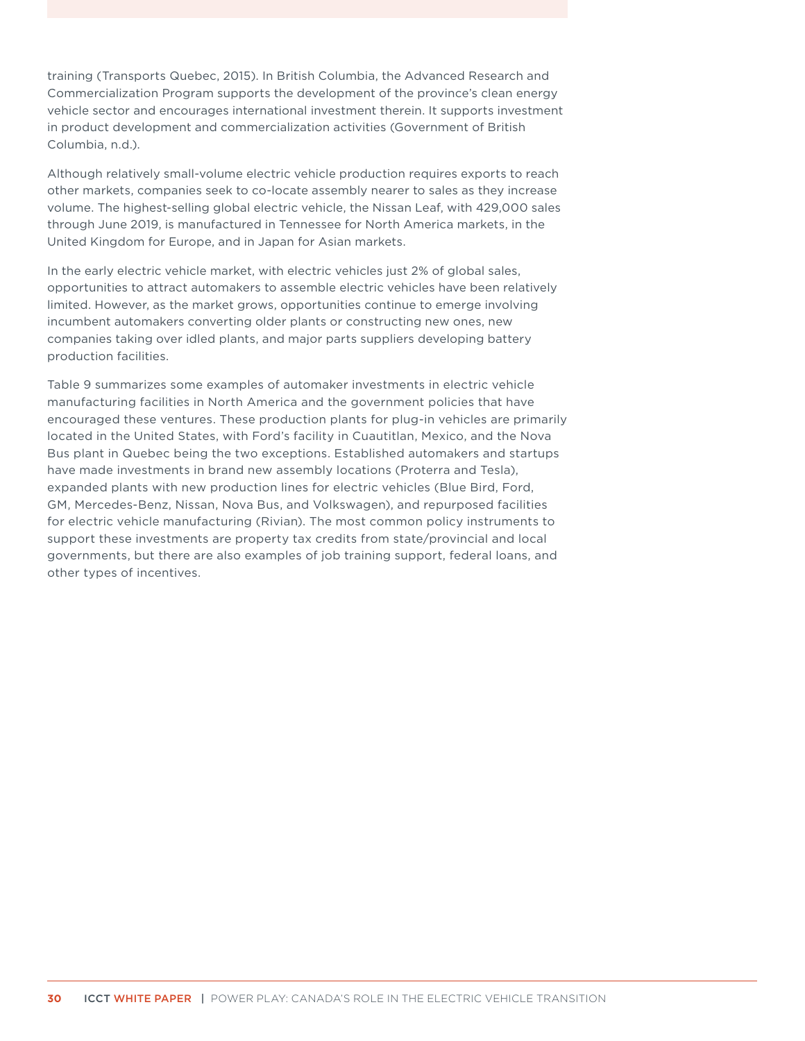training (Transports Quebec, 2015). In British Columbia, the Advanced Research and Commercialization Program supports the development of the province's clean energy vehicle sector and encourages international investment therein. It supports investment in product development and commercialization activities (Government of British Columbia, n.d.).

Although relatively small-volume electric vehicle production requires exports to reach other markets, companies seek to co-locate assembly nearer to sales as they increase volume. The highest-selling global electric vehicle, the Nissan Leaf, with 429,000 sales through June 2019, is manufactured in Tennessee for North America markets, in the United Kingdom for Europe, and in Japan for Asian markets.

In the early electric vehicle market, with electric vehicles just 2% of global sales, opportunities to attract automakers to assemble electric vehicles have been relatively limited. However, as the market grows, opportunities continue to emerge involving incumbent automakers converting older plants or constructing new ones, new companies taking over idled plants, and major parts suppliers developing battery production facilities.

Table 9 summarizes some examples of automaker investments in electric vehicle manufacturing facilities in North America and the government policies that have encouraged these ventures. These production plants for plug-in vehicles are primarily located in the United States, with Ford's facility in Cuautitlan, Mexico, and the Nova Bus plant in Quebec being the two exceptions. Established automakers and startups have made investments in brand new assembly locations (Proterra and Tesla), expanded plants with new production lines for electric vehicles (Blue Bird, Ford, GM, Mercedes-Benz, Nissan, Nova Bus, and Volkswagen), and repurposed facilities for electric vehicle manufacturing (Rivian). The most common policy instruments to support these investments are property tax credits from state/provincial and local governments, but there are also examples of job training support, federal loans, and other types of incentives.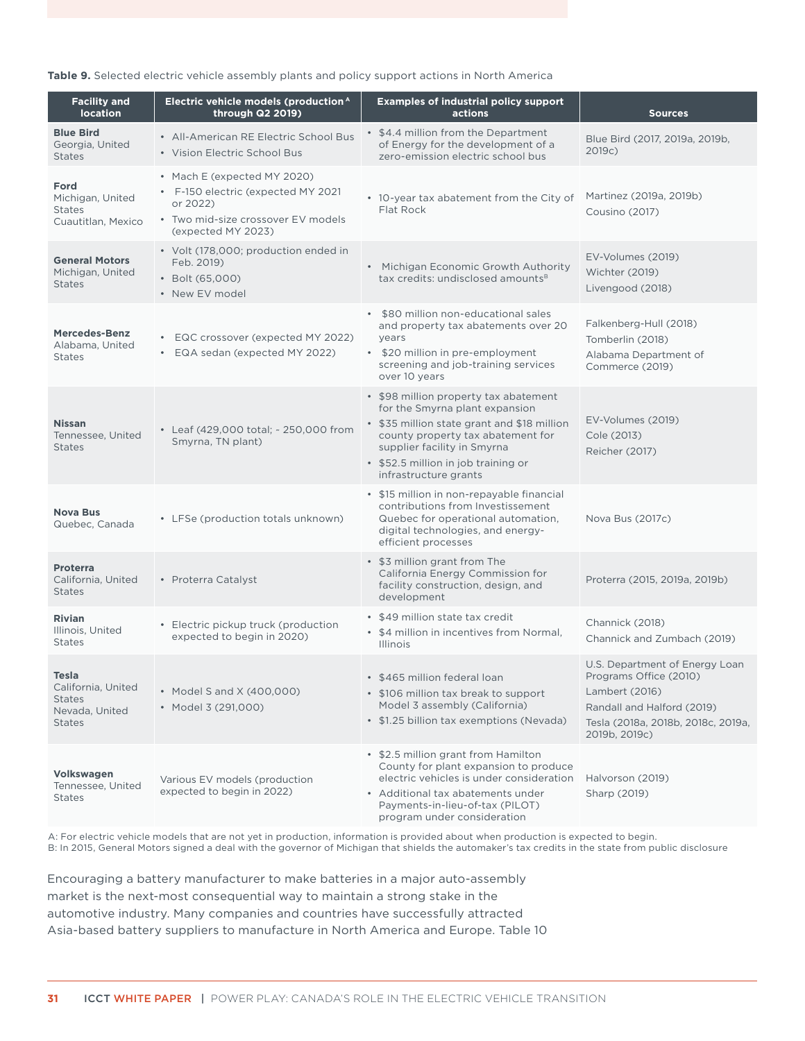#### <span id="page-37-0"></span>**Table 9.** Selected electric vehicle assembly plants and policy support actions in North America

| <b>Facility and</b><br><b>location</b>                                          | Electric vehicle models (production <sup>A</sup><br>through Q2 2019)                                                                      | <b>Examples of industrial policy support</b><br>actions                                                                                                                                                                                                    | <b>Sources</b>                                                                                                                                                  |
|---------------------------------------------------------------------------------|-------------------------------------------------------------------------------------------------------------------------------------------|------------------------------------------------------------------------------------------------------------------------------------------------------------------------------------------------------------------------------------------------------------|-----------------------------------------------------------------------------------------------------------------------------------------------------------------|
| <b>Blue Bird</b><br>Georgia, United<br><b>States</b>                            | • All-American RE Electric School Bus<br>• Vision Electric School Bus                                                                     | • \$4.4 million from the Department<br>of Energy for the development of a<br>zero-emission electric school bus                                                                                                                                             | Blue Bird (2017, 2019a, 2019b,<br>2019c)                                                                                                                        |
| Ford<br>Michigan, United<br><b>States</b><br>Cuautitlan, Mexico                 | • Mach E (expected MY 2020)<br>• F-150 electric (expected MY 2021<br>or 2022)<br>• Two mid-size crossover EV models<br>(expected MY 2023) | • 10-year tax abatement from the City of<br>Flat Rock                                                                                                                                                                                                      | Martinez (2019a, 2019b)<br>Cousino (2017)                                                                                                                       |
| <b>General Motors</b><br>Michigan, United<br><b>States</b>                      | • Volt (178,000; production ended in<br>Feb. 2019)<br>• Bolt (65,000)<br>• New EV model                                                   | • Michigan Economic Growth Authority<br>tax credits: undisclosed amounts <sup>B</sup>                                                                                                                                                                      | EV-Volumes (2019)<br>Wichter (2019)<br>Livengood (2018)                                                                                                         |
| <b>Mercedes-Benz</b><br>Alabama, United<br><b>States</b>                        | • EQC crossover (expected MY 2022)<br>EQA sedan (expected MY 2022)<br>$\bullet$                                                           | • \$80 million non-educational sales<br>and property tax abatements over 20<br>years<br>• \$20 million in pre-employment<br>screening and job-training services<br>over 10 years                                                                           | Falkenberg-Hull (2018)<br>Tomberlin (2018)<br>Alabama Department of<br>Commerce (2019)                                                                          |
| <b>Nissan</b><br>Tennessee, United<br><b>States</b>                             | • Leaf (429,000 total; ~ 250,000 from<br>Smyrna, TN plant)                                                                                | • \$98 million property tax abatement<br>for the Smyrna plant expansion<br>• \$35 million state grant and \$18 million<br>county property tax abatement for<br>supplier facility in Smyrna<br>• \$52.5 million in job training or<br>infrastructure grants | EV-Volumes (2019)<br>Cole (2013)<br>Reicher (2017)                                                                                                              |
| <b>Nova Bus</b><br>Quebec, Canada                                               | • LFSe (production totals unknown)                                                                                                        | • \$15 million in non-repayable financial<br>contributions from Investissement<br>Quebec for operational automation,<br>digital technologies, and energy-<br>efficient processes                                                                           | Nova Bus (2017c)                                                                                                                                                |
| <b>Proterra</b><br>California, United<br><b>States</b>                          | • Proterra Catalyst                                                                                                                       | • \$3 million grant from The<br>California Energy Commission for<br>facility construction, design, and<br>development                                                                                                                                      | Proterra (2015, 2019a, 2019b)                                                                                                                                   |
| <b>Rivian</b><br>Illinois, United<br><b>States</b>                              | • Electric pickup truck (production<br>expected to begin in 2020)                                                                         | • \$49 million state tax credit<br>• \$4 million in incentives from Normal,<br><b>Illinois</b>                                                                                                                                                             | Channick (2018)<br>Channick and Zumbach (2019)                                                                                                                  |
| Tesla<br>California, United<br><b>States</b><br>Nevada, United<br><b>States</b> | • Model S and X (400,000)<br>• Model 3 (291,000)                                                                                          | • \$465 million federal loan<br>• \$106 million tax break to support<br>Model 3 assembly (California)<br>• \$1.25 billion tax exemptions (Nevada)                                                                                                          | U.S. Department of Energy Loan<br>Programs Office (2010)<br>Lambert (2016)<br>Randall and Halford (2019)<br>Tesla (2018a, 2018b, 2018c, 2019a,<br>2019b, 2019c) |
| <b>Volkswagen</b><br>Tennessee, United<br><b>States</b>                         | Various EV models (production<br>expected to begin in 2022)                                                                               | • \$2.5 million grant from Hamilton<br>County for plant expansion to produce<br>electric vehicles is under consideration<br>• Additional tax abatements under<br>Payments-in-lieu-of-tax (PILOT)<br>program under consideration                            | Halvorson (2019)<br>Sharp (2019)                                                                                                                                |

A: For electric vehicle models that are not yet in production, information is provided about when production is expected to begin. B: In 2015, General Motors signed a deal with the governor of Michigan that shields the automaker's tax credits in the state from public disclosure

Encouraging a battery manufacturer to make batteries in a major auto-assembly market is the next-most consequential way to maintain a strong stake in the automotive industry. Many companies and countries have successfully attracted Asia-based battery suppliers to manufacture in North America and Europe. Table 10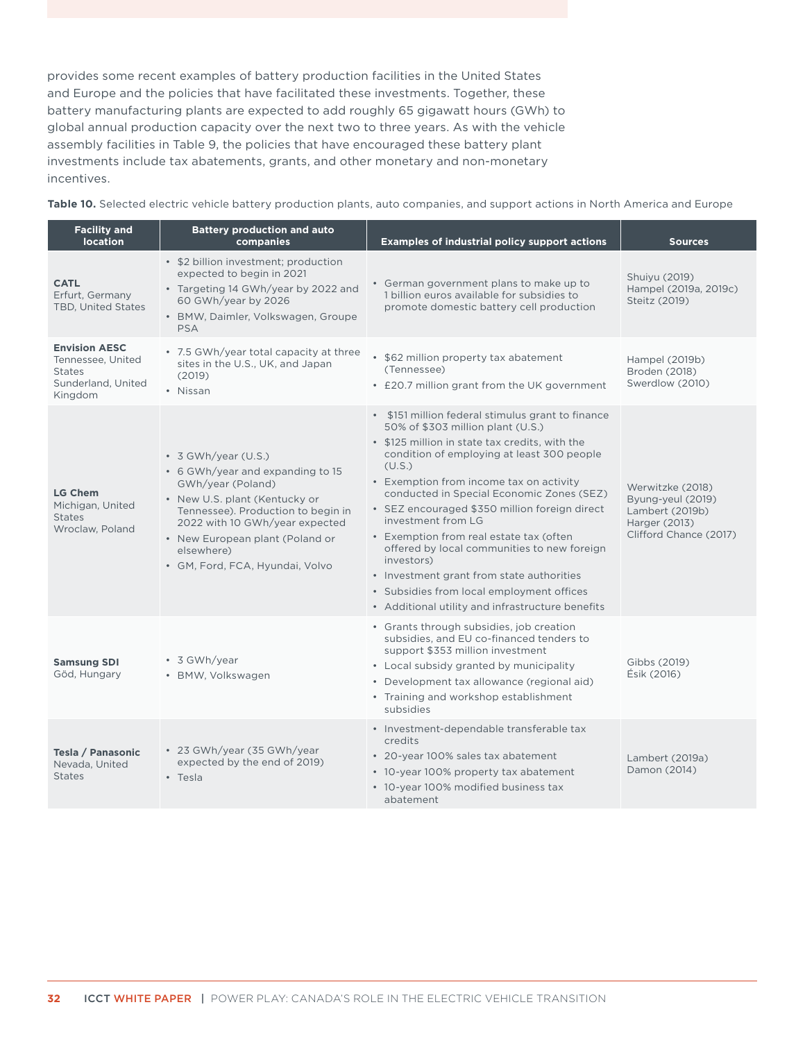<span id="page-38-0"></span>provides some recent examples of battery production facilities in the United States and Europe and the policies that have facilitated these investments. Together, these battery manufacturing plants are expected to add roughly 65 gigawatt hours (GWh) to global annual production capacity over the next two to three years. As with the vehicle assembly facilities in Table 9, the policies that have encouraged these battery plant investments include tax abatements, grants, and other monetary and non-monetary incentives.

**Table 10.** Selected electric vehicle battery production plants, auto companies, and support actions in North America and Europe

| <b>Facility and</b><br><b>location</b>                                                      | <b>Battery production and auto</b><br>companies                                                                                                                                                                                                                                 | <b>Examples of industrial policy support actions</b>                                                                                                                                                                                                                                                                                                                                                                                                                                                                                                                                                                  | <b>Sources</b>                                                                                      |
|---------------------------------------------------------------------------------------------|---------------------------------------------------------------------------------------------------------------------------------------------------------------------------------------------------------------------------------------------------------------------------------|-----------------------------------------------------------------------------------------------------------------------------------------------------------------------------------------------------------------------------------------------------------------------------------------------------------------------------------------------------------------------------------------------------------------------------------------------------------------------------------------------------------------------------------------------------------------------------------------------------------------------|-----------------------------------------------------------------------------------------------------|
| <b>CATL</b><br>Erfurt, Germany<br>TBD, United States                                        | • \$2 billion investment; production<br>expected to begin in 2021<br>• Targeting 14 GWh/year by 2022 and<br>60 GWh/year by 2026<br>· BMW, Daimler, Volkswagen, Groupe<br><b>PSA</b>                                                                                             | • German government plans to make up to<br>1 billion euros available for subsidies to<br>promote domestic battery cell production                                                                                                                                                                                                                                                                                                                                                                                                                                                                                     | Shuiyu (2019)<br>Hampel (2019a, 2019c)<br>Steitz (2019)                                             |
| <b>Envision AESC</b><br>Tennessee, United<br><b>States</b><br>Sunderland, United<br>Kingdom | • 7.5 GWh/year total capacity at three<br>sites in the U.S., UK, and Japan<br>(2019)<br>• Nissan                                                                                                                                                                                | • \$62 million property tax abatement<br>(Tennessee)<br>• £20.7 million grant from the UK government                                                                                                                                                                                                                                                                                                                                                                                                                                                                                                                  | Hampel (2019b)<br>Broden (2018)<br>Swerdlow (2010)                                                  |
| <b>LG Chem</b><br>Michigan, United<br><b>States</b><br>Wroclaw, Poland                      | $\cdot$ 3 GWh/year (U.S.)<br>• 6 GWh/year and expanding to 15<br>GWh/year (Poland)<br>• New U.S. plant (Kentucky or<br>Tennessee). Production to begin in<br>2022 with 10 GWh/year expected<br>• New European plant (Poland or<br>elsewhere)<br>• GM, Ford, FCA, Hyundai, Volvo | • \$151 million federal stimulus grant to finance<br>50% of \$303 million plant (U.S.)<br>• \$125 million in state tax credits, with the<br>condition of employing at least 300 people<br>(U.S.)<br>• Exemption from income tax on activity<br>conducted in Special Economic Zones (SEZ)<br>• SEZ encouraged \$350 million foreign direct<br>investment from LG<br>• Exemption from real estate tax (often<br>offered by local communities to new foreign<br>investors)<br>• Investment grant from state authorities<br>• Subsidies from local employment offices<br>• Additional utility and infrastructure benefits | Werwitzke (2018)<br>Byung-yeul (2019)<br>Lambert (2019b)<br>Harger (2013)<br>Clifford Chance (2017) |
| <b>Samsung SDI</b><br>Göd, Hungary                                                          | • 3 GWh/year<br>· BMW, Volkswagen                                                                                                                                                                                                                                               | • Grants through subsidies, job creation<br>subsidies, and EU co-financed tenders to<br>support \$353 million investment<br>• Local subsidy granted by municipality<br>• Development tax allowance (regional aid)<br>• Training and workshop establishment<br>subsidies                                                                                                                                                                                                                                                                                                                                               | Gibbs (2019)<br>Ésik (2016)                                                                         |
| Tesla / Panasonic<br>Nevada, United<br><b>States</b>                                        | • 23 GWh/year (35 GWh/year<br>expected by the end of 2019)<br>$\cdot$ Tesla                                                                                                                                                                                                     | · Investment-dependable transferable tax<br>credits<br>• 20-year 100% sales tax abatement<br>• 10-year 100% property tax abatement<br>• 10-year 100% modified business tax<br>abatement                                                                                                                                                                                                                                                                                                                                                                                                                               | Lambert (2019a)<br>Damon (2014)                                                                     |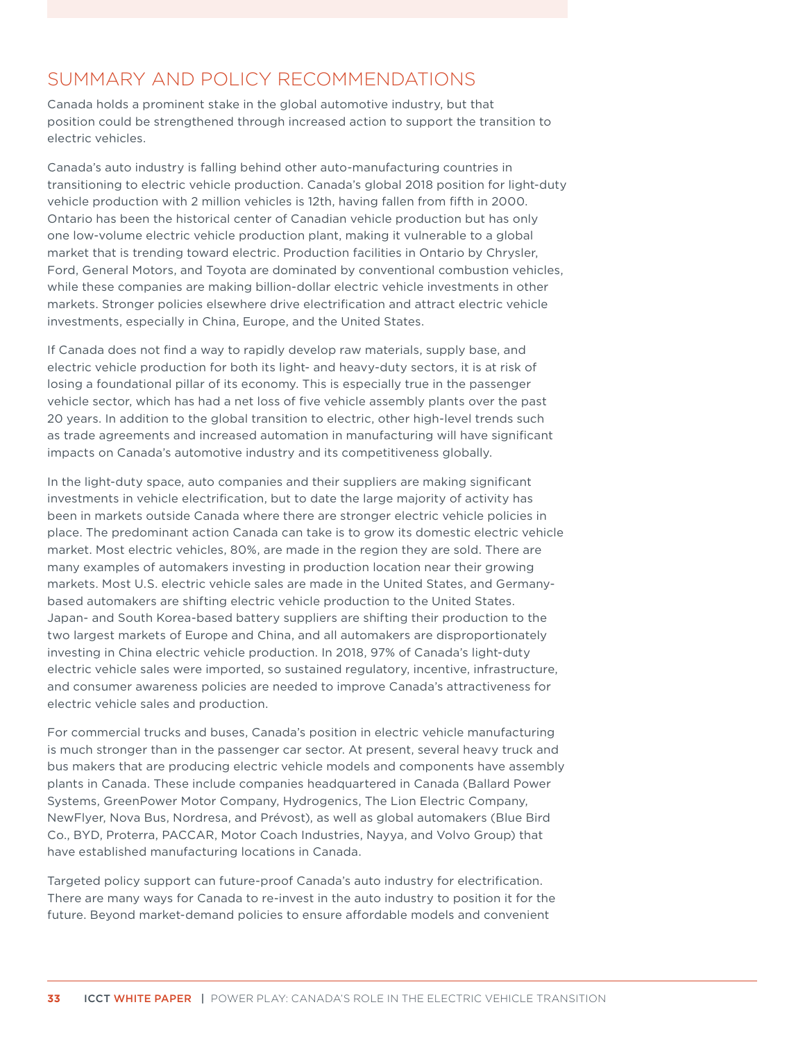# <span id="page-39-0"></span>SUMMARY AND POLICY RECOMMENDATIONS

Canada holds a prominent stake in the global automotive industry, but that position could be strengthened through increased action to support the transition to electric vehicles.

Canada's auto industry is falling behind other auto-manufacturing countries in transitioning to electric vehicle production. Canada's global 2018 position for light-duty vehicle production with 2 million vehicles is 12th, having fallen from fifth in 2000. Ontario has been the historical center of Canadian vehicle production but has only one low-volume electric vehicle production plant, making it vulnerable to a global market that is trending toward electric. Production facilities in Ontario by Chrysler, Ford, General Motors, and Toyota are dominated by conventional combustion vehicles, while these companies are making billion-dollar electric vehicle investments in other markets. Stronger policies elsewhere drive electrification and attract electric vehicle investments, especially in China, Europe, and the United States.

If Canada does not find a way to rapidly develop raw materials, supply base, and electric vehicle production for both its light- and heavy-duty sectors, it is at risk of losing a foundational pillar of its economy. This is especially true in the passenger vehicle sector, which has had a net loss of five vehicle assembly plants over the past 20 years. In addition to the global transition to electric, other high-level trends such as trade agreements and increased automation in manufacturing will have significant impacts on Canada's automotive industry and its competitiveness globally.

In the light-duty space, auto companies and their suppliers are making significant investments in vehicle electrification, but to date the large majority of activity has been in markets outside Canada where there are stronger electric vehicle policies in place. The predominant action Canada can take is to grow its domestic electric vehicle market. Most electric vehicles, 80%, are made in the region they are sold. There are many examples of automakers investing in production location near their growing markets. Most U.S. electric vehicle sales are made in the United States, and Germanybased automakers are shifting electric vehicle production to the United States. Japan- and South Korea-based battery suppliers are shifting their production to the two largest markets of Europe and China, and all automakers are disproportionately investing in China electric vehicle production. In 2018, 97% of Canada's light-duty electric vehicle sales were imported, so sustained regulatory, incentive, infrastructure, and consumer awareness policies are needed to improve Canada's attractiveness for electric vehicle sales and production.

For commercial trucks and buses, Canada's position in electric vehicle manufacturing is much stronger than in the passenger car sector. At present, several heavy truck and bus makers that are producing electric vehicle models and components have assembly plants in Canada. These include companies headquartered in Canada (Ballard Power Systems, GreenPower Motor Company, Hydrogenics, The Lion Electric Company, NewFlyer, Nova Bus, Nordresa, and Prévost), as well as global automakers (Blue Bird Co., BYD, Proterra, PACCAR, Motor Coach Industries, Nayya, and Volvo Group) that have established manufacturing locations in Canada.

Targeted policy support can future-proof Canada's auto industry for electrification. There are many ways for Canada to re-invest in the auto industry to position it for the future. Beyond market-demand policies to ensure affordable models and convenient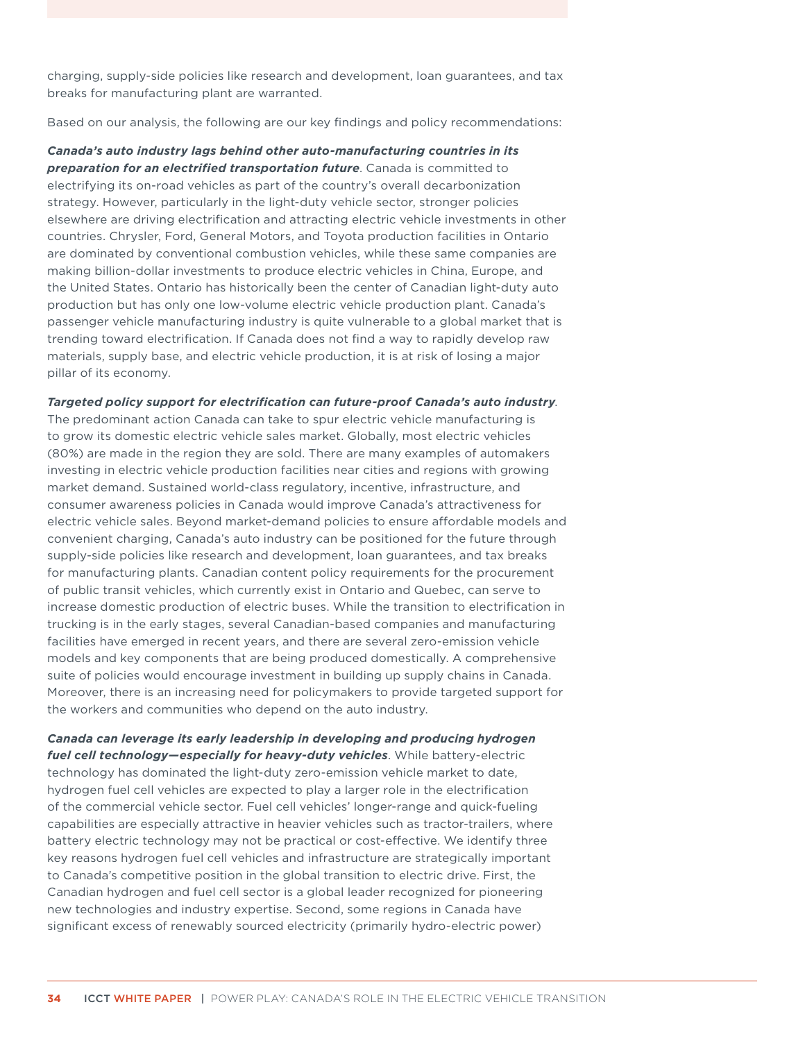charging, supply-side policies like research and development, loan guarantees, and tax breaks for manufacturing plant are warranted.

Based on our analysis, the following are our key findings and policy recommendations:

*Canada's auto industry lags behind other auto-manufacturing countries in its preparation for an electrified transportation future*. Canada is committed to electrifying its on-road vehicles as part of the country's overall decarbonization strategy. However, particularly in the light-duty vehicle sector, stronger policies elsewhere are driving electrification and attracting electric vehicle investments in other countries. Chrysler, Ford, General Motors, and Toyota production facilities in Ontario are dominated by conventional combustion vehicles, while these same companies are making billion-dollar investments to produce electric vehicles in China, Europe, and the United States. Ontario has historically been the center of Canadian light-duty auto production but has only one low-volume electric vehicle production plant. Canada's passenger vehicle manufacturing industry is quite vulnerable to a global market that is trending toward electrification. If Canada does not find a way to rapidly develop raw materials, supply base, and electric vehicle production, it is at risk of losing a major pillar of its economy.

*Targeted policy support for electrification can future-proof Canada's auto industry*.

The predominant action Canada can take to spur electric vehicle manufacturing is to grow its domestic electric vehicle sales market. Globally, most electric vehicles (80%) are made in the region they are sold. There are many examples of automakers investing in electric vehicle production facilities near cities and regions with growing market demand. Sustained world-class regulatory, incentive, infrastructure, and consumer awareness policies in Canada would improve Canada's attractiveness for electric vehicle sales. Beyond market-demand policies to ensure affordable models and convenient charging, Canada's auto industry can be positioned for the future through supply-side policies like research and development, loan guarantees, and tax breaks for manufacturing plants. Canadian content policy requirements for the procurement of public transit vehicles, which currently exist in Ontario and Quebec, can serve to increase domestic production of electric buses. While the transition to electrification in trucking is in the early stages, several Canadian-based companies and manufacturing facilities have emerged in recent years, and there are several zero-emission vehicle models and key components that are being produced domestically. A comprehensive suite of policies would encourage investment in building up supply chains in Canada. Moreover, there is an increasing need for policymakers to provide targeted support for the workers and communities who depend on the auto industry.

*Canada can leverage its early leadership in developing and producing hydrogen fuel cell technology—especially for heavy-duty vehicles*. While battery-electric technology has dominated the light-duty zero-emission vehicle market to date, hydrogen fuel cell vehicles are expected to play a larger role in the electrification of the commercial vehicle sector. Fuel cell vehicles' longer-range and quick-fueling capabilities are especially attractive in heavier vehicles such as tractor-trailers, where battery electric technology may not be practical or cost-effective. We identify three key reasons hydrogen fuel cell vehicles and infrastructure are strategically important to Canada's competitive position in the global transition to electric drive. First, the Canadian hydrogen and fuel cell sector is a global leader recognized for pioneering new technologies and industry expertise. Second, some regions in Canada have significant excess of renewably sourced electricity (primarily hydro-electric power)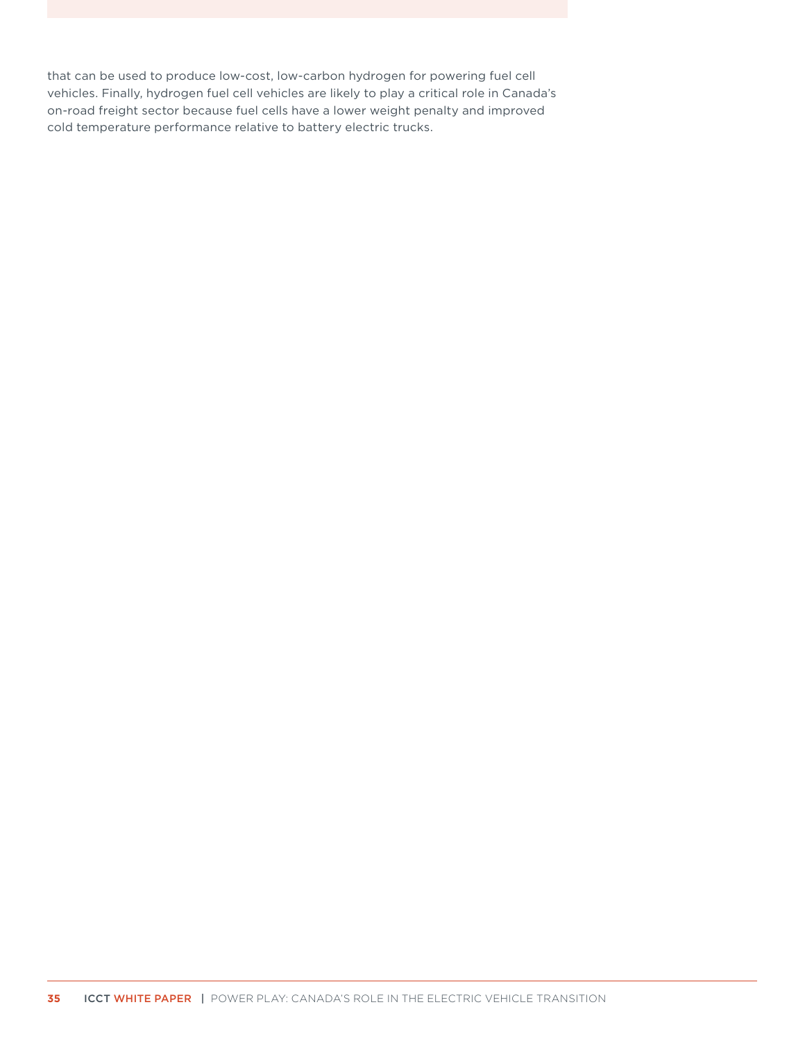that can be used to produce low-cost, low-carbon hydrogen for powering fuel cell vehicles. Finally, hydrogen fuel cell vehicles are likely to play a critical role in Canada's on-road freight sector because fuel cells have a lower weight penalty and improved cold temperature performance relative to battery electric trucks.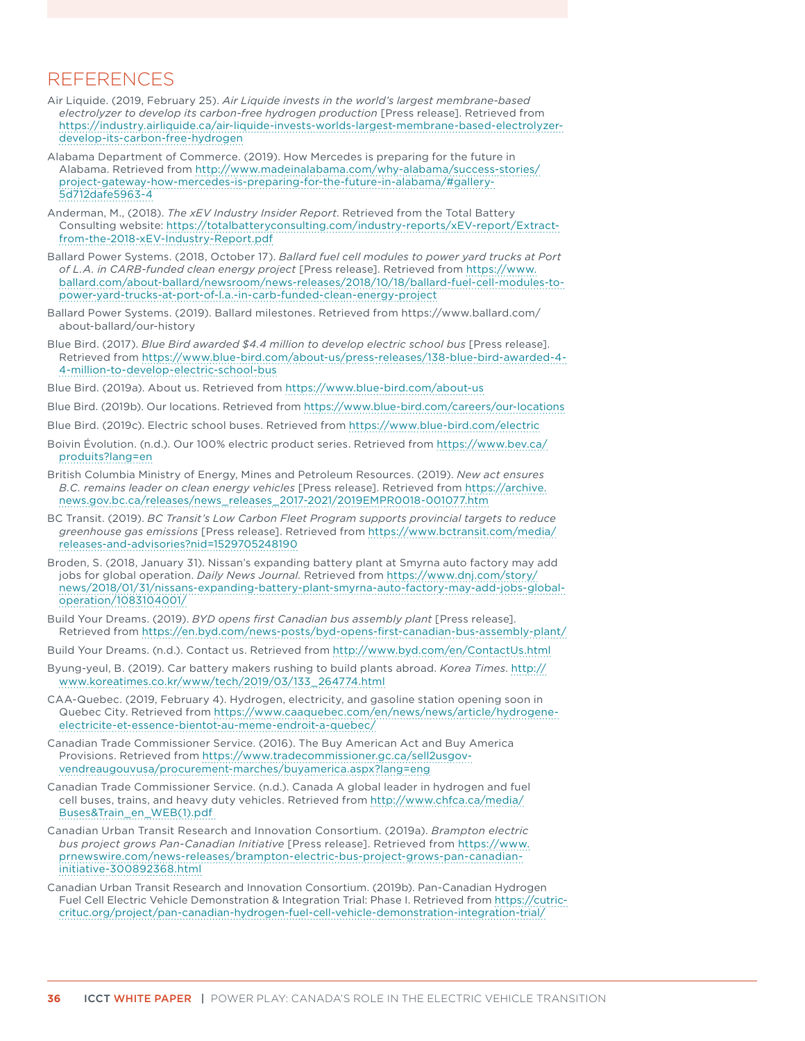### <span id="page-42-0"></span>REFERENCES

- Air Liquide. (2019, February 25). *Air Liquide invests in the world's largest membrane-based electrolyzer to develop its carbon-free hydrogen production* [Press release]. Retrieved from [https://industry.airliquide.ca/air-liquide-invests-worlds-largest-membrane-based-electrolyzer](https://industry.airliquide.ca/air-liquide-invests-worlds-largest-membrane-based-electrolyzer-develop-its-carbon-free-hydrogen)[develop-its-carbon-free-hydrogen](https://industry.airliquide.ca/air-liquide-invests-worlds-largest-membrane-based-electrolyzer-develop-its-carbon-free-hydrogen)
- Alabama Department of Commerce. (2019). How Mercedes is preparing for the future in Alabama. Retrieved from [http://www.madeinalabama.com/why-alabama/success-stories/](http://www.madeinalabama.com/why-alabama/success-stories/project-gateway-how-mercedes-is-preparing-for-the-future-in-alabama/#gallery-5d712dafe5963-4) [project-gateway-how-mercedes-is-preparing-for-the-future-in-alabama/#gallery-](http://www.madeinalabama.com/why-alabama/success-stories/project-gateway-how-mercedes-is-preparing-for-the-future-in-alabama/#gallery-5d712dafe5963-4)[5d712dafe5963-4](http://www.madeinalabama.com/why-alabama/success-stories/project-gateway-how-mercedes-is-preparing-for-the-future-in-alabama/#gallery-5d712dafe5963-4)
- Anderman, M., (2018). *The xEV Industry Insider Report*. Retrieved from the Total Battery Consulting website: [https://totalbatteryconsulting.com/industry-reports/xEV-report/Extract](https://totalbatteryconsulting.com/industry-reports/xEV-report/Extract-from-the-2018-xEV-Industry-Report.pdf)[from-the-2018-xEV-Industry-Report.pdf](https://totalbatteryconsulting.com/industry-reports/xEV-report/Extract-from-the-2018-xEV-Industry-Report.pdf)
- Ballard Power Systems. (2018, October 17). *Ballard fuel cell modules to power yard trucks at Port of L.A. in CARB-funded clean energy project* [Press release]. Retrieved from [https://www.](https://www.ballard.com/about-ballard/newsroom/news-releases/2018/10/18/ballard-fuel-cell-modules-to-power-yard-trucks-at-port-of-l.a.-in-carb-funded-clean-energy-project) [ballard.com/about-ballard/newsroom/news-releases/2018/10/18/ballard-fuel-cell-modules-to](https://www.ballard.com/about-ballard/newsroom/news-releases/2018/10/18/ballard-fuel-cell-modules-to-power-yard-trucks-at-port-of-l.a.-in-carb-funded-clean-energy-project)[power-yard-trucks-at-port-of-l.a.-in-carb-funded-clean-energy-project](https://www.ballard.com/about-ballard/newsroom/news-releases/2018/10/18/ballard-fuel-cell-modules-to-power-yard-trucks-at-port-of-l.a.-in-carb-funded-clean-energy-project)
- Ballard Power Systems. (2019). Ballard milestones. Retrieved from https://www.ballard.com/ about-ballard/our-history
- Blue Bird. (2017). *Blue Bird awarded \$4.4 million to develop electric school bus* [Press release]. Retrieved from [https://www.blue-bird.com/about-us/press-releases/138-blue-bird-awarded-4-](https://www.blue-bird.com/about-us/press-releases/138-blue-bird-awarded-4-4-million-to-develop-electric-school-bus) [4-million-to-develop-electric-school-bus](https://www.blue-bird.com/about-us/press-releases/138-blue-bird-awarded-4-4-million-to-develop-electric-school-bus)
- Blue Bird. (2019a). About us. Retrieved from<https://www.blue-bird.com/about-us>
- Blue Bird. (2019b). Our locations. Retrieved from<https://www.blue-bird.com/careers/our-locations>
- Blue Bird. (2019c). Electric school buses. Retrieved from <https://www.blue-bird.com/electric>
- Boivin Évolution. (n.d.). Our 100% electric product series. Retrieved from [https://www.bev.ca/](https://www.bev.ca/produits?lang=en) [produits?lang=en](https://www.bev.ca/produits?lang=en)
- British Columbia Ministry of Energy, Mines and Petroleum Resources. (2019). *New act ensures B.C. remains leader on clean energy vehicles* [Press release]. Retrieved from [https://archive.](https://archive.news.gov.bc.ca/releases/news_releases_2017-2021/2019EMPR0018-001077.htm) [news.gov.bc.ca/releases/news\\_releases\\_2017-2021/2019EMPR0018-001077.htm](https://archive.news.gov.bc.ca/releases/news_releases_2017-2021/2019EMPR0018-001077.htm)
- BC Transit. (2019). *BC Transit's Low Carbon Fleet Program supports provincial targets to reduce greenhouse gas emissions* [Press release]. Retrieved from [https://www.bctransit.com/media/](https://www.bctransit.com/media/releases-and-advisories?nid=1529705248190) [releases-and-advisories?nid=1529705248190](https://www.bctransit.com/media/releases-and-advisories?nid=1529705248190)
- Broden, S. (2018, January 31). Nissan's expanding battery plant at Smyrna auto factory may add jobs for global operation. *Daily News Journal.* Retrieved from [https://www.dnj.com/story/](https://www.dnj.com/story/news/2018/01/31/nissans-expanding-battery-plant-smyrna-auto-factory-may-add-jobs-global-operation/1083104001/) [news/2018/01/31/nissans-expanding-battery-plant-smyrna-auto-factory-may-add-jobs-global](https://www.dnj.com/story/news/2018/01/31/nissans-expanding-battery-plant-smyrna-auto-factory-may-add-jobs-global-operation/1083104001/)[operation/1083104001/](https://www.dnj.com/story/news/2018/01/31/nissans-expanding-battery-plant-smyrna-auto-factory-may-add-jobs-global-operation/1083104001/)
- Build Your Dreams. (2019). *BYD opens first Canadian bus assembly plant* [Press release]. Retrieved from<https://en.byd.com/news-posts/byd-opens-first-canadian-bus-assembly-plant/>
- Build Your Dreams. (n.d.). Contact us. Retrieved from<http://www.byd.com/en/ContactUs.html>
- Byung-yeul, B. (2019). Car battery makers rushing to build plants abroad. *Korea Times*. [http://](http://www.koreatimes.co.kr/www/tech/2019/03/133_264774.html) [www.koreatimes.co.kr/www/tech/2019/03/133\\_264774.html](http://www.koreatimes.co.kr/www/tech/2019/03/133_264774.html)
- CAA-Quebec. (2019, February 4). Hydrogen, electricity, and gasoline station opening soon in Quebec City. Retrieved from [https://www.caaquebec.com/en/news/news/article/hydrogene](https://www.caaquebec.com/en/news/news/article/hydrogene-electricite-et-essence-bientot-au-meme-endroit-a-quebec/)[electricite-et-essence-bientot-au-meme-endroit-a-quebec/](https://www.caaquebec.com/en/news/news/article/hydrogene-electricite-et-essence-bientot-au-meme-endroit-a-quebec/)
- Canadian Trade Commissioner Service. (2016). The Buy American Act and Buy America Provisions. Retrieved from [https://www.tradecommissioner.gc.ca/sell2usgov](https://www.tradecommissioner.gc.ca/sell2usgov-vendreaugouvusa/procurement-marches/buyamerica.aspx?lang=eng)[vendreaugouvusa/procurement-marches/buyamerica.aspx?lang=eng](https://www.tradecommissioner.gc.ca/sell2usgov-vendreaugouvusa/procurement-marches/buyamerica.aspx?lang=eng)
- Canadian Trade Commissioner Service. (n.d.). Canada A global leader in hydrogen and fuel cell buses, trains, and heavy duty vehicles. Retrieved from [http://www.chfca.ca/media/](http://www.chfca.ca/media/Buses&Train_en_WEB(1).pdf) [Buses&Train\\_en\\_WEB\(1\).pdf](http://www.chfca.ca/media/Buses&Train_en_WEB(1).pdf)
- Canadian Urban Transit Research and Innovation Consortium. (2019a). *Brampton electric bus project grows Pan-Canadian Initiative* [Press release]. Retrieved from [https://www.](https://www.prnewswire.com/news-releases/brampton-electric-bus-project-grows-pan-canadian-initiative-300892368.html) [prnewswire.com/news-releases/brampton-electric-bus-project-grows-pan-canadian](https://www.prnewswire.com/news-releases/brampton-electric-bus-project-grows-pan-canadian-initiative-300892368.html)[initiative-300892368.html](https://www.prnewswire.com/news-releases/brampton-electric-bus-project-grows-pan-canadian-initiative-300892368.html)
- Canadian Urban Transit Research and Innovation Consortium. (2019b). Pan-Canadian Hydrogen Fuel Cell Electric Vehicle Demonstration & Integration Trial: Phase I. Retrieved from [https://cutric](https://cutric-crituc.org/project/pan-canadian-hydrogen-fuel-cell-vehicle-demonstration-integration-trial/)[crituc.org/project/pan-canadian-hydrogen-fuel-cell-vehicle-demonstration-integration-trial/](https://cutric-crituc.org/project/pan-canadian-hydrogen-fuel-cell-vehicle-demonstration-integration-trial/)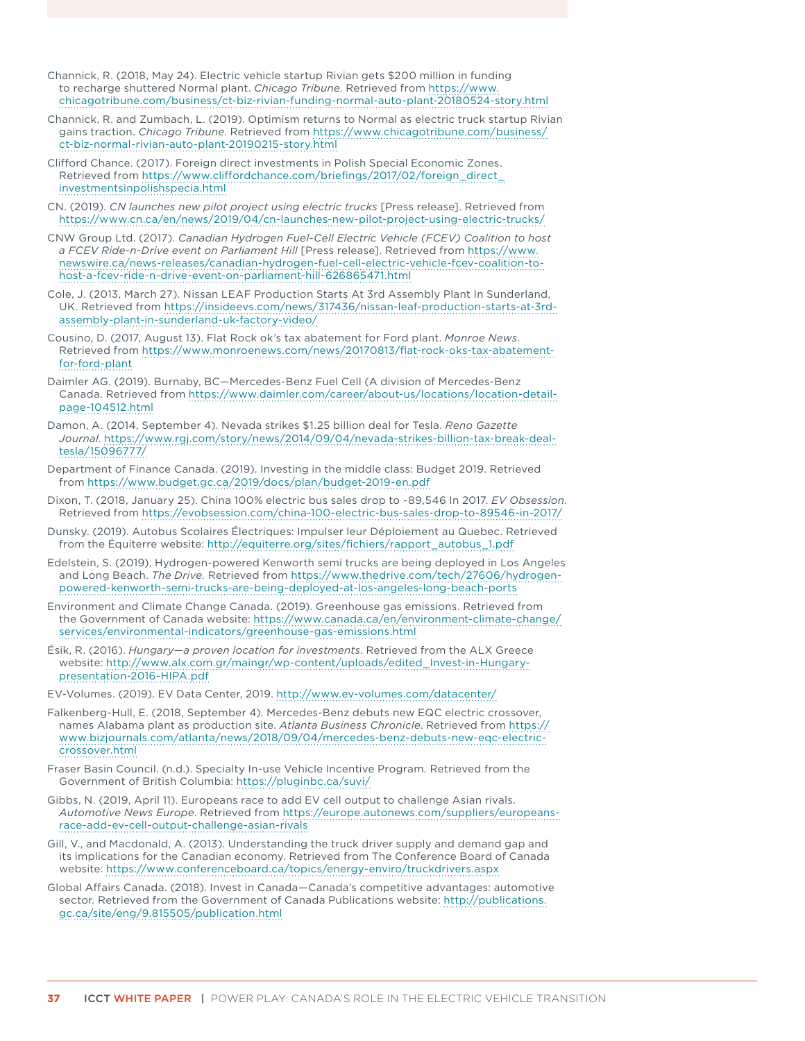- Channick, R. (2018, May 24). Electric vehicle startup Rivian gets \$200 million in funding to recharge shuttered Normal plant. *Chicago Tribune*. Retrieved from [https://www.](https://www.chicagotribune.com/business/ct-biz-rivian-funding-normal-auto-plant-20180524-story.html) [chicagotribune.com/business/ct-biz-rivian-funding-normal-auto-plant-20180524-story.html](https://www.chicagotribune.com/business/ct-biz-rivian-funding-normal-auto-plant-20180524-story.html)
- Channick, R. and Zumbach, L. (2019). Optimism returns to Normal as electric truck startup Rivian gains traction. *Chicago Tribune*. Retrieved from [https://www.chicagotribune.com/business/](https://www.chicagotribune.com/business/ct-biz-normal-rivian-auto-plant-20190215-story.html) [ct-biz-normal-rivian-auto-plant-20190215-story.html](https://www.chicagotribune.com/business/ct-biz-normal-rivian-auto-plant-20190215-story.html)
- Clifford Chance. (2017). Foreign direct investments in Polish Special Economic Zones. Retrieved from [https://www.cliffordchance.com/briefings/2017/02/foreign\\_direct\\_](https://www.cliffordchance.com/briefings/2017/02/foreign_direct_investmentsinpolishspecia.html) [investmentsinpolishspecia.html](https://www.cliffordchance.com/briefings/2017/02/foreign_direct_investmentsinpolishspecia.html)
- CN. (2019). *CN launches new pilot project using electric trucks* [Press release]. Retrieved from <https://www.cn.ca/en/news/2019/04/cn-launches-new-pilot-project-using-electric-trucks/>
- CNW Group Ltd. (2017). *Canadian Hydrogen Fuel-Cell Electric Vehicle (FCEV) Coalition to host a FCEV Ride-n-Drive event on Parliament Hill* [Press release]. Retrieved from [https://www.](https://www.newswire.ca/news-releases/canadian-hydrogen-fuel-cell-electric-vehicle-fcev-coalition-to-host-a-fcev-ride-n-drive-event-on-parliament-hill-626865471.html) [newswire.ca/news-releases/canadian-hydrogen-fuel-cell-electric-vehicle-fcev-coalition-to](https://www.newswire.ca/news-releases/canadian-hydrogen-fuel-cell-electric-vehicle-fcev-coalition-to-host-a-fcev-ride-n-drive-event-on-parliament-hill-626865471.html)[host-a-fcev-ride-n-drive-event-on-parliament-hill-626865471.html](https://www.newswire.ca/news-releases/canadian-hydrogen-fuel-cell-electric-vehicle-fcev-coalition-to-host-a-fcev-ride-n-drive-event-on-parliament-hill-626865471.html)
- Cole, J. (2013, March 27). Nissan LEAF Production Starts At 3rd Assembly Plant In Sunderland, UK. Retrieved from [https://insideevs.com/news/317436/nissan-leaf-production-starts-at-3rd](https://insideevs.com/news/317436/nissan-leaf-production-starts-at-3rd-assembly-plant-in-sunderland-uk-factory-video/)[assembly-plant-in-sunderland-uk-factory-video/](https://insideevs.com/news/317436/nissan-leaf-production-starts-at-3rd-assembly-plant-in-sunderland-uk-factory-video/)
- Cousino, D. (2017, August 13). Flat Rock ok's tax abatement for Ford plant. *Monroe News*. Retrieved from [https://www.monroenews.com/news/20170813/flat-rock-oks-tax-abatement](https://www.monroenews.com/news/20170813/flat-rock-oks-tax-abatement-for-ford-plant)[for-ford-plant](https://www.monroenews.com/news/20170813/flat-rock-oks-tax-abatement-for-ford-plant)
- Daimler AG. (2019). Burnaby, BC—Mercedes-Benz Fuel Cell (A division of Mercedes-Benz Canada. Retrieved from [https://www.daimler.com/career/about-us/locations/location-detail](https://www.daimler.com/career/about-us/locations/location-detail-page-104512.html)[page-104512.html](https://www.daimler.com/career/about-us/locations/location-detail-page-104512.html)
- Damon, A. (2014, September 4). Nevada strikes \$1.25 billion deal for Tesla. *Reno Gazette Journal*. [https://www.rgj.com/story/news/2014/09/04/nevada-strikes-billion-tax-break-deal](https://www.rgj.com/story/news/2014/09/04/nevada-strikes-billion-tax-break-deal-tesla/15096777/)[tesla/15096777/](https://www.rgj.com/story/news/2014/09/04/nevada-strikes-billion-tax-break-deal-tesla/15096777/)
- Department of Finance Canada. (2019). Investing in the middle class: Budget 2019. Retrieved from <https://www.budget.gc.ca/2019/docs/plan/budget-2019-en.pdf>
- Dixon, T. (2018, January 25). China 100% electric bus sales drop to ~89,546 In 2017. *EV Obsession.* Retrieved from<https://evobsession.com/china-100-electric-bus-sales-drop-to-89546-in-2017/>
- Dunsky. (2019). Autobus Scolaires Électriques: Impulser leur Déploiement au Quebec. Retrieved from the Équiterre website: [http://equiterre.org/sites/fichiers/rapport\\_autobus\\_1.pdf](http://equiterre.org/sites/fichiers/rapport_autobus_1.pdf)
- Edelstein, S. (2019). Hydrogen-powered Kenworth semi trucks are being deployed in Los Angeles and Long Beach. *The Drive.* Retrieved from [https://www.thedrive.com/tech/27606/hydrogen](https://www.thedrive.com/tech/27606/hydrogen-powered-kenworth-semi-trucks-are-being-deployed-at-los-angeles-long-beach-ports)[powered-kenworth-semi-trucks-are-being-deployed-at-los-angeles-long-beach-ports](https://www.thedrive.com/tech/27606/hydrogen-powered-kenworth-semi-trucks-are-being-deployed-at-los-angeles-long-beach-ports)
- Environment and Climate Change Canada. (2019). Greenhouse gas emissions. Retrieved from the Government of Canada website: [https://www.canada.ca/en/environment-climate-change/](https://www.canada.ca/en/environment-climate-change/services/environmental-indicators/greenhouse-gas-emissions.html) [services/environmental-indicators/greenhouse-gas-emissions.html](https://www.canada.ca/en/environment-climate-change/services/environmental-indicators/greenhouse-gas-emissions.html)
- Ésik, R. (2016). *Hungary—a proven location for investments*. Retrieved from the ALX Greece website: [http://www.alx.com.gr/maingr/wp-content/uploads/edited\\_Invest-in-Hungary](http://www.alx.com.gr/maingr/wp-content/uploads/edited_Invest-in-Hungary-presentation-2016-HIPA.pdf)[presentation-2016-HIPA.pdf](http://www.alx.com.gr/maingr/wp-content/uploads/edited_Invest-in-Hungary-presentation-2016-HIPA.pdf)
- EV-Volumes. (2019). EV Data Center, 2019.<http://www.ev-volumes.com/datacenter/>
- Falkenberg-Hull, E. (2018, September 4). Mercedes-Benz debuts new EQC electric crossover, names Alabama plant as production site. *Atlanta Business Chronicle*. Retrieved from [https://](https://www.bizjournals.com/atlanta/news/2018/09/04/mercedes-benz-debuts-new-eqc-electric-crossover.html) [www.bizjournals.com/atlanta/news/2018/09/04/mercedes-benz-debuts-new-eqc-electric](https://www.bizjournals.com/atlanta/news/2018/09/04/mercedes-benz-debuts-new-eqc-electric-crossover.html)[crossover.html](https://www.bizjournals.com/atlanta/news/2018/09/04/mercedes-benz-debuts-new-eqc-electric-crossover.html)
- Fraser Basin Council. (n.d.). Specialty In-use Vehicle Incentive Program*.* Retrieved from the Government of British Columbia: <https://pluginbc.ca/suvi/>
- Gibbs, N. (2019, April 11). Europeans race to add EV cell output to challenge Asian rivals. *Automotive News Europe*. Retrieved from [https://europe.autonews.com/suppliers/europeans](https://europe.autonews.com/suppliers/europeans-race-add-ev-cell-output-challenge-asian-rivals)[race-add-ev-cell-output-challenge-asian-rivals](https://europe.autonews.com/suppliers/europeans-race-add-ev-cell-output-challenge-asian-rivals)
- Gill, V., and Macdonald, A. (2013). Understanding the truck driver supply and demand gap and its implications for the Canadian economy. Retrieved from The Conference Board of Canada website: <https://www.conferenceboard.ca/topics/energy-enviro/truckdrivers.aspx>
- Global Affairs Canada. (2018). Invest in Canada—Canada's competitive advantages: automotive sector*.* Retrieved from the Government of Canada Publications website: [http://publications.](http://publications.gc.ca/site/eng/9.815505/publication.html) [gc.ca/site/eng/9.815505/publication.html](http://publications.gc.ca/site/eng/9.815505/publication.html)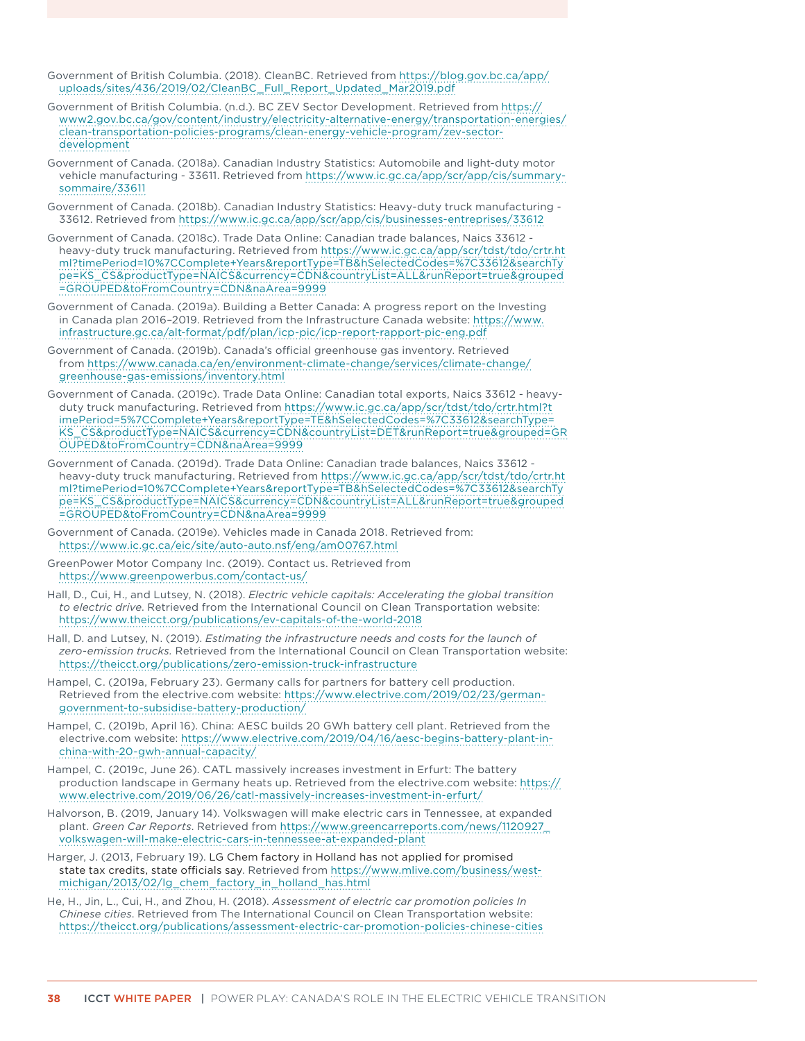- Government of British Columbia. (2018). CleanBC. Retrieved from [https://blog.gov.bc.ca/app/](https://blog.gov.bc.ca/app/uploads/sites/436/2019/02/CleanBC_Full_Report_Updated_Mar2019.pdf) [uploads/sites/436/2019/02/CleanBC\\_Full\\_Report\\_Updated\\_Mar2019.pdf](https://blog.gov.bc.ca/app/uploads/sites/436/2019/02/CleanBC_Full_Report_Updated_Mar2019.pdf)
- Government of British Columbia. (n.d.). BC ZEV Sector Development. Retrieved from [https://](https://www2.gov.bc.ca/gov/content/industry/electricity-alternative-energy/transportation-energies/clean-transportation-policies-programs/clean-energy-vehicle-program/zev-sector-development) [www2.gov.bc.ca/gov/content/industry/electricity-alternative-energy/transportation-energies/](https://www2.gov.bc.ca/gov/content/industry/electricity-alternative-energy/transportation-energies/clean-transportation-policies-programs/clean-energy-vehicle-program/zev-sector-development) [clean-transportation-policies-programs/clean-energy-vehicle-program/zev-sector](https://www2.gov.bc.ca/gov/content/industry/electricity-alternative-energy/transportation-energies/clean-transportation-policies-programs/clean-energy-vehicle-program/zev-sector-development)[development](https://www2.gov.bc.ca/gov/content/industry/electricity-alternative-energy/transportation-energies/clean-transportation-policies-programs/clean-energy-vehicle-program/zev-sector-development)
- Government of Canada. (2018a). Canadian Industry Statistics: Automobile and light-duty motor vehicle manufacturing - 33611. Retrieved from https://www.ic.gc.ca/app/scr/app/cis/summarysommaire/33611
- Government of Canada. (2018b). Canadian Industry Statistics: Heavy-duty truck manufacturing 33612. Retrieved from https://www.ic.gc.ca/app/scr/app/cis/businesses-entreprises/33612
- Government of Canada. (2018c). Trade Data Online: Canadian trade balances, Naics 33612 heavy-duty truck manufacturing. Retrieved from [https://www.ic.gc.ca/app/scr/tdst/tdo/crtr.ht](https://www.ic.gc.ca/app/scr/tdst/tdo/crtr.html?timePeriod=10%7CComplete+Years&reportType=TB&hSelectedCodes=%7C33612&searchType=KS_CS&productType=NAICS¤cy=CDN&countryList=ALL&runReport=true&grouped=GROUPED&toFromCountry=CDN&naArea=9999) [ml?timePeriod=10%7CComplete+Years&reportType=TB&hSelectedCodes=%7C33612&searchTy](https://www.ic.gc.ca/app/scr/tdst/tdo/crtr.html?timePeriod=10%7CComplete+Years&reportType=TB&hSelectedCodes=%7C33612&searchType=KS_CS&productType=NAICS¤cy=CDN&countryList=ALL&runReport=true&grouped=GROUPED&toFromCountry=CDN&naArea=9999) [pe=KS\\_CS&productType=NAICS&currency=CDN&countryList=ALL&runReport=true&grouped](https://www.ic.gc.ca/app/scr/tdst/tdo/crtr.html?timePeriod=10%7CComplete+Years&reportType=TB&hSelectedCodes=%7C33612&searchType=KS_CS&productType=NAICS¤cy=CDN&countryList=ALL&runReport=true&grouped=GROUPED&toFromCountry=CDN&naArea=9999) [=GROUPED&toFromCountry=CDN&naArea=9999](https://www.ic.gc.ca/app/scr/tdst/tdo/crtr.html?timePeriod=10%7CComplete+Years&reportType=TB&hSelectedCodes=%7C33612&searchType=KS_CS&productType=NAICS¤cy=CDN&countryList=ALL&runReport=true&grouped=GROUPED&toFromCountry=CDN&naArea=9999)
- Government of Canada. (2019a). Building a Better Canada: A progress report on the Investing in Canada plan 2016–2019. Retrieved from the Infrastructure Canada website: [https://www.](https://www.infrastructure.gc.ca/alt-format/pdf/plan/icp-pic/icp-report-rapport-pic-eng.pdf) [infrastructure.gc.ca/alt-format/pdf/plan/icp-pic/icp-report-rapport-pic-eng.pdf](https://www.infrastructure.gc.ca/alt-format/pdf/plan/icp-pic/icp-report-rapport-pic-eng.pdf)
- Government of Canada. (2019b). Canada's official greenhouse gas inventory. Retrieved from [https://www.canada.ca/en/environment-climate-change/services/climate-change/](https://www.canada.ca/en/environment-climate-change/services/climate-change/greenhouse-gas-emissions/inventory.html) [greenhouse-gas-emissions/inventory.html](https://www.canada.ca/en/environment-climate-change/services/climate-change/greenhouse-gas-emissions/inventory.html)
- Government of Canada. (2019c). Trade Data Online: Canadian total exports, Naics 33612 heavyduty truck manufacturing. Retrieved from [https://www.ic.gc.ca/app/scr/tdst/tdo/crtr.html?t](https://www.ic.gc.ca/app/scr/tdst/tdo/crtr.html?timePeriod=5%7CComplete+Years&reportType=TE&hSelectedCodes=%7C33612&searchType=KS_CS&productType=NAICS¤cy=CDN&countryList=DET&runReport=true&grouped=GROUPED&toFromCountry=CDN&naArea=9999) [imePeriod=5%7CComplete+Years&reportType=TE&hSelectedCodes=%7C33612&searchType=](https://www.ic.gc.ca/app/scr/tdst/tdo/crtr.html?timePeriod=5%7CComplete+Years&reportType=TE&hSelectedCodes=%7C33612&searchType=KS_CS&productType=NAICS¤cy=CDN&countryList=DET&runReport=true&grouped=GROUPED&toFromCountry=CDN&naArea=9999) [KS\\_CS&productType=NAICS&currency=CDN&countryList=DET&runReport=true&grouped=GR](https://www.ic.gc.ca/app/scr/tdst/tdo/crtr.html?timePeriod=5%7CComplete+Years&reportType=TE&hSelectedCodes=%7C33612&searchType=KS_CS&productType=NAICS¤cy=CDN&countryList=DET&runReport=true&grouped=GROUPED&toFromCountry=CDN&naArea=9999) [OUPED&toFromCountry=CDN&naArea=9999](https://www.ic.gc.ca/app/scr/tdst/tdo/crtr.html?timePeriod=5%7CComplete+Years&reportType=TE&hSelectedCodes=%7C33612&searchType=KS_CS&productType=NAICS¤cy=CDN&countryList=DET&runReport=true&grouped=GROUPED&toFromCountry=CDN&naArea=9999)
- Government of Canada. (2019d). Trade Data Online: Canadian trade balances, Naics 33612 heavy-duty truck manufacturing. Retrieved from [https://www.ic.gc.ca/app/scr/tdst/tdo/crtr.ht](https://www.ic.gc.ca/app/scr/tdst/tdo/crtr.html?timePeriod=10%7CComplete+Years&reportType=TB&hSelectedCodes=%7C33612&searchType=KS_CS&productType=NAICS¤cy=CDN&countryList=ALL&runReport=true&grouped=GROUPED&toFromCountry=CDN&naArea=9999) [ml?timePeriod=10%7CComplete+Years&reportType=TB&hSelectedCodes=%7C33612&searchTy](https://www.ic.gc.ca/app/scr/tdst/tdo/crtr.html?timePeriod=10%7CComplete+Years&reportType=TB&hSelectedCodes=%7C33612&searchType=KS_CS&productType=NAICS¤cy=CDN&countryList=ALL&runReport=true&grouped=GROUPED&toFromCountry=CDN&naArea=9999) [pe=KS\\_CS&productType=NAICS&currency=CDN&countryList=ALL&runReport=true&grouped](https://www.ic.gc.ca/app/scr/tdst/tdo/crtr.html?timePeriod=10%7CComplete+Years&reportType=TB&hSelectedCodes=%7C33612&searchType=KS_CS&productType=NAICS¤cy=CDN&countryList=ALL&runReport=true&grouped=GROUPED&toFromCountry=CDN&naArea=9999) [=GROUPED&toFromCountry=CDN&naArea=9999](https://www.ic.gc.ca/app/scr/tdst/tdo/crtr.html?timePeriod=10%7CComplete+Years&reportType=TB&hSelectedCodes=%7C33612&searchType=KS_CS&productType=NAICS¤cy=CDN&countryList=ALL&runReport=true&grouped=GROUPED&toFromCountry=CDN&naArea=9999)
- Government of Canada. (2019e). Vehicles made in Canada 2018. Retrieved from: <https://www.ic.gc.ca/eic/site/auto-auto.nsf/eng/am00767.html>
- GreenPower Motor Company Inc. (2019). Contact us. Retrieved from <https://www.greenpowerbus.com/contact-us/>
- Hall, D., Cui, H., and Lutsey, N. (2018). *Electric vehicle capitals: Accelerating the global transition to electric drive*. Retrieved from the International Council on Clean Transportation website: <https://www.theicct.org/publications/ev-capitals-of-the-world-2018>
- Hall, D. and Lutsey, N. (2019). *Estimating the infrastructure needs and costs for the launch of zero-emission trucks.* Retrieved from the International Council on Clean Transportation website: <https://theicct.org/publications/zero-emission-truck-infrastructure>
- Hampel, C. (2019a, February 23). Germany calls for partners for battery cell production. Retrieved from the electrive.com website: [https://www.electrive.com/2019/02/23/german](https://www.electrive.com/2019/02/23/german-government-to-subsidise-battery-production/)[government-to-subsidise-battery-production/](https://www.electrive.com/2019/02/23/german-government-to-subsidise-battery-production/)
- Hampel, C. (2019b, April 16). China: AESC builds 20 GWh battery cell plant. Retrieved from the electrive.com website: [https://www.electrive.com/2019/04/16/aesc-begins-battery-plant-in](https://www.electrive.com/2019/04/16/aesc-begins-battery-plant-in-china-with-20-gwh-annual-capacity/)[china-with-20-gwh-annual-capacity/](https://www.electrive.com/2019/04/16/aesc-begins-battery-plant-in-china-with-20-gwh-annual-capacity/)
- Hampel, C. (2019c, June 26). CATL massively increases investment in Erfurt: The battery production landscape in Germany heats up. Retrieved from the electrive.com website: [https://](https://www.electrive.com/2019/06/26/catl-massively-increases-investment-in-erfurt/) [www.electrive.com/2019/06/26/catl-massively-increases-investment-in-erfurt/](https://www.electrive.com/2019/06/26/catl-massively-increases-investment-in-erfurt/)
- Halvorson, B. (2019, January 14). Volkswagen will make electric cars in Tennessee, at expanded plant. *Green Car Reports*. Retrieved from [https://www.greencarreports.com/news/1120927\\_](https://www.greencarreports.com/news/1120927_volkswagen-will-make-electric-cars-in-tennessee-at-expanded-plant) [volkswagen-will-make-electric-cars-in-tennessee-at-expanded-plant](https://www.greencarreports.com/news/1120927_volkswagen-will-make-electric-cars-in-tennessee-at-expanded-plant)
- Harger, J. (2013, February 19). LG Chem factory in Holland has not applied for promised state tax credits, state officials say. Retrieved from [https://www.mlive.com/business/west](https://www.mlive.com/business/west-michigan/2013/02/lg_chem_factory_in_holland_has.html)[michigan/2013/02/lg\\_chem\\_factory\\_in\\_holland\\_has.html](https://www.mlive.com/business/west-michigan/2013/02/lg_chem_factory_in_holland_has.html)
- He, H., Jin, L., Cui, H., and Zhou, H. (2018). *Assessment of electric car promotion policies In Chinese cities*. Retrieved from The International Council on Clean Transportation website: <https://theicct.org/publications/assessment-electric-car-promotion-policies-chinese-cities>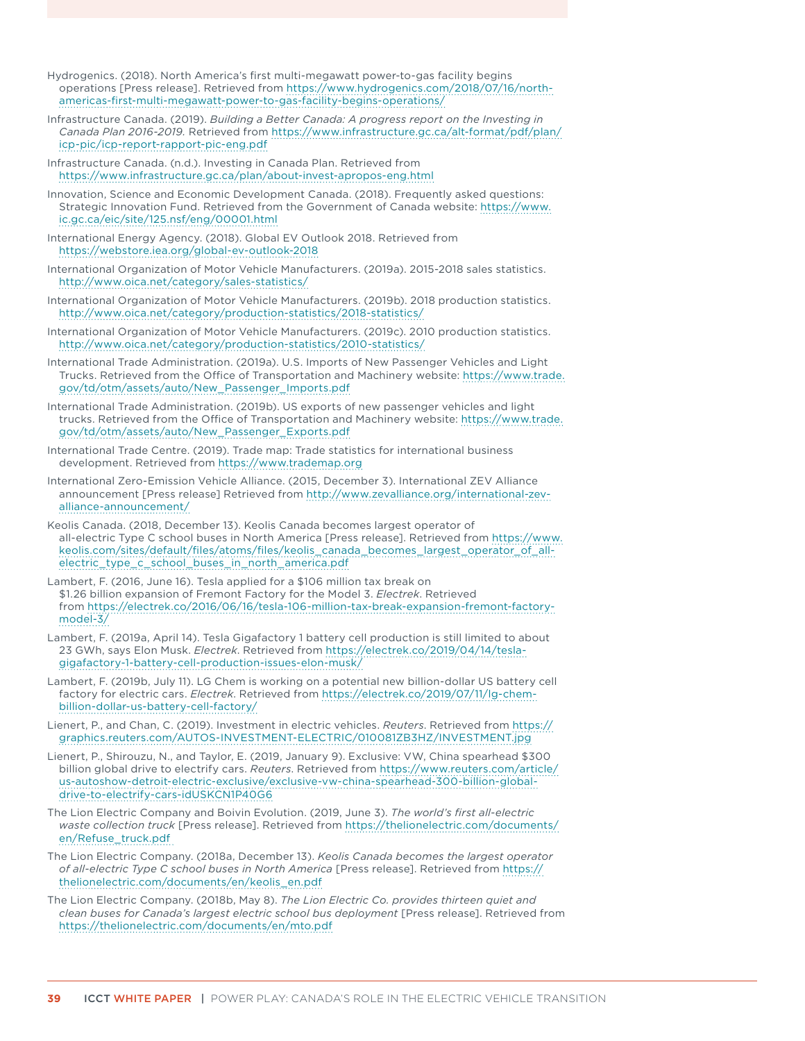- Hydrogenics. (2018). North America's first multi-megawatt power-to-gas facility begins operations [Press release]. Retrieved from [https://www.hydrogenics.com/2018/07/16/north](https://www.hydrogenics.com/2018/07/16/north-americas-first-multi-megawatt-power-to-gas-facility-begins-operations/)[americas-first-multi-megawatt-power-to-gas-facility-begins-operations/](https://www.hydrogenics.com/2018/07/16/north-americas-first-multi-megawatt-power-to-gas-facility-begins-operations/)
- Infrastructure Canada. (2019). *Building a Better Canada: A progress report on the Investing in Canada Plan 2016-2019.* Retrieved from [https://www.infrastructure.gc.ca/alt-format/pdf/plan/](https://www.infrastructure.gc.ca/alt-format/pdf/plan/icp-pic/icp-report-rapport-pic-eng.pdf) [icp-pic/icp-report-rapport-pic-eng.pdf](https://www.infrastructure.gc.ca/alt-format/pdf/plan/icp-pic/icp-report-rapport-pic-eng.pdf)
- Infrastructure Canada. (n.d.). Investing in Canada Plan. Retrieved from <https://www.infrastructure.gc.ca/plan/about-invest-apropos-eng.html>
- Innovation, Science and Economic Development Canada. (2018). Frequently asked questions: Strategic Innovation Fund. Retrieved from the Government of Canada website: [https://www.](https://www.ic.gc.ca/eic/site/125.nsf/eng/00001.html) [ic.gc.ca/eic/site/125.nsf/eng/00001.html](https://www.ic.gc.ca/eic/site/125.nsf/eng/00001.html)
- International Energy Agency. (2018). Global EV Outlook 2018. Retrieved from <https://webstore.iea.org/global-ev-outlook-2018>
- International Organization of Motor Vehicle Manufacturers. (2019a). 2015-2018 sales statistics. <http://www.oica.net/category/sales-statistics/>
- International Organization of Motor Vehicle Manufacturers. (2019b). 2018 production statistics. <http://www.oica.net/category/production-statistics/2018-statistics/>
- International Organization of Motor Vehicle Manufacturers. (2019c). 2010 production statistics. <http://www.oica.net/category/production-statistics/2010-statistics/>
- International Trade Administration. (2019a). U.S. Imports of New Passenger Vehicles and Light Trucks. Retrieved from the Office of Transportation and Machinery website: [https://www.trade.](https://www.trade.gov/td/otm/assets/auto/New_Passenger_Imports.pdf) [gov/td/otm/assets/auto/New\\_Passenger\\_Imports.pdf](https://www.trade.gov/td/otm/assets/auto/New_Passenger_Imports.pdf)
- International Trade Administration. (2019b). US exports of new passenger vehicles and light trucks. Retrieved from the Office of Transportation and Machinery website: [https://www.trade.](https://www.trade.gov/td/otm/assets/auto/New_Passenger_Exports.pdf) [gov/td/otm/assets/auto/New\\_Passenger\\_Exports.pdf](https://www.trade.gov/td/otm/assets/auto/New_Passenger_Exports.pdf)
- International Trade Centre. (2019). Trade map: Trade statistics for international business development. Retrieved from<https://www.trademap.org>
- International Zero-Emission Vehicle Alliance. (2015, December 3). International ZEV Alliance announcement [Press release] Retrieved from [http://www.zevalliance.org/international-zev](http://www.zevalliance.org/international-zev-alliance-announcement/)[alliance-announcement/](http://www.zevalliance.org/international-zev-alliance-announcement/)
- Keolis Canada. (2018, December 13). Keolis Canada becomes largest operator of all-electric Type C school buses in North America [Press release]. Retrieved from [https://www.](https://www.keolis.com/sites/default/files/atoms/files/keolis_canada_becomes_largest_operator_of_all-electric_type_c_school_buses_in_north_america.pdf) [keolis.com/sites/default/files/atoms/files/keolis\\_canada\\_becomes\\_largest\\_operator\\_of\\_all](https://www.keolis.com/sites/default/files/atoms/files/keolis_canada_becomes_largest_operator_of_all-electric_type_c_school_buses_in_north_america.pdf)[electric\\_type\\_c\\_school\\_buses\\_in\\_north\\_america.pdf](https://www.keolis.com/sites/default/files/atoms/files/keolis_canada_becomes_largest_operator_of_all-electric_type_c_school_buses_in_north_america.pdf)
- Lambert, F. (2016, June 16). Tesla applied for a \$106 million tax break on \$1.26 billion expansion of Fremont Factory for the Model 3. *Electrek*. Retrieved from [https://electrek.co/2016/06/16/tesla-106-million-tax-break-expansion-fremont-factory](https://electrek.co/2016/06/16/tesla-106-million-tax-break-expansion-fremont-factory-model-3/)[model-3/](https://electrek.co/2016/06/16/tesla-106-million-tax-break-expansion-fremont-factory-model-3/)
- Lambert, F. (2019a, April 14). Tesla Gigafactory 1 battery cell production is still limited to about 23 GWh, says Elon Musk. *Electrek*. Retrieved from [https://electrek.co/2019/04/14/tesla](https://electrek.co/2019/04/14/tesla-gigafactory-1-battery-cell-production-issues-elon-musk/)[gigafactory-1-battery-cell-production-issues-elon-musk/](https://electrek.co/2019/04/14/tesla-gigafactory-1-battery-cell-production-issues-elon-musk/)
- Lambert, F. (2019b, July 11). LG Chem is working on a potential new billion-dollar US battery cell factory for electric cars. *Electrek*. Retrieved from [https://electrek.co/2019/07/11/lg-chem](https://electrek.co/2019/07/11/lg-chem-billion-dollar-us-battery-cell-factory/)[billion-dollar-us-battery-cell-factory/](https://electrek.co/2019/07/11/lg-chem-billion-dollar-us-battery-cell-factory/)
- Lienert, P., and Chan, C. (2019). Investment in electric vehicles. *Reuters*. Retrieved from [https://](https://graphics.reuters.com/AUTOS-INVESTMENT-ELECTRIC/010081ZB3HZ/INVESTMENT.jpg) [graphics.reuters.com/AUTOS-INVESTMENT-ELECTRIC/010081ZB3HZ/INVESTMENT.jpg](https://graphics.reuters.com/AUTOS-INVESTMENT-ELECTRIC/010081ZB3HZ/INVESTMENT.jpg)
- Lienert, P., Shirouzu, N., and Taylor, E. (2019, January 9). Exclusive: VW, China spearhead \$300 billion global drive to electrify cars. *Reuters*. Retrieved from [https://www.reuters.com/article/](https://www.reuters.com/article/us-autoshow-detroit-electric-exclusive/exclusive-vw-china-spearhead-300-billion-global-drive-to-electrify-cars-idUSKCN1P40G6) [us-autoshow-detroit-electric-exclusive/exclusive-vw-china-spearhead-300-billion-global](https://www.reuters.com/article/us-autoshow-detroit-electric-exclusive/exclusive-vw-china-spearhead-300-billion-global-drive-to-electrify-cars-idUSKCN1P40G6)[drive-to-electrify-cars-idUSKCN1P40G6](https://www.reuters.com/article/us-autoshow-detroit-electric-exclusive/exclusive-vw-china-spearhead-300-billion-global-drive-to-electrify-cars-idUSKCN1P40G6)
- The Lion Electric Company and Boivin Evolution. (2019, June 3). *The world's first all-electric waste collection truck* [Press release]. Retrieved from [https://thelionelectric.com/documents/](https://thelionelectric.com/documents/en/Refuse_truck.pdf) [en/Refuse\\_truck.pdf](https://thelionelectric.com/documents/en/Refuse_truck.pdf)
- The Lion Electric Company. (2018a, December 13). *Keolis Canada becomes the largest operator of all-electric Type C school buses in North America* [Press release]. Retrieved from [https://](https://thelionelectric.com/documents/en/keolis_en.pdf) [thelionelectric.com/documents/en/keolis\\_en.pdf](https://thelionelectric.com/documents/en/keolis_en.pdf)
- The Lion Electric Company. (2018b, May 8). *The Lion Electric Co. provides thirteen quiet and clean buses for Canada's largest electric school bus deployment* [Press release]. Retrieved from <https://thelionelectric.com/documents/en/mto.pdf>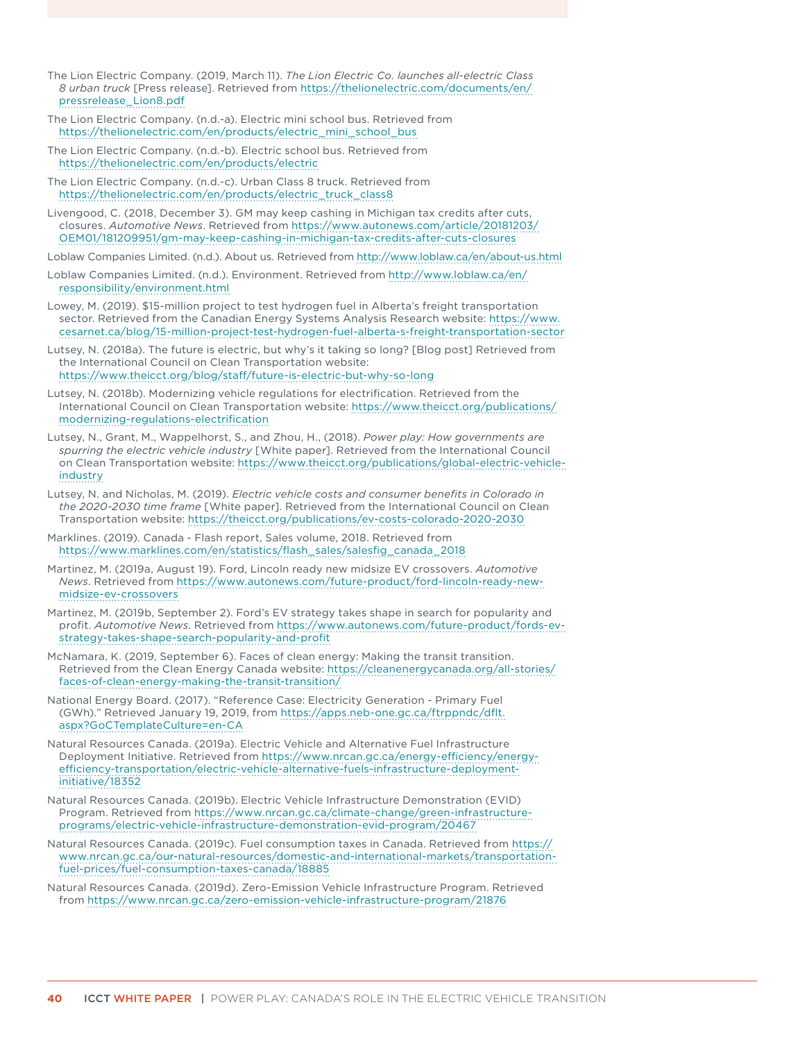- The Lion Electric Company. (2019, March 11). *The Lion Electric Co. launches all-electric Class 8 urban truck* [Press release]. Retrieved from [https://thelionelectric.com/documents/en/](https://thelionelectric.com/documents/en/pressrelease_Lion8.pdf) [pressrelease\\_Lion8.pdf](https://thelionelectric.com/documents/en/pressrelease_Lion8.pdf)
- The Lion Electric Company. (n.d.-a). Electric mini school bus. Retrieved from [https://thelionelectric.com/en/products/electric\\_mini\\_school\\_bus](https://thelionelectric.com/en/products/electric_mini_school_bus)
- The Lion Electric Company. (n.d.-b). Electric school bus. Retrieved from <https://thelionelectric.com/en/products/electric>
- The Lion Electric Company. (n.d.-c). Urban Class 8 truck. Retrieved from [https://thelionelectric.com/en/products/electric\\_truck\\_class8](https://thelionelectric.com/en/products/electric_truck_class8)
- Livengood, C. (2018, December 3). GM may keep cashing in Michigan tax credits after cuts, closures. *Automotive News*. Retrieved from [https://www.autonews.com/article/20181203/](https://www.autonews.com/article/20181203/OEM01/181209951/gm-may-keep-cashing-in-michigan-tax-credits-after-cuts-closures) [OEM01/181209951/gm-may-keep-cashing-in-michigan-tax-credits-after-cuts-closures](https://www.autonews.com/article/20181203/OEM01/181209951/gm-may-keep-cashing-in-michigan-tax-credits-after-cuts-closures)
- Loblaw Companies Limited. (n.d.). About us. Retrieved from<http://www.loblaw.ca/en/about-us.html>
- Loblaw Companies Limited. (n.d.). Environment. Retrieved from [http://www.loblaw.ca/en/](http://www.loblaw.ca/en/responsibility/environment.html) [responsibility/environment.html](http://www.loblaw.ca/en/responsibility/environment.html)
- Lowey, M. (2019). \$15-million project to test hydrogen fuel in Alberta's freight transportation sector. Retrieved from the Canadian Energy Systems Analysis Research website: [https://www.](https://www.cesarnet.ca/blog/15-million-project-test-hydrogen-fuel-alberta-s-freight-transportation-sector) [cesarnet.ca/blog/15-million-project-test-hydrogen-fuel-alberta-s-freight-transportation-sector](https://www.cesarnet.ca/blog/15-million-project-test-hydrogen-fuel-alberta-s-freight-transportation-sector)
- Lutsey, N. (2018a). The future is electric, but why's it taking so long? [Blog post] Retrieved from the International Council on Clean Transportation website: <https://www.theicct.org/blog/staff/future-is-electric-but-why-so-long>
- Lutsey, N. (2018b). Modernizing vehicle regulations for electrification. Retrieved from the International Council on Clean Transportation website: [https://www.theicct.org/publications/](https://www.theicct.org/publications/modernizing-regulations-electrification) [modernizing-regulations-electrification](https://www.theicct.org/publications/modernizing-regulations-electrification)
- Lutsey, N., Grant, M., Wappelhorst, S., and Zhou, H., (2018). *Power play: How governments are spurring the electric vehicle industry* [White paper]. Retrieved from the International Council on Clean Transportation website: [https://www.theicct.org/publications/global-electric-vehicle](https://www.theicct.org/publications/global-electric-vehicle-industry)[industry](https://www.theicct.org/publications/global-electric-vehicle-industry)
- Lutsey, N. and Nicholas, M. (2019). *Electric vehicle costs and consumer benefits in Colorado in the 2020-2030 time frame* [White paper]. Retrieved from the International Council on Clean Transportation website:<https://theicct.org/publications/ev-costs-colorado-2020-2030>
- Marklines. (2019). Canada Flash report, Sales volume, 2018. Retrieved from [https://www.marklines.com/en/statistics/flash\\_sales/salesfig\\_canada\\_2018](https://www.marklines.com/en/statistics/flash_sales/salesfig_canada_2018)
- Martinez, M. (2019a, August 19). Ford, Lincoln ready new midsize EV crossovers. *Automotive News*. Retrieved from [https://www.autonews.com/future-product/ford-lincoln-ready-new](https://www.autonews.com/future-product/ford-lincoln-ready-new-midsize-ev-crossovers)[midsize-ev-crossovers](https://www.autonews.com/future-product/ford-lincoln-ready-new-midsize-ev-crossovers)
- Martinez, M. (2019b, September 2). Ford's EV strategy takes shape in search for popularity and profit. *Automotive News*. Retrieved from [https://www.autonews.com/future-product/fords-ev](https://www.autonews.com/future-product/fords-ev-strategy-takes-shape-search-popularity-and-profit)[strategy-takes-shape-search-popularity-and-profit](https://www.autonews.com/future-product/fords-ev-strategy-takes-shape-search-popularity-and-profit)
- McNamara, K. (2019, September 6). Faces of clean energy: Making the transit transition. Retrieved from the Clean Energy Canada website: [https://cleanenergycanada.org/all-stories/](https://cleanenergycanada.org/all-stories/faces-of-clean-energy-making-the-transit-transition/) [faces-of-clean-energy-making-the-transit-transition/](https://cleanenergycanada.org/all-stories/faces-of-clean-energy-making-the-transit-transition/)
- National Energy Board. (2017). "Reference Case: Electricity Generation Primary Fuel (GWh)." Retrieved January 19, 2019, from [https://apps.neb-one.gc.ca/ftrppndc/dflt.](https://apps.neb-one.gc.ca/ftrppndc/dflt.aspx?GoCTemplateCulture=en-C) [aspx?GoCTemplateCulture=en-CA](https://apps.neb-one.gc.ca/ftrppndc/dflt.aspx?GoCTemplateCulture=en-C)
- Natural Resources Canada. (2019a). Electric Vehicle and Alternative Fuel Infrastructure Deployment Initiative. Retrieved from [https://www.nrcan.gc.ca/energy-efficiency/energy](https://www.nrcan.gc.ca/energy-efficiency/energy-efficiency-transportation/electric-vehicle-alternative-fuels-infrastructure-deployment-initiative/18352)[efficiency-transportation/electric-vehicle-alternative-fuels-infrastructure-deployment](https://www.nrcan.gc.ca/energy-efficiency/energy-efficiency-transportation/electric-vehicle-alternative-fuels-infrastructure-deployment-initiative/18352)[initiative/18352](https://www.nrcan.gc.ca/energy-efficiency/energy-efficiency-transportation/electric-vehicle-alternative-fuels-infrastructure-deployment-initiative/18352)
- Natural Resources Canada. (2019b). Electric Vehicle Infrastructure Demonstration (EVID) Program. Retrieved from [https://www.nrcan.gc.ca/climate-change/green-infrastructure](https://www.nrcan.gc.ca/climate-change/green-infrastructure-programs/electric-vehicle-infrastructure-demonstration-evid-program/20467)[programs/electric-vehicle-infrastructure-demonstration-evid-program/20467](https://www.nrcan.gc.ca/climate-change/green-infrastructure-programs/electric-vehicle-infrastructure-demonstration-evid-program/20467)
- Natural Resources Canada. (2019c). Fuel consumption taxes in Canada. Retrieved from [https://](https://www.nrcan.gc.ca/our-natural-resources/domestic-and-international-markets/transportation-fuel-prices/fuel-consumption-taxes-canada/18885) [www.nrcan.gc.ca/our-natural-resources/domestic-and-international-markets/transportation](https://www.nrcan.gc.ca/our-natural-resources/domestic-and-international-markets/transportation-fuel-prices/fuel-consumption-taxes-canada/18885)[fuel-prices/fuel-consumption-taxes-canada/18885](https://www.nrcan.gc.ca/our-natural-resources/domestic-and-international-markets/transportation-fuel-prices/fuel-consumption-taxes-canada/18885)
- Natural Resources Canada. (2019d). Zero-Emission Vehicle Infrastructure Program. Retrieved from <https://www.nrcan.gc.ca/zero-emission-vehicle-infrastructure-program/21876>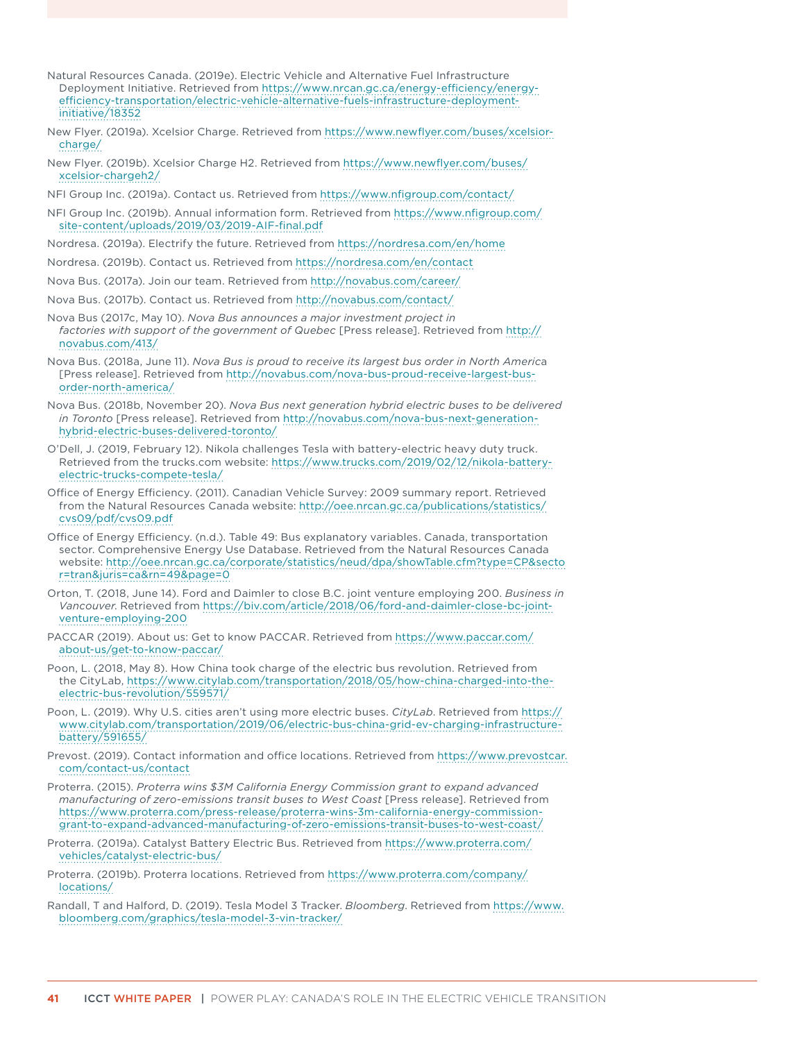- Natural Resources Canada. (2019e). Electric Vehicle and Alternative Fuel Infrastructure Deployment Initiative. Retrieved from [https://www.nrcan.gc.ca/energy-efficiency/energy](https://www.nrcan.gc.ca/energy-efficiency/energy-efficiency-transportation/electric-vehicle-alternative-fuels-infrastructure-deployment-initiative/18352)[efficiency-transportation/electric-vehicle-alternative-fuels-infrastructure-deployment](https://www.nrcan.gc.ca/energy-efficiency/energy-efficiency-transportation/electric-vehicle-alternative-fuels-infrastructure-deployment-initiative/18352)[initiative/18352](https://www.nrcan.gc.ca/energy-efficiency/energy-efficiency-transportation/electric-vehicle-alternative-fuels-infrastructure-deployment-initiative/18352)
- New Flyer. (2019a). Xcelsior Charge. Retrieved from [https://www.newflyer.com/buses/xcelsior](https://www.newflyer.com/buses/xcelsior-charge/)[charge/](https://www.newflyer.com/buses/xcelsior-charge/)
- New Flyer. (2019b). Xcelsior Charge H2. Retrieved from [https://www.newflyer.com/buses/](https://www.newflyer.com/buses/xcelsior-chargeh2/) [xcelsior-chargeh2/](https://www.newflyer.com/buses/xcelsior-chargeh2/)
- NFI Group Inc. (2019a). Contact us. Retrieved from <https://www.nfigroup.com/contact/>
- NFI Group Inc. (2019b). Annual information form. Retrieved from [https://www.nfigroup.com/](https://www.nfigroup.com/site-content/uploads/2019/03/2019-AIF-final.pdf) [site-content/uploads/2019/03/2019-AIF-final.pdf](https://www.nfigroup.com/site-content/uploads/2019/03/2019-AIF-final.pdf)
- Nordresa. (2019a). Electrify the future. Retrieved from <https://nordresa.com/en/home>
- Nordresa. (2019b). Contact us. Retrieved from<https://nordresa.com/en/contact>
- Nova Bus. (2017a). Join our team. Retrieved from<http://novabus.com/career/>
- Nova Bus. (2017b). Contact us. Retrieved from<http://novabus.com/contact/>
- Nova Bus (2017c, May 10). *Nova Bus announces a major investment project in factories with support of the government of Quebec* [Press release]. Retrieved from [http://](http://novabus.com/413/) [novabus.com/413/](http://novabus.com/413/)
- Nova Bus. (2018a, June 11). *Nova Bus is proud to receive its largest bus order in North Americ*a [Press release]. Retrieved from [http://novabus.com/nova-bus-proud-receive-largest-bus](http://novabus.com/nova-bus-proud-receive-largest-bus-order-north-america/)[order-north-america/](http://novabus.com/nova-bus-proud-receive-largest-bus-order-north-america/)
- Nova Bus. (2018b, November 20). *Nova Bus next generation hybrid electric buses to be delivered in Toronto* [Press release]. Retrieved from [http://novabus.com/nova-bus-next-generation](http://novabus.com/nova-bus-next-generation-hybrid-electric-buses-delivered-toronto/)[hybrid-electric-buses-delivered-toronto/](http://novabus.com/nova-bus-next-generation-hybrid-electric-buses-delivered-toronto/)
- O'Dell, J. (2019, February 12). Nikola challenges Tesla with battery-electric heavy duty truck. Retrieved from the trucks.com website: [https://www.trucks.com/2019/02/12/nikola-battery](https://www.trucks.com/2019/02/12/nikola-battery-electric-trucks-compete-tesla/)[electric-trucks-compete-tesla/](https://www.trucks.com/2019/02/12/nikola-battery-electric-trucks-compete-tesla/)
- Office of Energy Efficiency. (2011). Canadian Vehicle Survey: 2009 summary report. Retrieved from the Natural Resources Canada website: [http://oee.nrcan.gc.ca/publications/statistics/](http://oee.nrcan.gc.ca/publications/statistics/cvs09/pdf/cvs09.pdf) [cvs09/pdf/cvs09.pdf](http://oee.nrcan.gc.ca/publications/statistics/cvs09/pdf/cvs09.pdf)
- Office of Energy Efficiency. (n.d.). Table 49: Bus explanatory variables. Canada, transportation sector. Comprehensive Energy Use Database. Retrieved from the Natural Resources Canada website: [http://oee.nrcan.gc.ca/corporate/statistics/neud/dpa/showTable.cfm?type=CP&secto](http://oee.nrcan.gc.ca/corporate/statistics/neud/dpa/showTable.cfm?type=CP§or=tran&juris=ca&rn=49&page=0) [r=tran&juris=ca&rn=49&page=0](http://oee.nrcan.gc.ca/corporate/statistics/neud/dpa/showTable.cfm?type=CP§or=tran&juris=ca&rn=49&page=0)
- Orton, T. (2018, June 14). Ford and Daimler to close B.C. joint venture employing 200. *Business in Vancouver*. Retrieved from [https://biv.com/article/2018/06/ford-and-daimler-close-bc-joint](https://biv.com/article/2018/06/ford-and-daimler-close-bc-joint-venture-employing-200)[venture-employing-200](https://biv.com/article/2018/06/ford-and-daimler-close-bc-joint-venture-employing-200)
- PACCAR (2019). About us: Get to know PACCAR. Retrieved from [https://www.paccar.com/](https://www.paccar.com/about-us/get-to-know-paccar/) [about-us/get-to-know-paccar/](https://www.paccar.com/about-us/get-to-know-paccar/)
- Poon, L. (2018, May 8). How China took charge of the electric bus revolution. Retrieved from the CityLab, [https://www.citylab.com/transportation/2018/05/how-china-charged-into-the](https://www.citylab.com/transportation/2018/05/how-china-charged-into-the-electric-bus-revolution/559571/)[electric-bus-revolution/559571/](https://www.citylab.com/transportation/2018/05/how-china-charged-into-the-electric-bus-revolution/559571/)
- Poon, L. (2019). Why U.S. cities aren't using more electric buses. *CityLab*. Retrieved from [https://](https://www.citylab.com/transportation/2019/06/electric-bus-china-grid-ev-charging-infrastructure-battery/591655/) [www.citylab.com/transportation/2019/06/electric-bus-china-grid-ev-charging-infrastructure](https://www.citylab.com/transportation/2019/06/electric-bus-china-grid-ev-charging-infrastructure-battery/591655/)[battery/591655/](https://www.citylab.com/transportation/2019/06/electric-bus-china-grid-ev-charging-infrastructure-battery/591655/)
- Prevost. (2019). Contact information and office locations. Retrieved from [https://www.prevostcar.](https://www.prevostcar.com/contact-us/contact) [com/contact-us/contact](https://www.prevostcar.com/contact-us/contact)
- Proterra. (2015). *Proterra wins \$3M California Energy Commission grant to expand advanced manufacturing of zero-emissions transit buses to West Coast* [Press release]. Retrieved from [https://www.proterra.com/press-release/proterra-wins-3m-california-energy-commission](https://www.proterra.com/press-release/proterra-wins-3m-california-energy-commission-grant-to-expand-advanced-manufacturing-of-zero-emissions-transit-buses-to-west-coast/)[grant-to-expand-advanced-manufacturing-of-zero-emissions-transit-buses-to-west-coast/](https://www.proterra.com/press-release/proterra-wins-3m-california-energy-commission-grant-to-expand-advanced-manufacturing-of-zero-emissions-transit-buses-to-west-coast/)
- Proterra. (2019a). Catalyst Battery Electric Bus. Retrieved from [https://www.proterra.com/](https://www.proterra.com/vehicles/catalyst-electric-bus/) [vehicles/catalyst-electric-bus/](https://www.proterra.com/vehicles/catalyst-electric-bus/)
- Proterra. (2019b). Proterra locations. Retrieved from [https://www.proterra.com/company/](https://www.proterra.com/company/locations/) [locations/](https://www.proterra.com/company/locations/)
- Randall, T and Halford, D. (2019). Tesla Model 3 Tracker. *Bloomberg*. Retrieved from [https://www.](https://www.bloomberg.com/graphics/tesla-model-3-vin-tracker/) [bloomberg.com/graphics/tesla-model-3-vin-tracker/](https://www.bloomberg.com/graphics/tesla-model-3-vin-tracker/)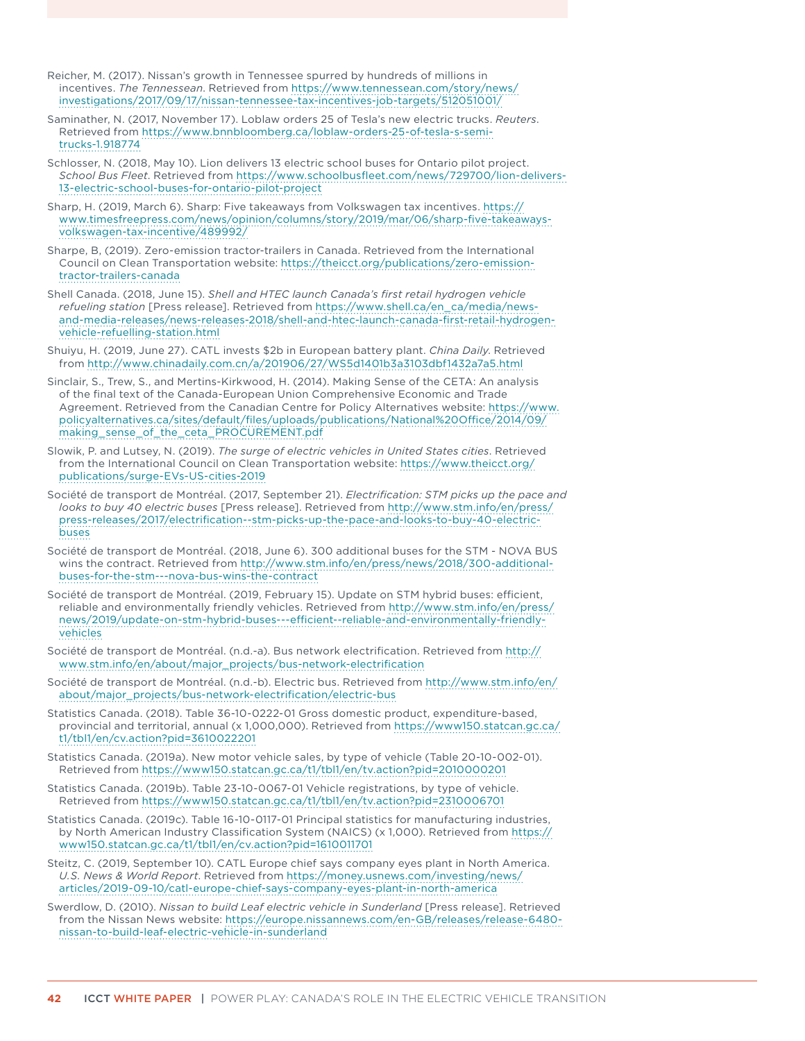- Reicher, M. (2017). Nissan's growth in Tennessee spurred by hundreds of millions in incentives. *The Tennessean*. Retrieved from [https://www.tennessean.com/story/news/](https://www.tennessean.com/story/news/investigations/2017/09/17/nissan-tennessee-tax-incentives-job-targets/512051001/) [investigations/2017/09/17/nissan-tennessee-tax-incentives-job-targets/512051001/](https://www.tennessean.com/story/news/investigations/2017/09/17/nissan-tennessee-tax-incentives-job-targets/512051001/)
- Saminather, N. (2017, November 17). Loblaw orders 25 of Tesla's new electric trucks. *Reuters*. Retrieved from [https://www.bnnbloomberg.ca/loblaw-orders-25-of-tesla-s-semi](https://www.bnnbloomberg.ca/loblaw-orders-25-of-tesla-s-semi-trucks-1.918774)[trucks-1.918774](https://www.bnnbloomberg.ca/loblaw-orders-25-of-tesla-s-semi-trucks-1.918774)
- Schlosser, N. (2018, May 10). Lion delivers 13 electric school buses for Ontario pilot project. *School Bus Fleet*. Retrieved from [https://www.schoolbusfleet.com/news/729700/lion-delivers-](https://www.schoolbusfleet.com/news/729700/lion-delivers-13-electric-school-buses-for-ontario-pilot-project)[13-electric-school-buses-for-ontario-pilot-project](https://www.schoolbusfleet.com/news/729700/lion-delivers-13-electric-school-buses-for-ontario-pilot-project)
- Sharp, H. (2019, March 6). Sharp: Five takeaways from Volkswagen tax incentives. [https://](https://www.timesfreepress.com/news/opinion/columns/story/2019/mar/06/sharp-five-takeaways-volkswagen-tax-incentive/489992/) [www.timesfreepress.com/news/opinion/columns/story/2019/mar/06/sharp-five-takeaways](https://www.timesfreepress.com/news/opinion/columns/story/2019/mar/06/sharp-five-takeaways-volkswagen-tax-incentive/489992/)[volkswagen-tax-incentive/489992/](https://www.timesfreepress.com/news/opinion/columns/story/2019/mar/06/sharp-five-takeaways-volkswagen-tax-incentive/489992/)
- Sharpe, B, (2019). Zero-emission tractor-trailers in Canada. Retrieved from the International Council on Clean Transportation website: [https://theicct.org/publications/zero-emission](https://theicct.org/publications/zero-emission-tractor-trailers-canada)[tractor-trailers-canada](https://theicct.org/publications/zero-emission-tractor-trailers-canada)
- Shell Canada. (2018, June 15). *Shell and HTEC launch Canada's first retail hydrogen vehicle refueling station* [Press release]. Retrieved from [https://www.shell.ca/en\\_ca/media/news](https://www.shell.ca/en_ca/media/news-and-media-releases/news-releases-2018/shell-and-htec-launch-canada-first-retail-hydrogen-vehicle-refuelling-station.html)[and-media-releases/news-releases-2018/shell-and-htec-launch-canada-first-retail-hydrogen](https://www.shell.ca/en_ca/media/news-and-media-releases/news-releases-2018/shell-and-htec-launch-canada-first-retail-hydrogen-vehicle-refuelling-station.html)[vehicle-refuelling-station.html](https://www.shell.ca/en_ca/media/news-and-media-releases/news-releases-2018/shell-and-htec-launch-canada-first-retail-hydrogen-vehicle-refuelling-station.html)
- Shuiyu, H. (2019, June 27). CATL invests \$2b in European battery plant. *China Daily*. Retrieved from <http://www.chinadaily.com.cn/a/201906/27/WS5d1401b3a3103dbf1432a7a5.html>
- Sinclair, S., Trew, S., and Mertins-Kirkwood, H. (2014). Making Sense of the CETA: An analysis of the final text of the Canada-European Union Comprehensive Economic and Trade Agreement. Retrieved from the Canadian Centre for Policy Alternatives website: [https://www.](https://www.policyalternatives.ca/sites/default/files/uploads/publications/National Office/2014/09/making_sense_of_the_ceta_PROCUREMENT.pdf) [policyalternatives.ca/sites/default/files/uploads/publications/National%20Office/2014/09/](https://www.policyalternatives.ca/sites/default/files/uploads/publications/National Office/2014/09/making_sense_of_the_ceta_PROCUREMENT.pdf) [making\\_sense\\_of\\_the\\_ceta\\_PROCUREMENT.pdf](https://www.policyalternatives.ca/sites/default/files/uploads/publications/National Office/2014/09/making_sense_of_the_ceta_PROCUREMENT.pdf)
- Slowik, P. and Lutsey, N. (2019). *The surge of electric vehicles in United States cities*. Retrieved from the International Council on Clean Transportation website: [https://www.theicct.org/](https://www.theicct.org/publications/surge-EVs-US-cities-2019) [publications/surge-EVs-US-cities-2019](https://www.theicct.org/publications/surge-EVs-US-cities-2019)
- Société de transport de Montréal. (2017, September 21). *Electrification: STM picks up the pace and looks to buy 40 electric buses* [Press release]. Retrieved from [http://www.stm.info/en/press/](http://www.stm.info/en/press/press-releases/2017/electrification--stm-picks-up-the-pace-and-looks-to-buy-40-electric-buses) [press-releases/2017/electrification--stm-picks-up-the-pace-and-looks-to-buy-40-electric](http://www.stm.info/en/press/press-releases/2017/electrification--stm-picks-up-the-pace-and-looks-to-buy-40-electric-buses)[buses](http://www.stm.info/en/press/press-releases/2017/electrification--stm-picks-up-the-pace-and-looks-to-buy-40-electric-buses)
- Société de transport de Montréal. (2018, June 6). 300 additional buses for the STM NOVA BUS wins the contract. Retrieved from [http://www.stm.info/en/press/news/2018/300-additional](http://www.stm.info/en/press/news/2018/300-additional-buses-for-the-stm---nova-bus-wins-the-contract)[buses-for-the-stm---nova-bus-wins-the-contract](http://www.stm.info/en/press/news/2018/300-additional-buses-for-the-stm---nova-bus-wins-the-contract)
- Société de transport de Montréal. (2019, February 15). Update on STM hybrid buses: efficient, reliable and environmentally friendly vehicles. Retrieved from [http://www.stm.info/en/press/](http://www.stm.info/en/press/news/2019/update-on-stm-hybrid-buses---efficient--reliable-and-environmentally-friendly-vehicles) [news/2019/update-on-stm-hybrid-buses---efficient--reliable-and-environmentally-friendly](http://www.stm.info/en/press/news/2019/update-on-stm-hybrid-buses---efficient--reliable-and-environmentally-friendly-vehicles)[vehicles](http://www.stm.info/en/press/news/2019/update-on-stm-hybrid-buses---efficient--reliable-and-environmentally-friendly-vehicles)
- Société de transport de Montréal. (n.d.-a). Bus network electrification. Retrieved from [http://](http://www.stm.info/en/about/major_projects/bus-network-electrification) [www.stm.info/en/about/major\\_projects/bus-network-electrification](http://www.stm.info/en/about/major_projects/bus-network-electrification)
- Société de transport de Montréal. (n.d.-b). Electric bus. Retrieved from [http://www.stm.info/en/](http://www.stm.info/en/about/major_projects/bus-network-electrification/electric-bus) [about/major\\_projects/bus-network-electrification/electric-bus](http://www.stm.info/en/about/major_projects/bus-network-electrification/electric-bus)
- Statistics Canada. (2018). Table 36-10-0222-01 Gross domestic product, expenditure-based, provincial and territorial, annual (x 1,000,000). Retrieved from [https://www150.statcan.gc.ca/](https://www150.statcan.gc.ca/t1/tbl1/en/cv.action?pid=3610022201) [t1/tbl1/en/cv.action?pid=3610022201](https://www150.statcan.gc.ca/t1/tbl1/en/cv.action?pid=3610022201)
- Statistics Canada. (2019a). New motor vehicle sales, by type of vehicle (Table 20-10-002-01). Retrieved from<https://www150.statcan.gc.ca/t1/tbl1/en/tv.action?pid=2010000201>
- Statistics Canada. (2019b). Table 23-10-0067-01 Vehicle registrations, by type of vehicle. Retrieved from<https://www150.statcan.gc.ca/t1/tbl1/en/tv.action?pid=2310006701>
- Statistics Canada. (2019c). Table 16-10-0117-01 Principal statistics for manufacturing industries, by North American Industry Classification System (NAICS) (x 1,000). Retrieved from [https://](https://www150.statcan.gc.ca/t1/tbl1/en/cv.action?pid=1610011701) [www150.statcan.gc.ca/t1/tbl1/en/cv.action?pid=1610011701](https://www150.statcan.gc.ca/t1/tbl1/en/cv.action?pid=1610011701)
- Steitz, C. (2019, September 10). CATL Europe chief says company eyes plant in North America. *U.S. News & World Report*. Retrieved from [https://money.usnews.com/investing/news/](https://money.usnews.com/investing/news/articles/2019-09-10/catl-europe-chief-says-company-eyes-plant-in-north-america) [articles/2019-09-10/catl-europe-chief-says-company-eyes-plant-in-north-america](https://money.usnews.com/investing/news/articles/2019-09-10/catl-europe-chief-says-company-eyes-plant-in-north-america)
- Swerdlow, D. (2010). *Nissan to build Leaf electric vehicle in Sunderland* [Press release]. Retrieved from the Nissan News website: [https://europe.nissannews.com/en-GB/releases/release-6480](https://europe.nissannews.com/en-GB/releases/release-6480-nissan-to-build-leaf-electric-vehicle-in-sunderland) [nissan-to-build-leaf-electric-vehicle-in-sunderland](https://europe.nissannews.com/en-GB/releases/release-6480-nissan-to-build-leaf-electric-vehicle-in-sunderland)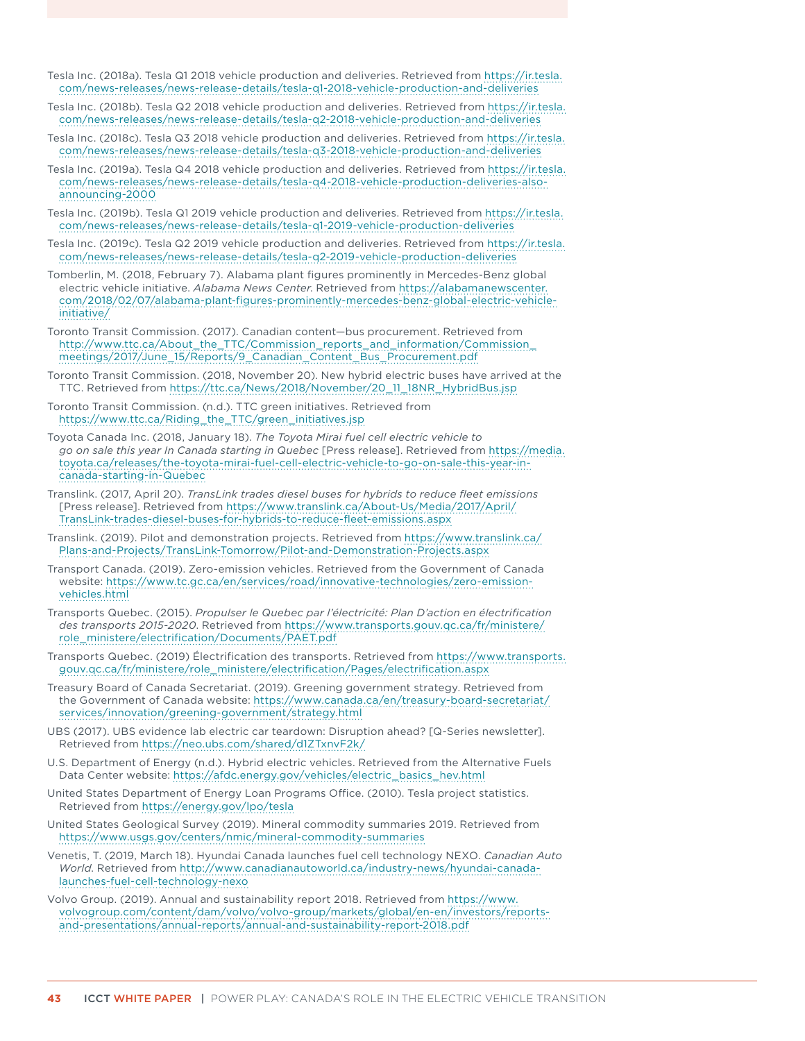Tesla Inc. (2018a). Tesla Q1 2018 vehicle production and deliveries. Retrieved from [https://ir.tesla.](https://ir.tesla.com/news-releases/news-release-details/tesla-q1-2018-vehicle-production-and-deliveries) [com/news-releases/news-release-details/tesla-q1-2018-vehicle-production-and-deliveries](https://ir.tesla.com/news-releases/news-release-details/tesla-q1-2018-vehicle-production-and-deliveries)

- Tesla Inc. (2018b). Tesla Q2 2018 vehicle production and deliveries. Retrieved from [https://ir.tesla.](https://ir.tesla.com/news-releases/news-release-details/tesla-q2-2018-vehicle-production-and-deliveries) [com/news-releases/news-release-details/tesla-q2-2018-vehicle-production-and-deliveries](https://ir.tesla.com/news-releases/news-release-details/tesla-q2-2018-vehicle-production-and-deliveries)
- Tesla Inc. (2018c). Tesla Q3 2018 vehicle production and deliveries. Retrieved from [https://ir.tesla.](https://ir.tesla.com/news-releases/news-release-details/tesla-q3-2018-vehicle-production-and-deliveries) [com/news-releases/news-release-details/tesla-q3-2018-vehicle-production-and-deliveries](https://ir.tesla.com/news-releases/news-release-details/tesla-q3-2018-vehicle-production-and-deliveries)
- Tesla Inc. (2019a). Tesla Q4 2018 vehicle production and deliveries. Retrieved from [https://ir.tesla.](https://ir.tesla.com/news-releases/news-release-details/tesla-q4-2018-vehicle-production-deliveries-also-announcing-2000) [com/news-releases/news-release-details/tesla-q4-2018-vehicle-production-deliveries-also](https://ir.tesla.com/news-releases/news-release-details/tesla-q4-2018-vehicle-production-deliveries-also-announcing-2000)[announcing-2000](https://ir.tesla.com/news-releases/news-release-details/tesla-q4-2018-vehicle-production-deliveries-also-announcing-2000)
- Tesla Inc. (2019b). Tesla Q1 2019 vehicle production and deliveries. Retrieved from [https://ir.tesla.](https://ir.tesla.com/news-releases/news-release-details/tesla-q1-2019-vehicle-production-deliveries) [com/news-releases/news-release-details/tesla-q1-2019-vehicle-production-deliveries](https://ir.tesla.com/news-releases/news-release-details/tesla-q1-2019-vehicle-production-deliveries)
- Tesla Inc. (2019c). Tesla Q2 2019 vehicle production and deliveries. Retrieved from [https://ir.tesla.](https://ir.tesla.com/news-releases/news-release-details/tesla-q2-2019-vehicle-production-deliveries) [com/news-releases/news-release-details/tesla-q2-2019-vehicle-production-deliveries](https://ir.tesla.com/news-releases/news-release-details/tesla-q2-2019-vehicle-production-deliveries)
- Tomberlin, M. (2018, February 7). Alabama plant figures prominently in Mercedes-Benz global electric vehicle initiative. *Alabama News Center*. Retrieved from [https://alabamanewscenter.](https://alabamanewscenter.com/2018/02/07/alabama-plant-figures-prominently-mercedes-benz-global-electric-vehicle-initiative/) [com/2018/02/07/alabama-plant-figures-prominently-mercedes-benz-global-electric-vehicle](https://alabamanewscenter.com/2018/02/07/alabama-plant-figures-prominently-mercedes-benz-global-electric-vehicle-initiative/)[initiative/](https://alabamanewscenter.com/2018/02/07/alabama-plant-figures-prominently-mercedes-benz-global-electric-vehicle-initiative/)
- Toronto Transit Commission. (2017). Canadian content—bus procurement. Retrieved from [http://www.ttc.ca/About\\_the\\_TTC/Commission\\_reports\\_and\\_information/Commission\\_](http://www.ttc.ca/About_the_TTC/Commission_reports_and_information/Commission_meetings/2017/June_15/Reports/9_Canadian_Content_Bus_Procurement.pdf) [meetings/2017/June\\_15/Reports/9\\_Canadian\\_Content\\_Bus\\_Procurement.pdf](http://www.ttc.ca/About_the_TTC/Commission_reports_and_information/Commission_meetings/2017/June_15/Reports/9_Canadian_Content_Bus_Procurement.pdf)
- Toronto Transit Commission. (2018, November 20). New hybrid electric buses have arrived at the TTC. Retrieved from [https://ttc.ca/News/2018/November/20\\_11\\_18NR\\_HybridBus.jsp](https://ttc.ca/News/2018/November/20_11_18NR_HybridBus.jsp)
- Toronto Transit Commission. (n.d.). TTC green initiatives. Retrieved from [https://www.ttc.ca/Riding\\_the\\_TTC/green\\_initiatives.jsp](https://www.ttc.ca/Riding_the_TTC/green_initiatives.jsp)
- Toyota Canada Inc. (2018, January 18). *The Toyota Mirai fuel cell electric vehicle to go on sale this year In Canada starting in Quebec* [Press release]. Retrieved from [https://media.](https://media.toyota.ca/releases/the-toyota-mirai-fuel-cell-electric-vehicle-to-go-on-sale-this-year-in-canada-starting-in-quebec) [toyota.ca/releases/the-toyota-mirai-fuel-cell-electric-vehicle-to-go-on-sale-this-year-in](https://media.toyota.ca/releases/the-toyota-mirai-fuel-cell-electric-vehicle-to-go-on-sale-this-year-in-canada-starting-in-quebec)[canada-starting-in-Quebec](https://media.toyota.ca/releases/the-toyota-mirai-fuel-cell-electric-vehicle-to-go-on-sale-this-year-in-canada-starting-in-quebec)
- Translink. (2017, April 20). *TransLink trades diesel buses for hybrids to reduce fleet emissions* [Press release]. Retrieved from [https://www.translink.ca/About-Us/Media/2017/April/](https://www.translink.ca/About-Us/Media/2017/April/TransLink-trades-diesel-buses-for-hybrids-to-reduce-fleet-emissions.aspx) [TransLink-trades-diesel-buses-for-hybrids-to-reduce-fleet-emissions.aspx](https://www.translink.ca/About-Us/Media/2017/April/TransLink-trades-diesel-buses-for-hybrids-to-reduce-fleet-emissions.aspx)
- Translink. (2019). Pilot and demonstration projects. Retrieved from [https://www.translink.ca/](https://www.translink.ca/Plans-and-Projects/TransLink-Tomorrow/Pilot-and-Demonstration-Projects.aspx) [Plans-and-Projects/TransLink-Tomorrow/Pilot-and-Demonstration-Projects.aspx](https://www.translink.ca/Plans-and-Projects/TransLink-Tomorrow/Pilot-and-Demonstration-Projects.aspx)
- Transport Canada. (2019). Zero-emission vehicles. Retrieved from the Government of Canada website: [https://www.tc.gc.ca/en/services/road/innovative-technologies/zero-emission](https://www.tc.gc.ca/en/services/road/innovative-technologies/zero-emission-vehicles.html)[vehicles.html](https://www.tc.gc.ca/en/services/road/innovative-technologies/zero-emission-vehicles.html)
- Transports Quebec. (2015). *Propulser le Quebec par l'électricité: Plan D'action en électrification des transports 2015-2020*. Retrieved from [https://www.transports.gouv.qc.ca/fr/ministere/](https://www.transports.gouv.qc.ca/fr/ministere/role_ministere/electrification/Documents/PAET.pdf) [role\\_ministere/electrification/Documents/PAET.pdf](https://www.transports.gouv.qc.ca/fr/ministere/role_ministere/electrification/Documents/PAET.pdf)
- Transports Quebec. (2019) Électrification des transports. Retrieved from [https://www.transports.](https://www.transports.gouv.qc.ca/fr/ministere/role_ministere/electrification/Pages/electrification.aspx) [gouv.qc.ca/fr/ministere/role\\_ministere/electrification/Pages/electrification.aspx](https://www.transports.gouv.qc.ca/fr/ministere/role_ministere/electrification/Pages/electrification.aspx)
- Treasury Board of Canada Secretariat. (2019). Greening government strategy. Retrieved from the Government of Canada website: [https://www.canada.ca/en/treasury-board-secretariat/](https://www.canada.ca/en/treasury-board-secretariat/services/innovation/greening-government/strategy.html) [services/innovation/greening-government/strategy.html](https://www.canada.ca/en/treasury-board-secretariat/services/innovation/greening-government/strategy.html)
- UBS (2017). UBS evidence lab electric car teardown: Disruption ahead? [Q-Series newsletter]. Retrieved from<https://neo.ubs.com/shared/d1ZTxnvF2k/>
- U.S. Department of Energy (n.d.). Hybrid electric vehicles. Retrieved from the Alternative Fuels Data Center website: [https://afdc.energy.gov/vehicles/electric\\_basics\\_hev.html](https://afdc.energy.gov/vehicles/electric_basics_hev.html)
- United States Department of Energy Loan Programs Office. (2010). Tesla project statistics. Retrieved from<https://energy.gov/lpo/tesla>
- United States Geological Survey (2019). Mineral commodity summaries 2019. Retrieved from <https://www.usgs.gov/centers/nmic/mineral-commodity-summaries>
- Venetis, T. (2019, March 18). Hyundai Canada launches fuel cell technology NEXO. *Canadian Auto World*. Retrieved from [http://www.canadianautoworld.ca/industry-news/hyundai-canada](http://www.canadianautoworld.ca/industry-news/hyundai-canada-launches-fuel-cell-technology-nexo)[launches-fuel-cell-technology-nexo](http://www.canadianautoworld.ca/industry-news/hyundai-canada-launches-fuel-cell-technology-nexo)
- Volvo Group. (2019). Annual and sustainability report 2018. Retrieved from [https://www.](https://www.volvogroup.com/content/dam/volvo/volvo-group/markets/global/en-en/investors/reports-and-presentations/annual-reports/annual-and-sustainability-report-2018.pdf) [volvogroup.com/content/dam/volvo/volvo-group/markets/global/en-en/investors/reports](https://www.volvogroup.com/content/dam/volvo/volvo-group/markets/global/en-en/investors/reports-and-presentations/annual-reports/annual-and-sustainability-report-2018.pdf)[and-presentations/annual-reports/annual-and-sustainability-report-2018.pdf](https://www.volvogroup.com/content/dam/volvo/volvo-group/markets/global/en-en/investors/reports-and-presentations/annual-reports/annual-and-sustainability-report-2018.pdf)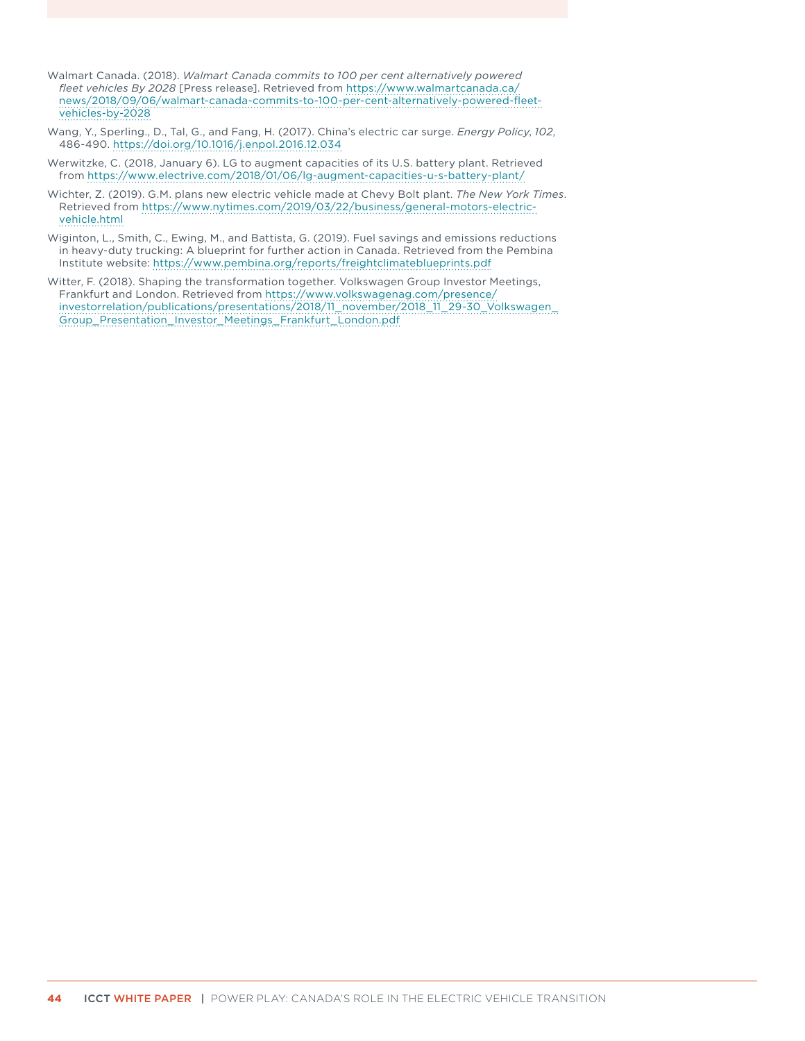- Walmart Canada. (2018). *Walmart Canada commits to 100 per cent alternatively powered fleet vehicles By 2028* [Press release]. Retrieved from [https://www.walmartcanada.ca/](https://www.walmartcanada.ca/news/2018/09/06/walmart-canada-commits-to-100-per-cent-alternatively-powered-fleet-vehicles-by-2028) [news/2018/09/06/walmart-canada-commits-to-100-per-cent-alternatively-powered-fleet](https://www.walmartcanada.ca/news/2018/09/06/walmart-canada-commits-to-100-per-cent-alternatively-powered-fleet-vehicles-by-2028)[vehicles-by-2028](https://www.walmartcanada.ca/news/2018/09/06/walmart-canada-commits-to-100-per-cent-alternatively-powered-fleet-vehicles-by-2028)
- Wang, Y., Sperling., D., Tal, G., and Fang, H. (2017). China's electric car surge. *Energy Policy*, *102*, 486-490.<https://doi.org/10.1016/j.enpol.2016.12.034>
- Werwitzke, C. (2018, January 6). LG to augment capacities of its U.S. battery plant. Retrieved from <https://www.electrive.com/2018/01/06/lg-augment-capacities-u-s-battery-plant/>
- Wichter, Z. (2019). G.M. plans new electric vehicle made at Chevy Bolt plant. *The New York Times*. Retrieved from [https://www.nytimes.com/2019/03/22/business/general-motors-electric](https://www.nytimes.com/2019/03/22/business/general-motors-electric-vehicle.html)[vehicle.html](https://www.nytimes.com/2019/03/22/business/general-motors-electric-vehicle.html)
- Wiginton, L., Smith, C., Ewing, M., and Battista, G. (2019). Fuel savings and emissions reductions in heavy-duty trucking: A blueprint for further action in Canada. Retrieved from the Pembina Institute website:<https://www.pembina.org/reports/freightclimateblueprints.pdf>
- Witter, F. (2018). Shaping the transformation together. Volkswagen Group Investor Meetings, Frankfurt and London. Retrieved from [https://www.volkswagenag.com/presence/](https://www.volkswagenag.com/presence/investorrelation/publications/presentations/2018/11_november/2018_11_29-30_Volkswagen_Group_Presentation_Investor_Meetings_Frankfurt_London.pdf) [investorrelation/publications/presentations/2018/11\\_november/2018\\_11\\_29-30\\_Volkswagen\\_](https://www.volkswagenag.com/presence/investorrelation/publications/presentations/2018/11_november/2018_11_29-30_Volkswagen_Group_Presentation_Investor_Meetings_Frankfurt_London.pdf) [Group\\_Presentation\\_Investor\\_Meetings\\_Frankfurt\\_London.pdf](https://www.volkswagenag.com/presence/investorrelation/publications/presentations/2018/11_november/2018_11_29-30_Volkswagen_Group_Presentation_Investor_Meetings_Frankfurt_London.pdf)